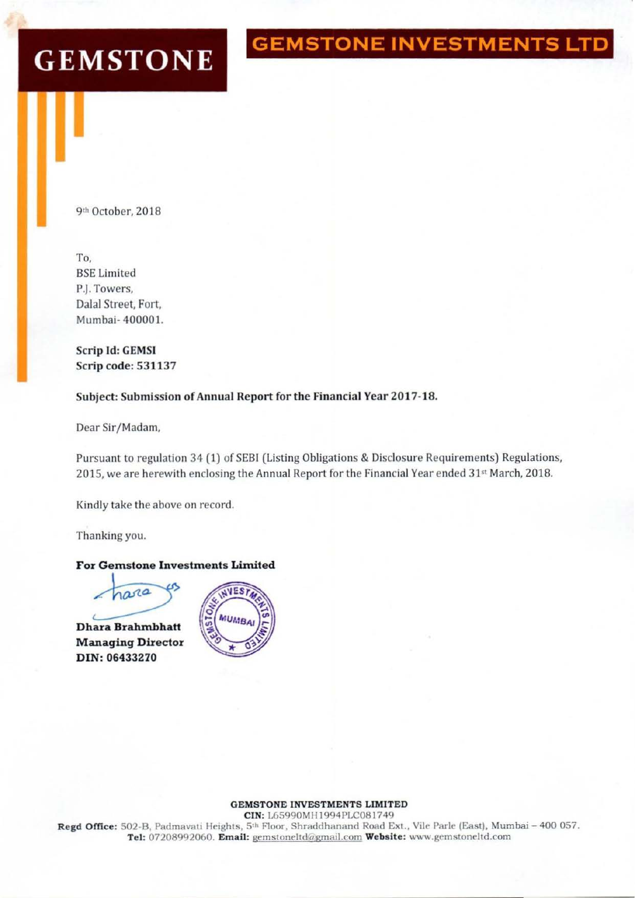# **GEMSTONE INVESTMENTS LTD**

# **GEMSTONE**

9th October, 2018

To, **BSE** Limited P.I. Towers. Dalal Street. Fort, Mumbai- 400001.

Scrip Id: GEMSI Scrip code: 531137

#### Subject: Submission of Annual Report for the Financial Year 2017-18.

Dear Sir/Madam,

Pursuant to regulation 34 (1) of SEBI (Listing Obligations & Disclosure Requirements) Regulations, 2015, we are herewith enclosing the Annual Report for the Financial Year ended 31st March, 2018.

Kindly take the above on record.

Thanking you.



Managing Director DIN: 06433270



#### GEMSTONE INVESTMENTS LlM1TED

CIN: L65990MH1994PLC081749 Regd Office: 502-B, Padmavati Heights, 5th Floor, Shraddhanand Road Ext., Vile Parle (East), Mumbai - 400 057. Tel: 07208992060. Email: gemstoneltd@gmail.com Website: www.gemstoneltd.com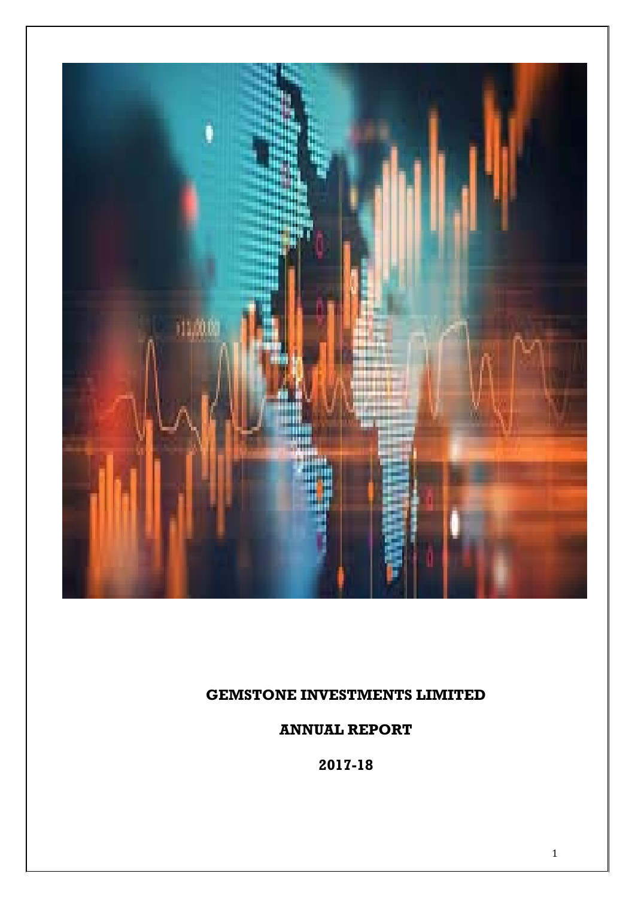

# **GEMSTONE INVESTMENTS LIMITED**

**ANNUAL REPORT**

**2017-18**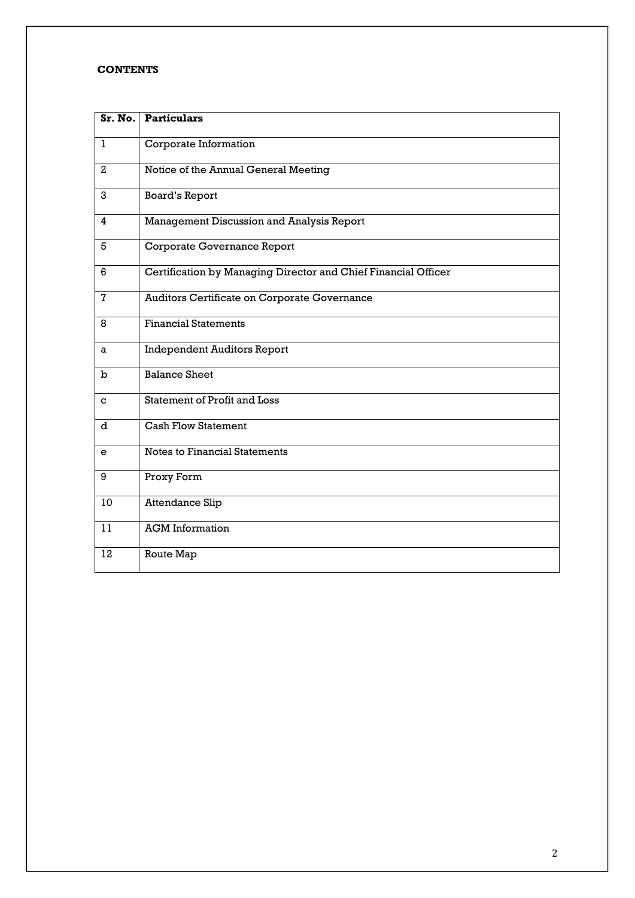#### **CONTENTS**

| Sr. No.      | <b>Particulars</b>                                             |
|--------------|----------------------------------------------------------------|
| 1            | Corporate Information                                          |
| $\mathbf{2}$ | Notice of the Annual General Meeting                           |
| 3            | <b>Board's Report</b>                                          |
| 4            | Management Discussion and Analysis Report                      |
| 5            | Corporate Governance Report                                    |
| 6            | Certification by Managing Director and Chief Financial Officer |
| $\mathbf{7}$ | Auditors Certificate on Corporate Governance                   |
| 8            | <b>Financial Statements</b>                                    |
| a            | <b>Independent Auditors Report</b>                             |
| $\mathbf b$  | <b>Balance Sheet</b>                                           |
| C            | Statement of Profit and Loss                                   |
| d            | <b>Cash Flow Statement</b>                                     |
| e            | Notes to Financial Statements                                  |
| 9            | Proxy Form                                                     |
| 10           | <b>Attendance Slip</b>                                         |
| 11           | <b>AGM</b> Information                                         |
| 12           | Route Map                                                      |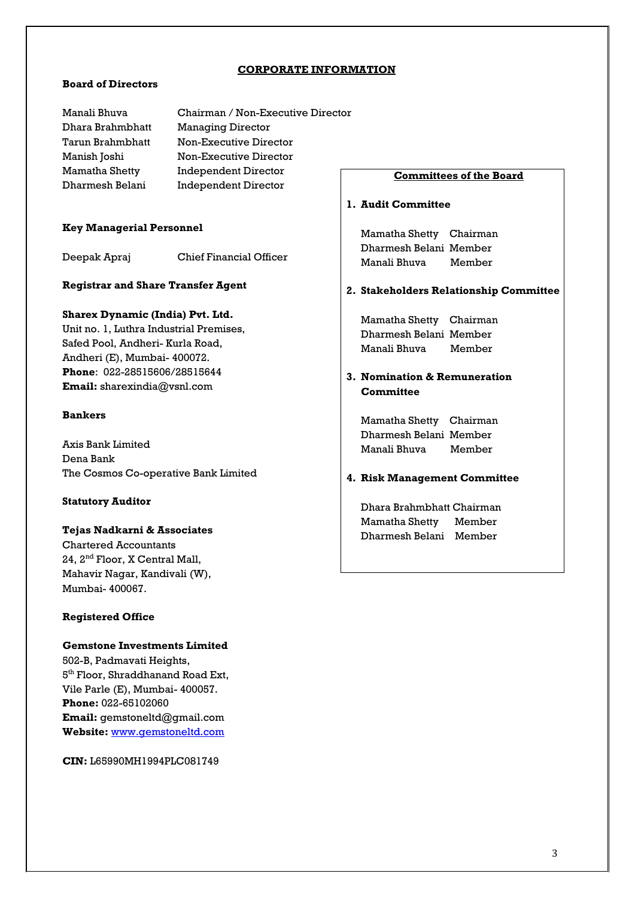#### **CORPORATE INFORMATION**

#### **Board of Directors**

**Independent Director** Chairman / Non-Executive Director Managing Director Non-Executive Director Non-Executive Director Independent Director

#### **Key Managerial Personnel**

Deepak Apraj Chief Financial Officer

#### **Registrar and Share Transfer Agent**

#### **Sharex Dynamic (India) Pvt. Ltd.**

Unit no. 1, Luthra Industrial Premises, Safed Pool, Andheri- Kurla Road, Andheri (E), Mumbai- 400072. **Phone**: 022-28515606/28515644 **Email:** sharexindia@vsnl.com

#### **Bankers**

Axis Bank Limited Dena Bank The Cosmos Co-operative Bank Limited

#### **Statutory Auditor**

### **Tejas Nadkarni & Associates** Chartered Accountants

24, 2nd Floor, X Central Mall, Mahavir Nagar, Kandivali (W), Mumbai- 400067.

#### **Registered Office**

#### **Gemstone Investments Limited**

502-B, Padmavati Heights, 5<sup>th</sup> Floor, Shraddhanand Road Ext, **Website:** [www.gemstoneltd.com](http://www.gemstoneltd.com/) Vile Parle (E), Mumbai- 400057. **Phone:** 022-65102060 **Email:** gemstoneltd@gmail.com

**CIN:** L65990MH1994PLC081749

#### **Committees of the Board**

#### **1. Audit Committee**

Mamatha Shetty Chairman Dharmesh Belani Member Manali Bhuva Member

#### **2. Stakeholders Relationship Committee**

Mamatha Shetty Chairman Dharmesh Belani Member Manali Bhuva Member

#### **3. Nomination & Remuneration Committee**

Mamatha Shetty Chairman Dharmesh Belani Member Manali Bhuva Member

#### **4. Risk Management Committee**

Dhara Brahmbhatt Chairman Mamatha Shetty Member Dharmesh Belani Member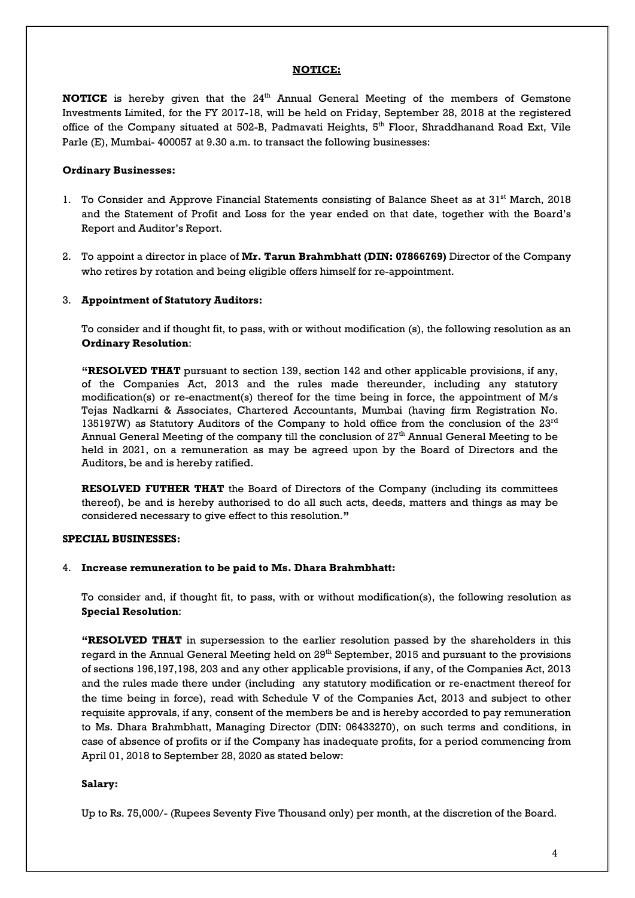#### **NOTICE:**

**NOTICE** is hereby given that the 24<sup>th</sup> Annual General Meeting of the members of Gemstone Investments Limited, for the FY 2017-18, will be held on Friday, September 28, 2018 at the registered office of the Company situated at 502-B, Padmavati Heights, 5<sup>th</sup> Floor, Shraddhanand Road Ext, Vile Parle (E), Mumbai- 400057 at 9.30 a.m. to transact the following businesses:

#### **Ordinary Businesses:**

- 1. To Consider and Approve Financial Statements consisting of Balance Sheet as at 31<sup>st</sup> March, 2018 and the Statement of Profit and Loss for the year ended on that date, together with the Board's Report and Auditor's Report.
- 2. To appoint a director in place of **Mr. Tarun Brahmbhatt (DIN: 07866769)** Director of the Company who retires by rotation and being eligible offers himself for re-appointment.

#### 3. **Appointment of Statutory Auditors:**

To consider and if thought fit, to pass, with or without modification (s), the following resolution as an **Ordinary Resolution**:

**"RESOLVED THAT** pursuant to section 139, section 142 and other applicable provisions, if any, of the Companies Act, 2013 and the rules made thereunder, including any statutory modification(s) or re-enactment(s) thereof for the time being in force, the appointment of M/s Tejas Nadkarni & Associates, Chartered Accountants, Mumbai (having firm Registration No. 135197W) as Statutory Auditors of the Company to hold office from the conclusion of the 23<sup>rd</sup> Annual General Meeting of the company till the conclusion of  $27^{\rm th}$  Annual General Meeting to be held in 2021, on a remuneration as may be agreed upon by the Board of Directors and the Auditors, be and is hereby ratified.

**RESOLVED FUTHER THAT** the Board of Directors of the Company (including its committees thereof), be and is hereby authorised to do all such acts, deeds, matters and things as may be considered necessary to give effect to this resolution.**"**

#### **SPECIAL BUSINESSES:**

#### 4. **Increase remuneration to be paid to Ms. Dhara Brahmbhatt:**

To consider and, if thought fit, to pass, with or without modification(s), the following resolution as **Special Resolution**:

**"RESOLVED THAT** in supersession to the earlier resolution passed by the shareholders in this regard in the Annual General Meeting held on 29<sup>th</sup> September, 2015 and pursuant to the provisions of sections 196,197,198, 203 and any other applicable provisions, if any, of the Companies Act, 2013 and the rules made there under (including any statutory modification or re-enactment thereof for the time being in force), read with Schedule V of the Companies Act, 2013 and subject to other requisite approvals, if any, consent of the members be and is hereby accorded to pay remuneration to Ms. Dhara Brahmbhatt, Managing Director (DIN: 06433270), on such terms and conditions, in case of absence of profits or if the Company has inadequate profits, for a period commencing from April 01, 2018 to September 28, 2020 as stated below:

#### **Salary:**

Up to Rs. 75,000/- (Rupees Seventy Five Thousand only) per month, at the discretion of the Board.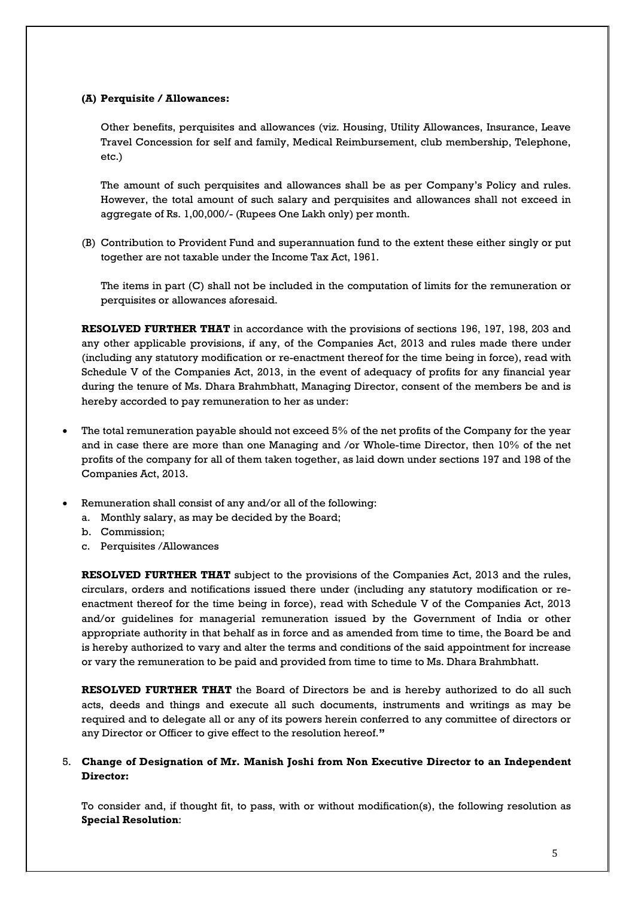#### **(A) Perquisite / Allowances:**

Other benefits, perquisites and allowances (viz. Housing, Utility Allowances, Insurance, Leave Travel Concession for self and family, Medical Reimbursement, club membership, Telephone, etc.)

The amount of such perquisites and allowances shall be as per Company's Policy and rules. However, the total amount of such salary and perquisites and allowances shall not exceed in aggregate of Rs. 1,00,000/- (Rupees One Lakh only) per month.

(B) Contribution to Provident Fund and superannuation fund to the extent these either singly or put together are not taxable under the Income Tax Act, 1961.

The items in part (C) shall not be included in the computation of limits for the remuneration or perquisites or allowances aforesaid.

**RESOLVED FURTHER THAT** in accordance with the provisions of sections 196, 197, 198, 203 and any other applicable provisions, if any, of the Companies Act, 2013 and rules made there under (including any statutory modification or re-enactment thereof for the time being in force), read with Schedule V of the Companies Act, 2013, in the event of adequacy of profits for any financial year during the tenure of Ms. Dhara Brahmbhatt, Managing Director, consent of the members be and is hereby accorded to pay remuneration to her as under:

- The total remuneration payable should not exceed 5% of the net profits of the Company for the year and in case there are more than one Managing and /or Whole-time Director, then 10% of the net profits of the company for all of them taken together, as laid down under sections 197 and 198 of the Companies Act, 2013.
- Remuneration shall consist of any and/or all of the following:
	- a. Monthly salary, as may be decided by the Board;
	- b. Commission;
	- c. Perquisites /Allowances

**RESOLVED FURTHER THAT** subject to the provisions of the Companies Act, 2013 and the rules, circulars, orders and notifications issued there under (including any statutory modification or reenactment thereof for the time being in force), read with Schedule V of the Companies Act, 2013 and/or guidelines for managerial remuneration issued by the Government of India or other appropriate authority in that behalf as in force and as amended from time to time, the Board be and is hereby authorized to vary and alter the terms and conditions of the said appointment for increase or vary the remuneration to be paid and provided from time to time to Ms. Dhara Brahmbhatt.

**RESOLVED FURTHER THAT** the Board of Directors be and is hereby authorized to do all such acts, deeds and things and execute all such documents, instruments and writings as may be required and to delegate all or any of its powers herein conferred to any committee of directors or any Director or Officer to give effect to the resolution hereof.**"**

#### 5. **Change of Designation of Mr. Manish Joshi from Non Executive Director to an Independent Director:**

To consider and, if thought fit, to pass, with or without modification(s), the following resolution as **Special Resolution**: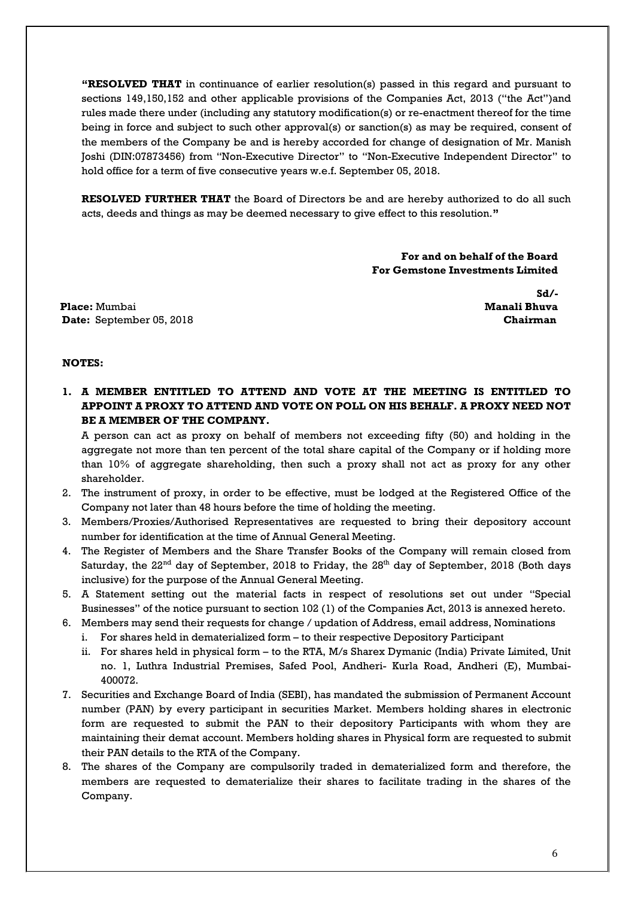**"RESOLVED THAT** in continuance of earlier resolution(s) passed in this regard and pursuant to sections 149,150,152 and other applicable provisions of the Companies Act, 2013 ("the Act")and rules made there under (including any statutory modification(s) or re-enactment thereof for the time being in force and subject to such other approval(s) or sanction(s) as may be required, consent of the members of the Company be and is hereby accorded for change of designation of Mr. Manish Joshi (DIN:07873456) from "Non-Executive Director" to "Non-Executive Independent Director" to hold office for a term of five consecutive years w.e.f. September 05, 2018.

**RESOLVED FURTHER THAT** the Board of Directors be and are hereby authorized to do all such acts, deeds and things as may be deemed necessary to give effect to this resolution.**"**

> **For and on behalf of the Board For Gemstone Investments Limited**

**Place:** Mumbai **Manali Bhuva Date:** September 05, 2018 **Chairman** 

 **Sd/-**

#### **NOTES:**

**1. A MEMBER ENTITLED TO ATTEND AND VOTE AT THE MEETING IS ENTITLED TO APPOINT A PROXY TO ATTEND AND VOTE ON POLL ON HIS BEHALF. A PROXY NEED NOT BE A MEMBER OF THE COMPANY.**

A person can act as proxy on behalf of members not exceeding fifty (50) and holding in the aggregate not more than ten percent of the total share capital of the Company or if holding more than 10% of aggregate shareholding, then such a proxy shall not act as proxy for any other shareholder.

- 2. The instrument of proxy, in order to be effective, must be lodged at the Registered Office of the Company not later than 48 hours before the time of holding the meeting.
- 3. Members/Proxies/Authorised Representatives are requested to bring their depository account number for identification at the time of Annual General Meeting.
- 4. The Register of Members and the Share Transfer Books of the Company will remain closed from Saturday, the  $22^{\text{nd}}$  day of September, 2018 to Friday, the  $28^{\text{th}}$  day of September, 2018 (Both days inclusive) for the purpose of the Annual General Meeting.
- 5. A Statement setting out the material facts in respect of resolutions set out under "Special Businesses" of the notice pursuant to section 102 (1) of the Companies Act, 2013 is annexed hereto.
- 6. Members may send their requests for change / updation of Address, email address, Nominations
	- i. For shares held in dematerialized form to their respective Depository Participant
	- ii. For shares held in physical form to the RTA, M/s Sharex Dymanic (India) Private Limited, Unit no. 1, Luthra Industrial Premises, Safed Pool, Andheri- Kurla Road, Andheri (E), Mumbai-400072.
- 7. Securities and Exchange Board of India (SEBI), has mandated the submission of Permanent Account number (PAN) by every participant in securities Market. Members holding shares in electronic form are requested to submit the PAN to their depository Participants with whom they are maintaining their demat account. Members holding shares in Physical form are requested to submit their PAN details to the RTA of the Company.
- 8. The shares of the Company are compulsorily traded in dematerialized form and therefore, the members are requested to dematerialize their shares to facilitate trading in the shares of the Company.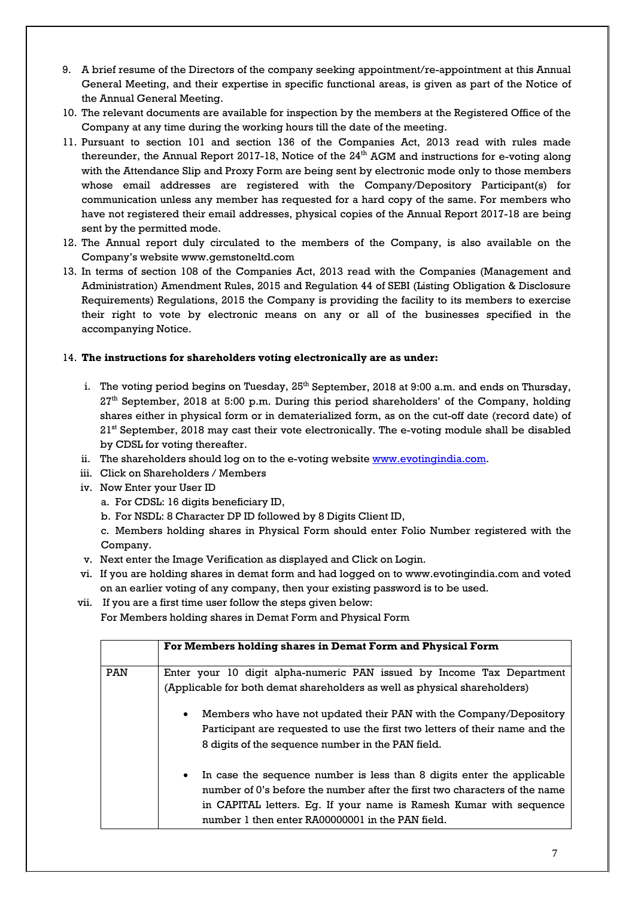- 9. A brief resume of the Directors of the company seeking appointment/re-appointment at this Annual General Meeting, and their expertise in specific functional areas, is given as part of the Notice of the Annual General Meeting.
- 10. The relevant documents are available for inspection by the members at the Registered Office of the Company at any time during the working hours till the date of the meeting.
- 11. Pursuant to section 101 and section 136 of the Companies Act, 2013 read with rules made thereunder, the Annual Report 2017-18, Notice of the  $24^{\text{th}}$  AGM and instructions for e-voting along with the Attendance Slip and Proxy Form are being sent by electronic mode only to those members whose email addresses are registered with the Company/Depository Participant(s) for communication unless any member has requested for a hard copy of the same. For members who have not registered their email addresses, physical copies of the Annual Report 2017-18 are being sent by the permitted mode.
- 12. The Annual report duly circulated to the members of the Company, is also available on the Company's website www.gemstoneltd.com
- 13. In terms of section 108 of the Companies Act, 2013 read with the Companies (Management and Administration) Amendment Rules, 2015 and Regulation 44 of SEBI (Listing Obligation & Disclosure Requirements) Regulations, 2015 the Company is providing the facility to its members to exercise their right to vote by electronic means on any or all of the businesses specified in the accompanying Notice.

#### 14. **The instructions for shareholders voting electronically are as under:**

- i. The voting period begins on Tuesday,  $25<sup>th</sup>$  September, 2018 at 9:00 a.m. and ends on Thursday,  $27<sup>th</sup>$  September, 2018 at 5:00 p.m. During this period shareholders' of the Company, holding shares either in physical form or in dematerialized form, as on the cut-off date (record date) of 21<sup>st</sup> September, 2018 may cast their vote electronically. The e-voting module shall be disabled by CDSL for voting thereafter.
- ii. The shareholders should log on to the e-voting website <u>www.evotingindia.com</u>.
- iii. Click on Shareholders / Members
- iv. Now Enter your User ID
	- a. For CDSL: 16 digits beneficiary ID,
	- b. For NSDL: 8 Character DP ID followed by 8 Digits Client ID,

c. Members holding shares in Physical Form should enter Folio Number registered with the Company.

- v. Next enter the Image Verification as displayed and Click on Login.
- vi. If you are holding shares in demat form and had logged on to www.evotingindia.com and voted on an earlier voting of any company, then your existing password is to be used.
- vii. If you are a first time user follow the steps given below: For Members holding shares in Demat Form and Physical Form

|                                                                                                                                                                                                                      | For Members holding shares in Demat Form and Physical Form                                                                                                                                                                                                                                  |  |  |  |
|----------------------------------------------------------------------------------------------------------------------------------------------------------------------------------------------------------------------|---------------------------------------------------------------------------------------------------------------------------------------------------------------------------------------------------------------------------------------------------------------------------------------------|--|--|--|
|                                                                                                                                                                                                                      |                                                                                                                                                                                                                                                                                             |  |  |  |
| <b>PAN</b>                                                                                                                                                                                                           | Enter your 10 digit alpha-numeric PAN issued by Income Tax Department                                                                                                                                                                                                                       |  |  |  |
| (Applicable for both demat shareholders as well as physical shareholders)                                                                                                                                            |                                                                                                                                                                                                                                                                                             |  |  |  |
| Members who have not updated their PAN with the Company/Depository<br>$\bullet$<br>Participant are requested to use the first two letters of their name and the<br>8 digits of the sequence number in the PAN field. |                                                                                                                                                                                                                                                                                             |  |  |  |
|                                                                                                                                                                                                                      | In case the sequence number is less than 8 digits enter the applicable<br>$\bullet$<br>number of 0's before the number after the first two characters of the name<br>in CAPITAL letters. Eq. If your name is Ramesh Kumar with sequence<br>number 1 then enter RA00000001 in the PAN field. |  |  |  |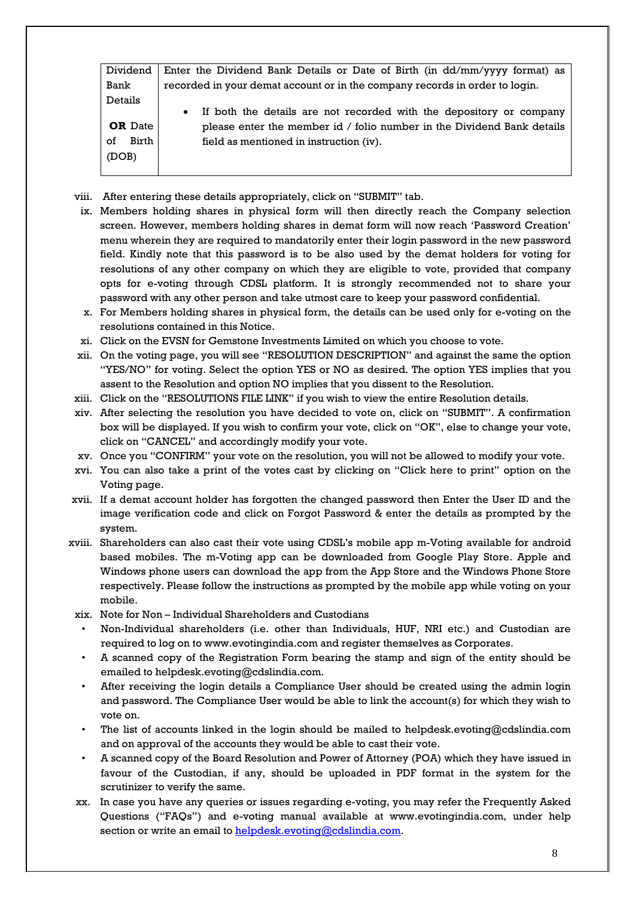| Dividend       | Enter the Dividend Bank Details or Date of Birth (in $\frac{dd}{mm}$ /yyyy format) as |  |  |
|----------------|---------------------------------------------------------------------------------------|--|--|
| Bank           | recorded in your demat account or in the company records in order to login.           |  |  |
| Details        |                                                                                       |  |  |
|                | If both the details are not recorded with the depository or company<br>$\bullet$      |  |  |
| <b>OR</b> Date | please enter the member id / folio number in the Dividend Bank details                |  |  |
| Birth<br>οf    | field as mentioned in instruction (iv).                                               |  |  |
| (DOB)          |                                                                                       |  |  |
|                |                                                                                       |  |  |

- viii. After entering these details appropriately, click on "SUBMIT" tab.
- ix. Members holding shares in physical form will then directly reach the Company selection screen. However, members holding shares in demat form will now reach 'Password Creation' menu wherein they are required to mandatorily enter their login password in the new password field. Kindly note that this password is to be also used by the demat holders for voting for resolutions of any other company on which they are eligible to vote, provided that company opts for e-voting through CDSL platform. It is strongly recommended not to share your password with any other person and take utmost care to keep your password confidential.
- x. For Members holding shares in physical form, the details can be used only for e-voting on the resolutions contained in this Notice.
- xi. Click on the EVSN for Gemstone Investments Limited on which you choose to vote.
- xii. On the voting page, you will see "RESOLUTION DESCRIPTION" and against the same the option "YES/NO" for voting. Select the option YES or NO as desired. The option YES implies that you assent to the Resolution and option NO implies that you dissent to the Resolution.
- xiii. Click on the "RESOLUTIONS FILE LINK" if you wish to view the entire Resolution details.
- xiv. After selecting the resolution you have decided to vote on, click on "SUBMIT". A confirmation box will be displayed. If you wish to confirm your vote, click on "OK", else to change your vote, click on "CANCEL" and accordingly modify your vote.
- xv. Once you "CONFIRM" your vote on the resolution, you will not be allowed to modify your vote.
- xvi. You can also take a print of the votes cast by clicking on "Click here to print" option on the Voting page.
- xvii. If a demat account holder has forgotten the changed password then Enter the User ID and the image verification code and click on Forgot Password & enter the details as prompted by the system.
- xviii. Shareholders can also cast their vote using CDSL's mobile app m-Voting available for android based mobiles. The m-Voting app can be downloaded from Google Play Store. Apple and Windows phone users can download the app from the App Store and the Windows Phone Store respectively. Please follow the instructions as prompted by the mobile app while voting on your mobile.
- xix. Note for Non Individual Shareholders and Custodians
- Non-Individual shareholders (i.e. other than Individuals, HUF, NRI etc.) and Custodian are required to log on to www.evotingindia.com and register themselves as Corporates.
- A scanned copy of the Registration Form bearing the stamp and sign of the entity should be emailed to helpdesk.evoting@cdslindia.com.
- After receiving the login details a Compliance User should be created using the admin login and password. The Compliance User would be able to link the account(s) for which they wish to vote on.
- The list of accounts linked in the login should be mailed to helpdesk.evoting@cdslindia.com and on approval of the accounts they would be able to cast their vote.
- A scanned copy of the Board Resolution and Power of Attorney (POA) which they have issued in favour of the Custodian, if any, should be uploaded in PDF format in the system for the scrutinizer to verify the same.
- xx. In case you have any queries or issues regarding e-voting, you may refer the Frequently Asked Questions ("FAQs") and e-voting manual available at www.evotingindia.com, under help section or write an email t[o helpdesk.evoting@cdslindia.com.](mailto:helpdesk.evoting@cdslindia.com)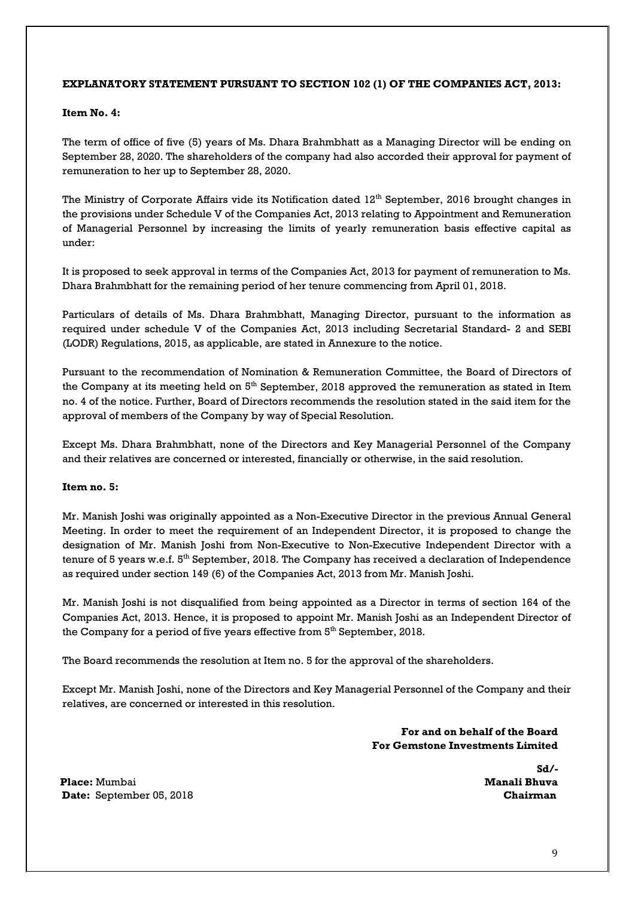#### **EXPLANATORY STATEMENT PURSUANT TO SECTION 102 (1) OF THE COMPANIES ACT, 2013:**

#### **Item No. 4:**

The term of office of five (5) years of Ms. Dhara Brahmbhatt as a Managing Director will be ending on September 28, 2020. The shareholders of the company had also accorded their approval for payment of remuneration to her up to September 28, 2020.

The Ministry of Corporate Affairs vide its Notification dated  $12<sup>th</sup>$  September, 2016 brought changes in the provisions under Schedule V of the Companies Act, 2013 relating to Appointment and Remuneration of Managerial Personnel by increasing the limits of yearly remuneration basis effective capital as under:

It is proposed to seek approval in terms of the Companies Act, 2013 for payment of remuneration to Ms. Dhara Brahmbhatt for the remaining period of her tenure commencing from April 01, 2018.

Particulars of details of Ms. Dhara Brahmbhatt, Managing Director, pursuant to the information as required under schedule V of the Companies Act, 2013 including Secretarial Standard- 2 and SEBI (LODR) Regulations, 2015, as applicable, are stated in Annexure to the notice.

Pursuant to the recommendation of Nomination & Remuneration Committee, the Board of Directors of the Company at its meeting held on  $5<sup>th</sup>$  September, 2018 approved the remuneration as stated in Item no. 4 of the notice. Further, Board of Directors recommends the resolution stated in the said item for the approval of members of the Company by way of Special Resolution.

Except Ms. Dhara Brahmbhatt, none of the Directors and Key Managerial Personnel of the Company and their relatives are concerned or interested, financially or otherwise, in the said resolution.

#### **Item no. 5:**

Mr. Manish Joshi was originally appointed as a Non-Executive Director in the previous Annual General Meeting. In order to meet the requirement of an Independent Director, it is proposed to change the designation of Mr. Manish Joshi from Non-Executive to Non-Executive Independent Director with a tenure of 5 years w.e.f.  $5<sup>th</sup>$  September, 2018. The Company has received a declaration of Independence as required under section 149 (6) of the Companies Act, 2013 from Mr. Manish Joshi.

Mr. Manish Joshi is not disqualified from being appointed as a Director in terms of section 164 of the Companies Act, 2013. Hence, it is proposed to appoint Mr. Manish Joshi as an Independent Director of the Company for a period of five years effective from  $5<sup>th</sup>$  September, 2018.

The Board recommends the resolution at Item no. 5 for the approval of the shareholders.

Except Mr. Manish Joshi, none of the Directors and Key Managerial Personnel of the Company and their relatives, are concerned or interested in this resolution.

> **For and on behalf of the Board For Gemstone Investments Limited**

> > **Sd/-**

**Place:** Mumbai **Manali Bhuva Date:** September 05, 2018 **Chairman**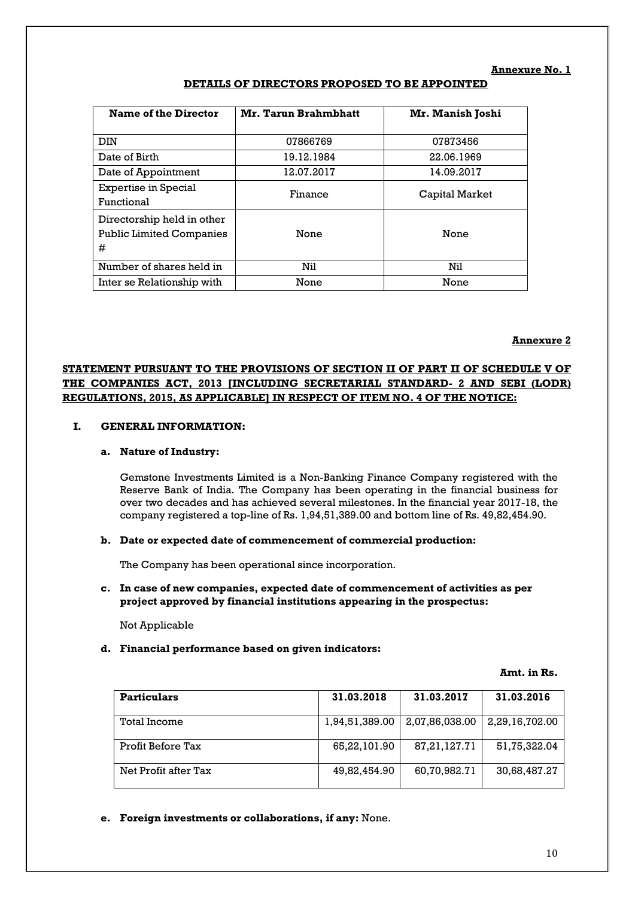#### **Annexure No. 1**

| <b>Name of the Director</b>                                        | Mr. Tarun Brahmbhatt | Mr. Manish Joshi |
|--------------------------------------------------------------------|----------------------|------------------|
| DIN                                                                | 07866769             | 07873456         |
| Date of Birth                                                      | 19.12.1984           | 22.06.1969       |
| Date of Appointment                                                | 12.07.2017           | 14.09.2017       |
| <b>Expertise in Special</b><br>Functional                          | Finance              | Capital Market   |
| Directorship held in other<br><b>Public Limited Companies</b><br># | None                 | None             |
| Number of shares held in                                           | Nil                  | Nil              |
| Inter se Relationship with                                         | None                 | None             |

#### **DETAILS OF DIRECTORS PROPOSED TO BE APPOINTED**

#### **Annexure 2**

#### **STATEMENT PURSUANT TO THE PROVISIONS OF SECTION II OF PART II OF SCHEDULE V OF THE COMPANIES ACT, 2013 [INCLUDING SECRETARIAL STANDARD- 2 AND SEBI (LODR) REGULATIONS, 2015, AS APPLICABLE] IN RESPECT OF ITEM NO. 4 OF THE NOTICE:**

#### **I. GENERAL INFORMATION:**

#### **a. Nature of Industry:**

Gemstone Investments Limited is a Non-Banking Finance Company registered with the Reserve Bank of India. The Company has been operating in the financial business for over two decades and has achieved several milestones. In the financial year 2017-18, the company registered a top-line of Rs. 1,94,51,389.00 and bottom line of Rs. 49,82,454.90.

#### **b. Date or expected date of commencement of commercial production:**

The Company has been operational since incorporation.

**c. In case of new companies, expected date of commencement of activities as per project approved by financial institutions appearing in the prospectus:**

Not Applicable

#### **d. Financial performance based on given indicators:**

#### **Amt. in Rs.**

| <b>Particulars</b>   | 31.03.2018     | 31.03.2017      | 31.03.2016     |
|----------------------|----------------|-----------------|----------------|
| Total Income         | 1,94,51,389.00 | 2,07,86,038.00  | 2,29,16,702.00 |
| Profit Before Tax    | 65,22,101.90   | 87, 21, 127. 71 | 51,75,322.04   |
| Net Profit after Tax | 49,82,454.90   | 60,70,982.71    | 30,68,487.27   |

**e. Foreign investments or collaborations, if any:** None.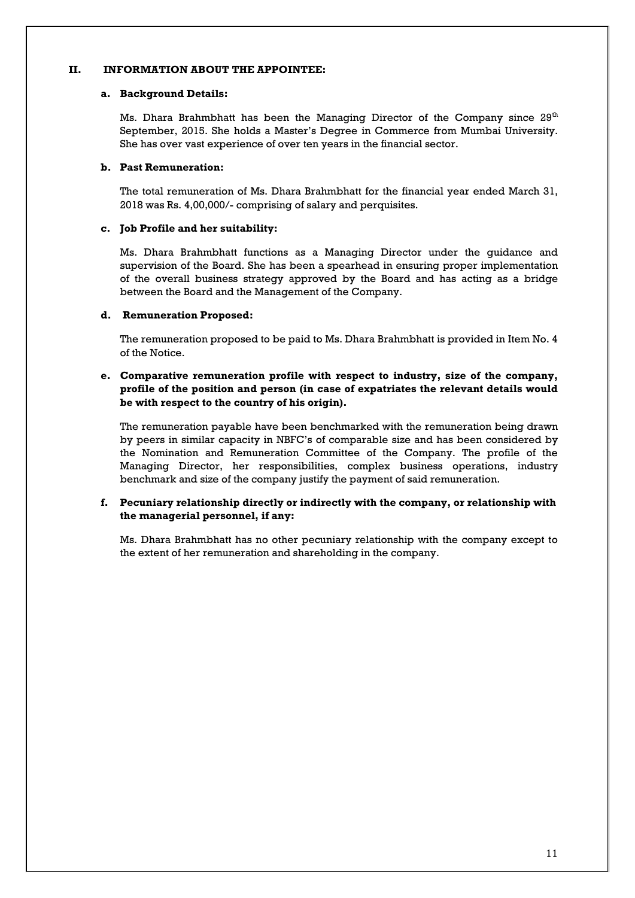#### **II. INFORMATION ABOUT THE APPOINTEE:**

#### **a. Background Details:**

Ms. Dhara Brahmbhatt has been the Managing Director of the Company since  $29<sup>th</sup>$ September, 2015. She holds a Master's Degree in Commerce from Mumbai University. She has over vast experience of over ten years in the financial sector.

#### **b. Past Remuneration:**

The total remuneration of Ms. Dhara Brahmbhatt for the financial year ended March 31, 2018 was Rs. 4,00,000/- comprising of salary and perquisites.

#### **c. Job Profile and her suitability:**

Ms. Dhara Brahmbhatt functions as a Managing Director under the guidance and supervision of the Board. She has been a spearhead in ensuring proper implementation of the overall business strategy approved by the Board and has acting as a bridge between the Board and the Management of the Company.

#### **d. Remuneration Proposed:**

The remuneration proposed to be paid to Ms. Dhara Brahmbhatt is provided in Item No. 4 of the Notice.

#### **e. Comparative remuneration profile with respect to industry, size of the company, profile of the position and person (in case of expatriates the relevant details would be with respect to the country of his origin).**

The remuneration payable have been benchmarked with the remuneration being drawn by peers in similar capacity in NBFC's of comparable size and has been considered by the Nomination and Remuneration Committee of the Company. The profile of the Managing Director, her responsibilities, complex business operations, industry benchmark and size of the company justify the payment of said remuneration.

#### **f. Pecuniary relationship directly or indirectly with the company, or relationship with the managerial personnel, if any:**

Ms. Dhara Brahmbhatt has no other pecuniary relationship with the company except to the extent of her remuneration and shareholding in the company.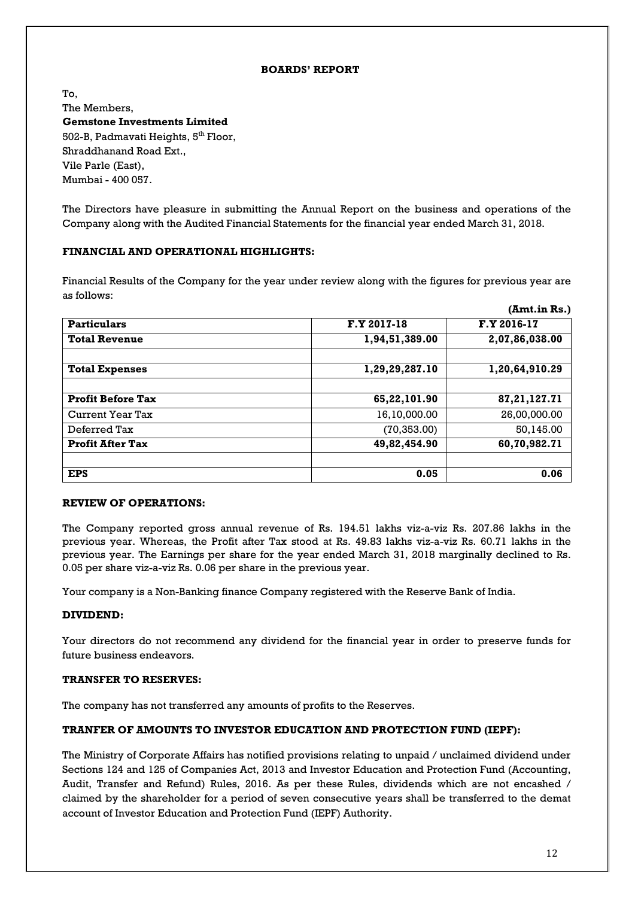#### **BOARDS' REPORT**

To, The Members, **Gemstone Investments Limited** 502-B, Padmavati Heights, 5<sup>th</sup> Floor, Shraddhanand Road Ext., Vile Parle (East), Mumbai - 400 057.

The Directors have pleasure in submitting the Annual Report on the business and operations of the Company along with the Audited Financial Statements for the financial year ended March 31, 2018.

#### **FINANCIAL AND OPERATIONAL HIGHLIGHTS:**

Financial Results of the Company for the year under review along with the figures for previous year are as follows:

|                          |                | (Amt.in Rs.)    |
|--------------------------|----------------|-----------------|
| <b>Particulars</b>       | F.Y 2017-18    | F.Y 2016-17     |
| <b>Total Revenue</b>     | 1,94,51,389.00 | 2,07,86,038.00  |
| <b>Total Expenses</b>    | 1,29,29,287.10 | 1,20,64,910.29  |
| <b>Profit Before Tax</b> | 65,22,101.90   | 87, 21, 127. 71 |
| Current Year Tax         | 16,10,000.00   | 26,00,000.00    |
| Deferred Tax             | (70, 353.00)   | 50,145.00       |
| <b>Profit After Tax</b>  | 49,82,454.90   | 60,70,982.71    |
| <b>EPS</b>               | 0.05           | 0.06            |

#### **REVIEW OF OPERATIONS:**

The Company reported gross annual revenue of Rs. 194.51 lakhs viz-a-viz Rs. 207.86 lakhs in the previous year. Whereas, the Profit after Tax stood at Rs. 49.83 lakhs viz-a-viz Rs. 60.71 lakhs in the previous year. The Earnings per share for the year ended March 31, 2018 marginally declined to Rs. 0.05 per share viz-a-viz Rs. 0.06 per share in the previous year.

Your company is a Non-Banking finance Company registered with the Reserve Bank of India.

#### **DIVIDEND:**

Your directors do not recommend any dividend for the financial year in order to preserve funds for future business endeavors.

#### **TRANSFER TO RESERVES:**

The company has not transferred any amounts of profits to the Reserves.

#### **TRANFER OF AMOUNTS TO INVESTOR EDUCATION AND PROTECTION FUND (IEPF):**

The Ministry of Corporate Affairs has notified provisions relating to unpaid / unclaimed dividend under Sections 124 and 125 of Companies Act, 2013 and Investor Education and Protection Fund (Accounting, Audit, Transfer and Refund) Rules, 2016. As per these Rules, dividends which are not encashed / claimed by the shareholder for a period of seven consecutive years shall be transferred to the demat account of Investor Education and Protection Fund (IEPF) Authority.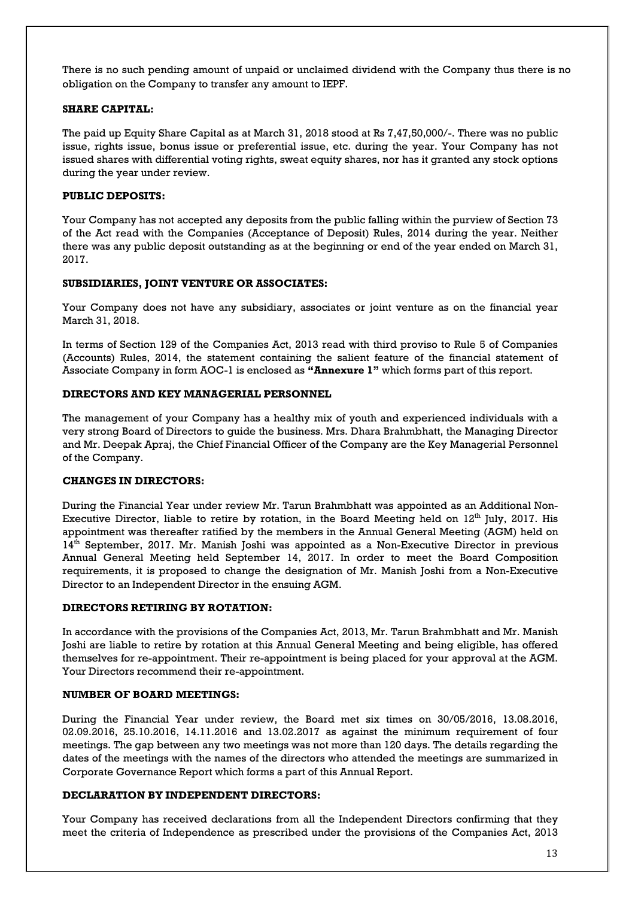There is no such pending amount of unpaid or unclaimed dividend with the Company thus there is no obligation on the Company to transfer any amount to IEPF.

#### **SHARE CAPITAL:**

The paid up Equity Share Capital as at March 31, 2018 stood at Rs 7,47,50,000/-. There was no public issue, rights issue, bonus issue or preferential issue, etc. during the year. Your Company has not issued shares with differential voting rights, sweat equity shares, nor has it granted any stock options during the year under review.

#### **PUBLIC DEPOSITS:**

Your Company has not accepted any deposits from the public falling within the purview of Section 73 of the Act read with the Companies (Acceptance of Deposit) Rules, 2014 during the year. Neither there was any public deposit outstanding as at the beginning or end of the year ended on March 31, 2017.

#### **SUBSIDIARIES, JOINT VENTURE OR ASSOCIATES:**

Your Company does not have any subsidiary, associates or joint venture as on the financial year March 31, 2018.

In terms of Section 129 of the Companies Act, 2013 read with third proviso to Rule 5 of Companies (Accounts) Rules, 2014, the statement containing the salient feature of the financial statement of Associate Company in form AOC-1 is enclosed as **"Annexure 1"** which forms part of this report.

#### **DIRECTORS AND KEY MANAGERIAL PERSONNEL**

The management of your Company has a healthy mix of youth and experienced individuals with a very strong Board of Directors to guide the business. Mrs. Dhara Brahmbhatt, the Managing Director and Mr. Deepak Apraj, the Chief Financial Officer of the Company are the Key Managerial Personnel of the Company.

#### **CHANGES IN DIRECTORS:**

During the Financial Year under review Mr. Tarun Brahmbhatt was appointed as an Additional Non-Executive Director, liable to retire by rotation, in the Board Meeting held on  $12<sup>th</sup>$  July, 2017. His appointment was thereafter ratified by the members in the Annual General Meeting (AGM) held on 14<sup>th</sup> September, 2017. Mr. Manish Joshi was appointed as a Non-Executive Director in previous Annual General Meeting held September 14, 2017. In order to meet the Board Composition requirements, it is proposed to change the designation of Mr. Manish Joshi from a Non-Executive Director to an Independent Director in the ensuing AGM.

#### **DIRECTORS RETIRING BY ROTATION:**

In accordance with the provisions of the Companies Act, 2013, Mr. Tarun Brahmbhatt and Mr. Manish Joshi are liable to retire by rotation at this Annual General Meeting and being eligible, has offered themselves for re-appointment. Their re-appointment is being placed for your approval at the AGM. Your Directors recommend their re-appointment.

#### **NUMBER OF BOARD MEETINGS:**

During the Financial Year under review, the Board met six times on 30/05/2016, 13.08.2016, 02.09.2016, 25.10.2016, 14.11.2016 and 13.02.2017 as against the minimum requirement of four meetings. The gap between any two meetings was not more than 120 days. The details regarding the dates of the meetings with the names of the directors who attended the meetings are summarized in Corporate Governance Report which forms a part of this Annual Report.

#### **DECLARATION BY INDEPENDENT DIRECTORS:**

Your Company has received declarations from all the Independent Directors confirming that they meet the criteria of Independence as prescribed under the provisions of the Companies Act, 2013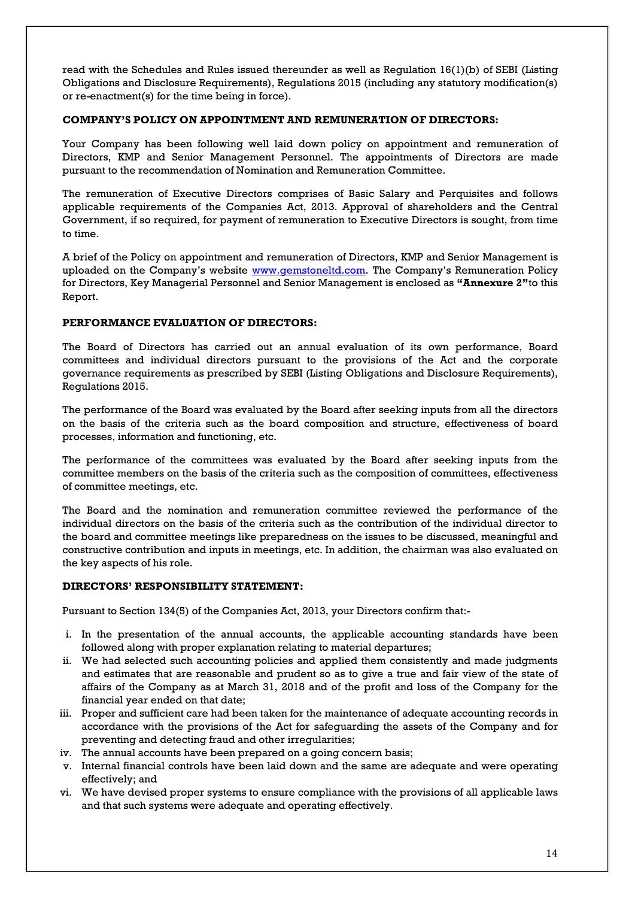read with the Schedules and Rules issued thereunder as well as Regulation 16(1)(b) of SEBI (Listing Obligations and Disclosure Requirements), Regulations 2015 (including any statutory modification(s) or re-enactment(s) for the time being in force).

#### **COMPANY'S POLICY ON APPOINTMENT AND REMUNERATION OF DIRECTORS:**

Your Company has been following well laid down policy on appointment and remuneration of Directors, KMP and Senior Management Personnel. The appointments of Directors are made pursuant to the recommendation of Nomination and Remuneration Committee.

The remuneration of Executive Directors comprises of Basic Salary and Perquisites and follows applicable requirements of the Companies Act, 2013. Approval of shareholders and the Central Government, if so required, for payment of remuneration to Executive Directors is sought, from time to time.

A brief of the Policy on appointment and remuneration of Directors, KMP and Senior Management is uploaded on the Company's website [www.gemstoneltd.com.](http://www.gemstoneltd.com/) The Company's Remuneration Policy for Directors, Key Managerial Personnel and Senior Management is enclosed as **"Annexure 2"**to this Report.

#### **PERFORMANCE EVALUATION OF DIRECTORS:**

The Board of Directors has carried out an annual evaluation of its own performance, Board committees and individual directors pursuant to the provisions of the Act and the corporate governance requirements as prescribed by SEBI (Listing Obligations and Disclosure Requirements), Regulations 2015.

The performance of the Board was evaluated by the Board after seeking inputs from all the directors on the basis of the criteria such as the board composition and structure, effectiveness of board processes, information and functioning, etc.

The performance of the committees was evaluated by the Board after seeking inputs from the committee members on the basis of the criteria such as the composition of committees, effectiveness of committee meetings, etc.

The Board and the nomination and remuneration committee reviewed the performance of the individual directors on the basis of the criteria such as the contribution of the individual director to the board and committee meetings like preparedness on the issues to be discussed, meaningful and constructive contribution and inputs in meetings, etc. In addition, the chairman was also evaluated on the key aspects of his role.

#### **DIRECTORS' RESPONSIBILITY STATEMENT:**

Pursuant to Section 134(5) of the Companies Act, 2013, your Directors confirm that:-

- i. In the presentation of the annual accounts, the applicable accounting standards have been followed along with proper explanation relating to material departures;
- ii. We had selected such accounting policies and applied them consistently and made judgments and estimates that are reasonable and prudent so as to give a true and fair view of the state of affairs of the Company as at March 31, 2018 and of the profit and loss of the Company for the financial year ended on that date;
- iii. Proper and sufficient care had been taken for the maintenance of adequate accounting records in accordance with the provisions of the Act for safeguarding the assets of the Company and for preventing and detecting fraud and other irregularities;
- iv. The annual accounts have been prepared on a going concern basis;
- v. Internal financial controls have been laid down and the same are adequate and were operating effectively; and
- vi. We have devised proper systems to ensure compliance with the provisions of all applicable laws and that such systems were adequate and operating effectively.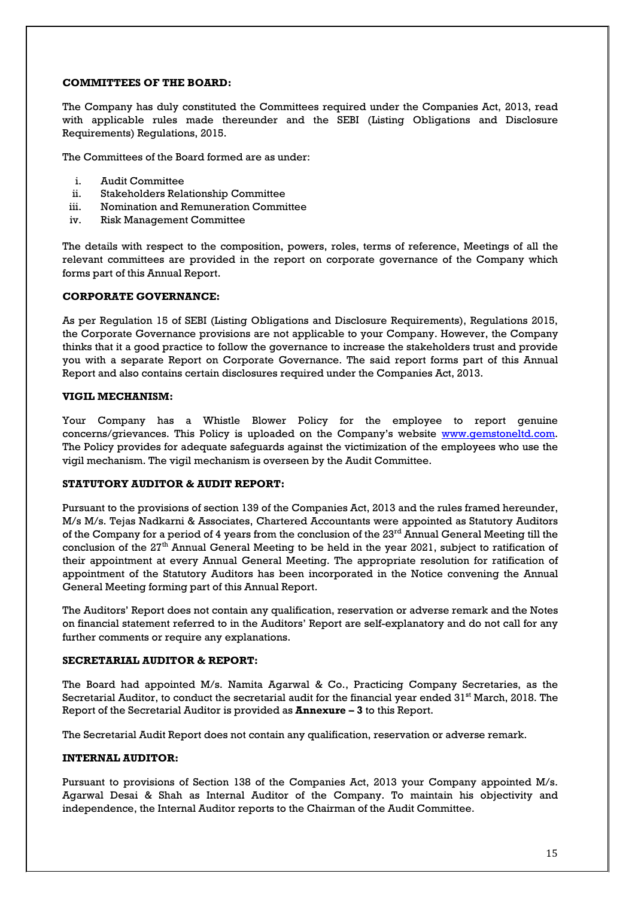#### **COMMITTEES OF THE BOARD:**

The Company has duly constituted the Committees required under the Companies Act, 2013, read with applicable rules made thereunder and the SEBI (Listing Obligations and Disclosure Requirements) Regulations, 2015.

The Committees of the Board formed are as under:

- i. Audit Committee
- ii. Stakeholders Relationship Committee
- iii. Nomination and Remuneration Committee
- iv. Risk Management Committee

The details with respect to the composition, powers, roles, terms of reference, Meetings of all the relevant committees are provided in the report on corporate governance of the Company which forms part of this Annual Report.

#### **CORPORATE GOVERNANCE:**

As per Regulation 15 of SEBI (Listing Obligations and Disclosure Requirements), Regulations 2015, the Corporate Governance provisions are not applicable to your Company. However, the Company thinks that it a good practice to follow the governance to increase the stakeholders trust and provide you with a separate Report on Corporate Governance. The said report forms part of this Annual Report and also contains certain disclosures required under the Companies Act, 2013.

#### **VIGIL MECHANISM:**

Your Company has a Whistle Blower Policy for the employee to report genuine concerns/grievances. This Policy is uploaded on the Company's website [www.gemstoneltd.com.](http://www.gemstoneltd.com/) The Policy provides for adequate safeguards against the victimization of the employees who use the vigil mechanism. The vigil mechanism is overseen by the Audit Committee.

#### **STATUTORY AUDITOR & AUDIT REPORT:**

Pursuant to the provisions of section 139 of the Companies Act, 2013 and the rules framed hereunder, M/s M/s. Tejas Nadkarni & Associates, Chartered Accountants were appointed as Statutory Auditors of the Company for a period of 4 years from the conclusion of the 23<sup>rd</sup> Annual General Meeting till the conclusion of the  $27<sup>th</sup>$  Annual General Meeting to be held in the year 2021, subject to ratification of their appointment at every Annual General Meeting. The appropriate resolution for ratification of appointment of the Statutory Auditors has been incorporated in the Notice convening the Annual General Meeting forming part of this Annual Report.

The Auditors' Report does not contain any qualification, reservation or adverse remark and the Notes on financial statement referred to in the Auditors' Report are self-explanatory and do not call for any further comments or require any explanations.

#### **SECRETARIAL AUDITOR & REPORT:**

The Board had appointed M/s. Namita Agarwal & Co., Practicing Company Secretaries, as the Secretarial Auditor, to conduct the secretarial audit for the financial year ended  $31<sup>st</sup>$  March, 2018. The Report of the Secretarial Auditor is provided as **Annexure – 3** to this Report.

The Secretarial Audit Report does not contain any qualification, reservation or adverse remark.

#### **INTERNAL AUDITOR:**

Pursuant to provisions of Section 138 of the Companies Act, 2013 your Company appointed M/s. Agarwal Desai & Shah as Internal Auditor of the Company. To maintain his objectivity and independence, the Internal Auditor reports to the Chairman of the Audit Committee.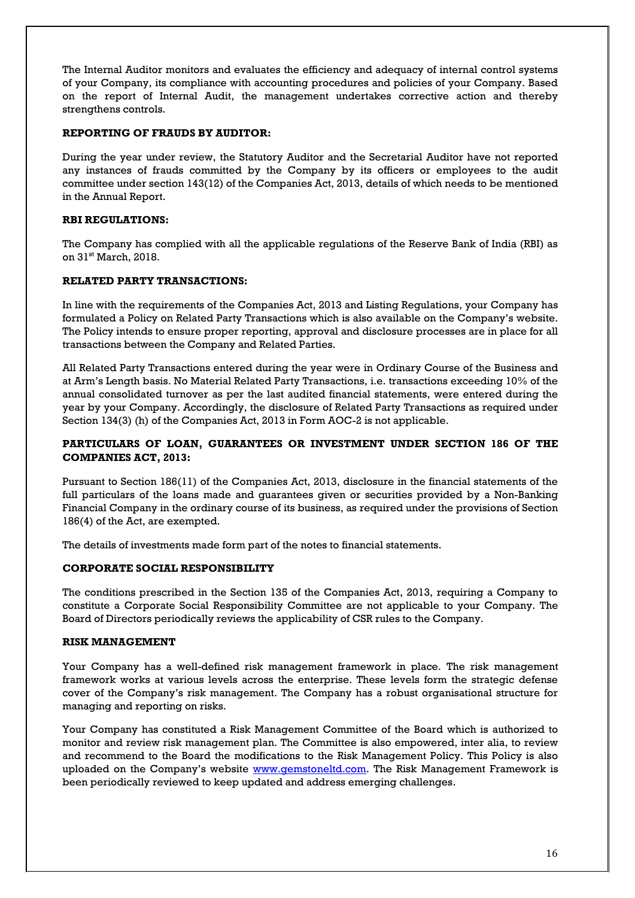The Internal Auditor monitors and evaluates the efficiency and adequacy of internal control systems of your Company, its compliance with accounting procedures and policies of your Company. Based on the report of Internal Audit, the management undertakes corrective action and thereby strengthens controls.

#### **REPORTING OF FRAUDS BY AUDITOR:**

During the year under review, the Statutory Auditor and the Secretarial Auditor have not reported any instances of frauds committed by the Company by its officers or employees to the audit committee under section 143(12) of the Companies Act, 2013, details of which needs to be mentioned in the Annual Report.

#### **RBI REGULATIONS:**

The Company has complied with all the applicable regulations of the Reserve Bank of India (RBI) as on 31<sup>st</sup> March, 2018.

#### **RELATED PARTY TRANSACTIONS:**

In line with the requirements of the Companies Act, 2013 and Listing Regulations, your Company has formulated a Policy on Related Party Transactions which is also available on the Company's website. The Policy intends to ensure proper reporting, approval and disclosure processes are in place for all transactions between the Company and Related Parties.

All Related Party Transactions entered during the year were in Ordinary Course of the Business and at Arm's Length basis. No Material Related Party Transactions, i.e. transactions exceeding 10% of the annual consolidated turnover as per the last audited financial statements, were entered during the year by your Company. Accordingly, the disclosure of Related Party Transactions as required under Section 134(3) (h) of the Companies Act, 2013 in Form AOC-2 is not applicable.

#### **PARTICULARS OF LOAN, GUARANTEES OR INVESTMENT UNDER SECTION 186 OF THE COMPANIES ACT, 2013:**

Pursuant to Section 186(11) of the Companies Act, 2013, disclosure in the financial statements of the full particulars of the loans made and guarantees given or securities provided by a Non-Banking Financial Company in the ordinary course of its business, as required under the provisions of Section 186(4) of the Act, are exempted.

The details of investments made form part of the notes to financial statements.

#### **CORPORATE SOCIAL RESPONSIBILITY**

The conditions prescribed in the Section 135 of the Companies Act, 2013, requiring a Company to constitute a Corporate Social Responsibility Committee are not applicable to your Company. The Board of Directors periodically reviews the applicability of CSR rules to the Company.

#### **RISK MANAGEMENT**

Your Company has a well-defined risk management framework in place. The risk management framework works at various levels across the enterprise. These levels form the strategic defense cover of the Company's risk management. The Company has a robust organisational structure for managing and reporting on risks.

Your Company has constituted a Risk Management Committee of the Board which is authorized to monitor and review risk management plan. The Committee is also empowered, inter alia, to review and recommend to the Board the modifications to the Risk Management Policy. This Policy is also uploaded on the Company's website [www.gemstoneltd.com.](http://www.gemstoneltd.com/) The Risk Management Framework is been periodically reviewed to keep updated and address emerging challenges.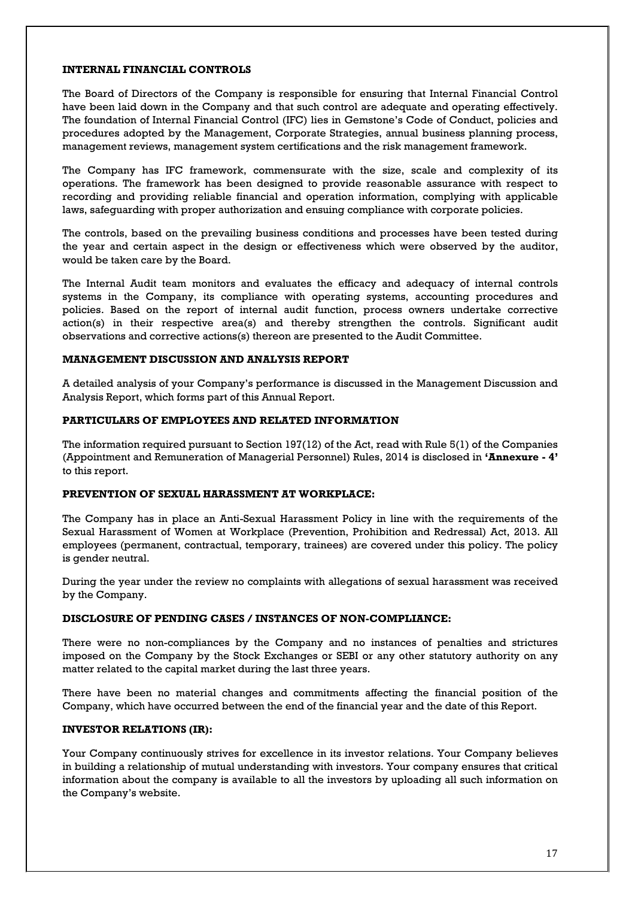#### **INTERNAL FINANCIAL CONTROLS**

The Board of Directors of the Company is responsible for ensuring that Internal Financial Control have been laid down in the Company and that such control are adequate and operating effectively. The foundation of Internal Financial Control (IFC) lies in Gemstone's Code of Conduct, policies and procedures adopted by the Management, Corporate Strategies, annual business planning process, management reviews, management system certifications and the risk management framework.

The Company has IFC framework, commensurate with the size, scale and complexity of its operations. The framework has been designed to provide reasonable assurance with respect to recording and providing reliable financial and operation information, complying with applicable laws, safeguarding with proper authorization and ensuing compliance with corporate policies.

The controls, based on the prevailing business conditions and processes have been tested during the year and certain aspect in the design or effectiveness which were observed by the auditor, would be taken care by the Board.

The Internal Audit team monitors and evaluates the efficacy and adequacy of internal controls systems in the Company, its compliance with operating systems, accounting procedures and policies. Based on the report of internal audit function, process owners undertake corrective action(s) in their respective area(s) and thereby strengthen the controls. Significant audit observations and corrective actions(s) thereon are presented to the Audit Committee.

#### **MANAGEMENT DISCUSSION AND ANALYSIS REPORT**

A detailed analysis of your Company's performance is discussed in the Management Discussion and Analysis Report, which forms part of this Annual Report.

#### **PARTICULARS OF EMPLOYEES AND RELATED INFORMATION**

The information required pursuant to Section 197(12) of the Act, read with Rule 5(1) of the Companies (Appointment and Remuneration of Managerial Personnel) Rules, 2014 is disclosed in **'Annexure - 4'** to this report.

#### **PREVENTION OF SEXUAL HARASSMENT AT WORKPLACE:**

The Company has in place an Anti-Sexual Harassment Policy in line with the requirements of the Sexual Harassment of Women at Workplace (Prevention, Prohibition and Redressal) Act, 2013. All employees (permanent, contractual, temporary, trainees) are covered under this policy. The policy is gender neutral.

During the year under the review no complaints with allegations of sexual harassment was received by the Company.

#### **DISCLOSURE OF PENDING CASES / INSTANCES OF NON-COMPLIANCE:**

There were no non-compliances by the Company and no instances of penalties and strictures imposed on the Company by the Stock Exchanges or SEBI or any other statutory authority on any matter related to the capital market during the last three years.

There have been no material changes and commitments affecting the financial position of the Company, which have occurred between the end of the financial year and the date of this Report.

#### **INVESTOR RELATIONS (IR):**

Your Company continuously strives for excellence in its investor relations. Your Company believes in building a relationship of mutual understanding with investors. Your company ensures that critical information about the company is available to all the investors by uploading all such information on the Company's website.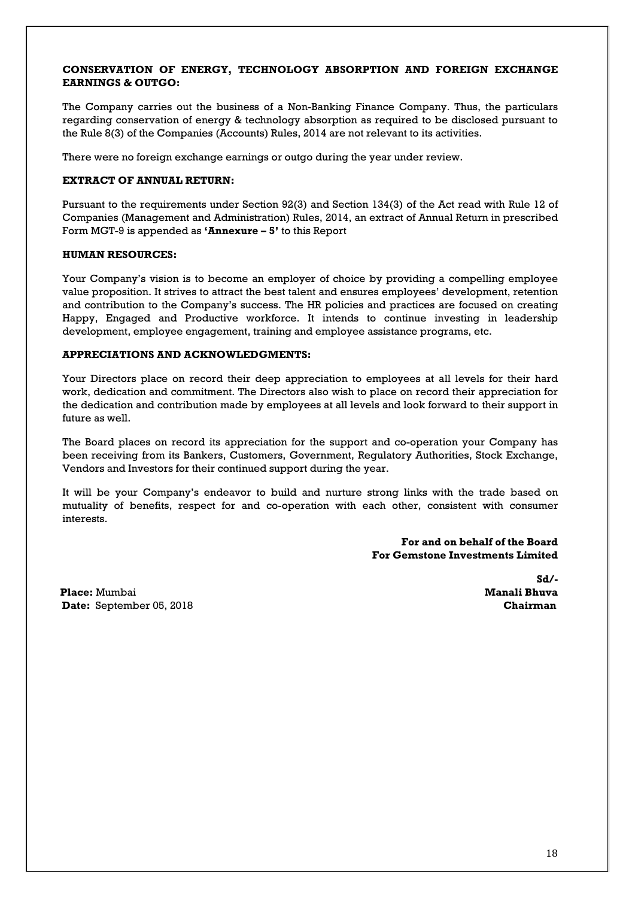#### **CONSERVATION OF ENERGY, TECHNOLOGY ABSORPTION AND FOREIGN EXCHANGE EARNINGS & OUTGO:**

The Company carries out the business of a Non-Banking Finance Company. Thus, the particulars regarding conservation of energy & technology absorption as required to be disclosed pursuant to the Rule 8(3) of the Companies (Accounts) Rules, 2014 are not relevant to its activities.

There were no foreign exchange earnings or outgo during the year under review.

#### **EXTRACT OF ANNUAL RETURN:**

Pursuant to the requirements under Section 92(3) and Section 134(3) of the Act read with Rule 12 of Companies (Management and Administration) Rules, 2014, an extract of Annual Return in prescribed Form MGT-9 is appended as **'Annexure – 5'** to this Report

#### **HUMAN RESOURCES:**

Your Company's vision is to become an employer of choice by providing a compelling employee value proposition. It strives to attract the best talent and ensures employees' development, retention and contribution to the Company's success. The HR policies and practices are focused on creating Happy, Engaged and Productive workforce. It intends to continue investing in leadership development, employee engagement, training and employee assistance programs, etc.

#### **APPRECIATIONS AND ACKNOWLEDGMENTS:**

Your Directors place on record their deep appreciation to employees at all levels for their hard work, dedication and commitment. The Directors also wish to place on record their appreciation for the dedication and contribution made by employees at all levels and look forward to their support in future as well.

The Board places on record its appreciation for the support and co-operation your Company has been receiving from its Bankers, Customers, Government, Regulatory Authorities, Stock Exchange, Vendors and Investors for their continued support during the year.

It will be your Company's endeavor to build and nurture strong links with the trade based on mutuality of benefits, respect for and co-operation with each other, consistent with consumer interests.

> **For and on behalf of the Board For Gemstone Investments Limited**

**Place:** Mumbai **Manali Bhuva Date:** September 05, 2018

 **Sd/-**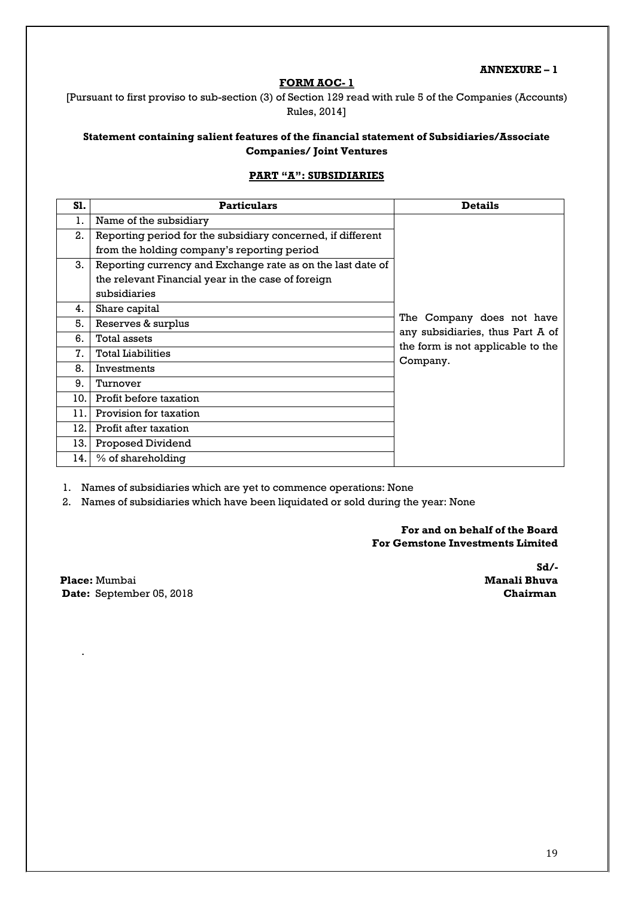#### **ANNEXURE – 1**

#### **FORM AOC- 1**

[Pursuant to first proviso to sub-section (3) of Section 129 read with rule 5 of the Companies (Accounts) Rules, 2014]

#### **Statement containing salient features of the financial statement of Subsidiaries/Associate Companies/ Joint Ventures**

#### **PART "A": SUBSIDIARIES**

| S1. | <b>Particulars</b>                                          | <b>Details</b>                    |
|-----|-------------------------------------------------------------|-----------------------------------|
| 1.  | Name of the subsidiary                                      |                                   |
| 2.  | Reporting period for the subsidiary concerned, if different |                                   |
|     | from the holding company's reporting period                 |                                   |
| 3.  | Reporting currency and Exchange rate as on the last date of |                                   |
|     | the relevant Financial year in the case of foreign          |                                   |
|     | subsidiaries                                                |                                   |
| 4.  | Share capital                                               |                                   |
| 5.  | Reserves & surplus                                          | The Company does not have         |
| 6.  | Total assets                                                | any subsidiaries, thus Part A of  |
| 7.  | <b>Total Liabilities</b>                                    | the form is not applicable to the |
| 8.  | Investments                                                 | Company.                          |
| 9.  | Turnover                                                    |                                   |
| 10. | Profit before taxation                                      |                                   |
| 11. | Provision for taxation                                      |                                   |
| 12. | Profit after taxation                                       |                                   |
| 13. | Proposed Dividend                                           |                                   |
| 14. | % of shareholding                                           |                                   |

1. Names of subsidiaries which are yet to commence operations: None

2. Names of subsidiaries which have been liquidated or sold during the year: None

 **For and on behalf of the Board For Gemstone Investments Limited**

**Place:** Mumbai Date: September 05, 2018<br> **Date: September 05, 2018** 

.

 **Sd/-**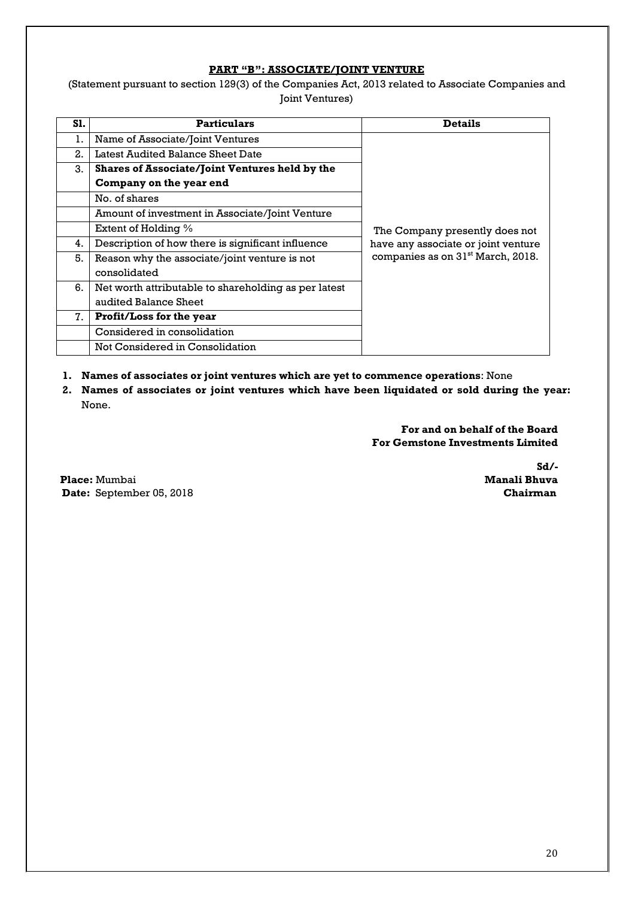#### **PART "B": ASSOCIATE/JOINT VENTURE**

(Statement pursuant to section 129(3) of the Companies Act, 2013 related to Associate Companies and Joint Ventures)

| S1. | <b>Particulars</b>                                   | <b>Details</b>                                |
|-----|------------------------------------------------------|-----------------------------------------------|
| ı.  | Name of Associate/Joint Ventures                     |                                               |
| 2.  | Latest Audited Balance Sheet Date                    |                                               |
| 3.  | Shares of Associate/Joint Ventures held by the       |                                               |
|     | Company on the year end                              |                                               |
|     | No. of shares                                        |                                               |
|     | Amount of investment in Associate/Joint Venture      |                                               |
|     | Extent of Holding $\%$                               | The Company presently does not                |
| 4.  | Description of how there is significant influence    | have any associate or joint venture           |
| 5.  | Reason why the associate/joint venture is not        | companies as on 31 <sup>st</sup> March, 2018. |
|     | consolidated                                         |                                               |
| 6.  | Net worth attributable to shareholding as per latest |                                               |
|     | audited Balance Sheet                                |                                               |
| 7.  | <b>Profit/Loss for the year</b>                      |                                               |
|     | Considered in consolidation                          |                                               |
|     | Not Considered in Consolidation                      |                                               |

- **1. Names of associates or joint ventures which are yet to commence operations**: None
- **2. Names of associates or joint ventures which have been liquidated or sold during the year:** None.

 **For and on behalf of the Board For Gemstone Investments Limited**

**Place:** Mumbai **Date:** September 05, 2018 **Chairman** 

 **Sd/-**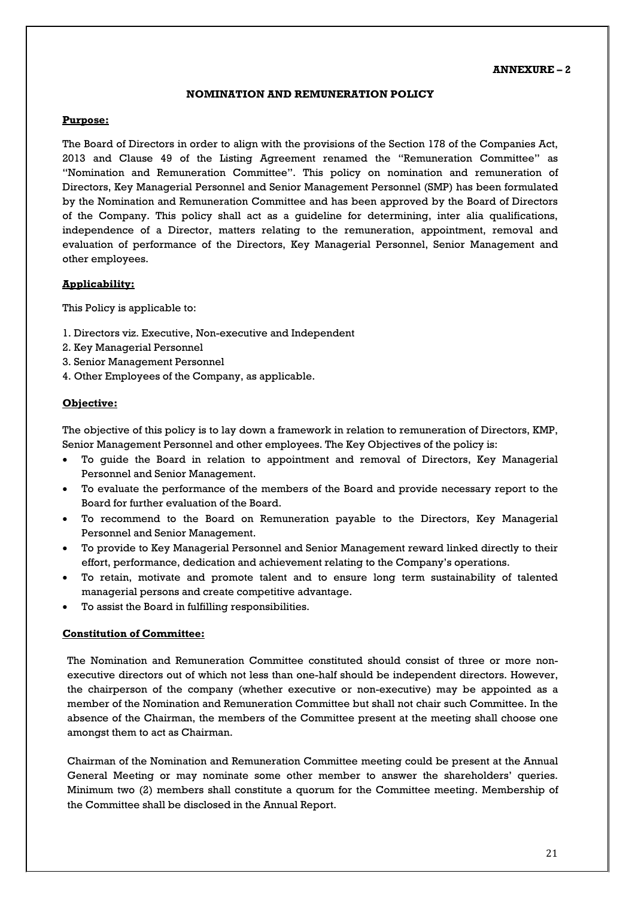#### **ANNEXURE – 2**

#### **NOMINATION AND REMUNERATION POLICY**

#### **Purpose:**

The Board of Directors in order to align with the provisions of the Section 178 of the Companies Act, 2013 and Clause 49 of the Listing Agreement renamed the "Remuneration Committee" as "Nomination and Remuneration Committee". This policy on nomination and remuneration of Directors, Key Managerial Personnel and Senior Management Personnel (SMP) has been formulated by the Nomination and Remuneration Committee and has been approved by the Board of Directors of the Company. This policy shall act as a guideline for determining, inter alia qualifications, independence of a Director, matters relating to the remuneration, appointment, removal and evaluation of performance of the Directors, Key Managerial Personnel, Senior Management and other employees.

#### **Applicability:**

This Policy is applicable to:

- 1. Directors viz. Executive, Non-executive and Independent
- 2. Key Managerial Personnel
- 3. Senior Management Personnel
- 4. Other Employees of the Company, as applicable.

#### **Objective:**

The objective of this policy is to lay down a framework in relation to remuneration of Directors, KMP, Senior Management Personnel and other employees. The Key Objectives of the policy is:

- To guide the Board in relation to appointment and removal of Directors, Key Managerial Personnel and Senior Management.
- To evaluate the performance of the members of the Board and provide necessary report to the Board for further evaluation of the Board.
- To recommend to the Board on Remuneration payable to the Directors, Key Managerial Personnel and Senior Management.
- To provide to Key Managerial Personnel and Senior Management reward linked directly to their effort, performance, dedication and achievement relating to the Company's operations.
- To retain, motivate and promote talent and to ensure long term sustainability of talented managerial persons and create competitive advantage.
- To assist the Board in fulfilling responsibilities.

#### **Constitution of Committee:**

The Nomination and Remuneration Committee constituted should consist of three or more nonexecutive directors out of which not less than one-half should be independent directors. However, the chairperson of the company (whether executive or non-executive) may be appointed as a member of the Nomination and Remuneration Committee but shall not chair such Committee. In the absence of the Chairman, the members of the Committee present at the meeting shall choose one amongst them to act as Chairman.

Chairman of the Nomination and Remuneration Committee meeting could be present at the Annual General Meeting or may nominate some other member to answer the shareholders' queries. Minimum two (2) members shall constitute a quorum for the Committee meeting. Membership of the Committee shall be disclosed in the Annual Report.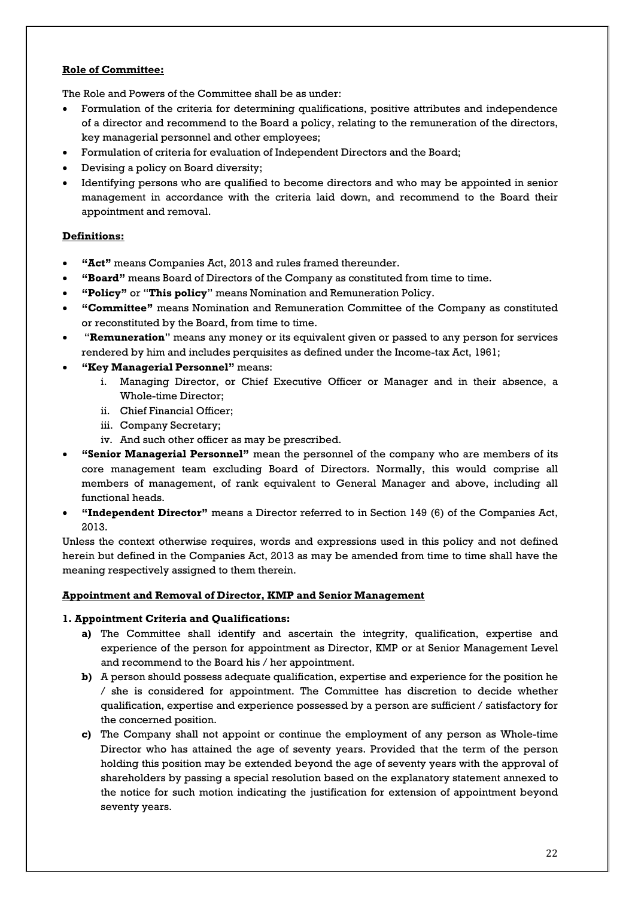#### **Role of Committee:**

The Role and Powers of the Committee shall be as under:

- Formulation of the criteria for determining qualifications, positive attributes and independence of a director and recommend to the Board a policy, relating to the remuneration of the directors, key managerial personnel and other employees;
- Formulation of criteria for evaluation of Independent Directors and the Board;
- Devising a policy on Board diversity;
- Identifying persons who are qualified to become directors and who may be appointed in senior management in accordance with the criteria laid down, and recommend to the Board their appointment and removal.

#### **Definitions:**

- **"Act"** means Companies Act, 2013 and rules framed thereunder.
- **"Board"** means Board of Directors of the Company as constituted from time to time.
- **"Policy"** or "**This policy**" means Nomination and Remuneration Policy.
- **"Committee"** means Nomination and Remuneration Committee of the Company as constituted or reconstituted by the Board, from time to time.
- "**Remuneration**" means any money or its equivalent given or passed to any person for services rendered by him and includes perquisites as defined under the Income-tax Act, 1961;
- **"Key Managerial Personnel"** means:
	- i. Managing Director, or Chief Executive Officer or Manager and in their absence, a Whole-time Director;
	- ii. Chief Financial Officer;
	- iii. Company Secretary;
	- iv. And such other officer as may be prescribed.
- **"Senior Managerial Personnel"** mean the personnel of the company who are members of its core management team excluding Board of Directors. Normally, this would comprise all members of management, of rank equivalent to General Manager and above, including all functional heads.
- **"Independent Director"** means a Director referred to in Section 149 (6) of the Companies Act, 2013.

Unless the context otherwise requires, words and expressions used in this policy and not defined herein but defined in the Companies Act, 2013 as may be amended from time to time shall have the meaning respectively assigned to them therein.

#### **Appointment and Removal of Director, KMP and Senior Management**

#### **1. Appointment Criteria and Qualifications:**

- **a)** The Committee shall identify and ascertain the integrity, qualification, expertise and experience of the person for appointment as Director, KMP or at Senior Management Level and recommend to the Board his / her appointment.
- **b)** A person should possess adequate qualification, expertise and experience for the position he / she is considered for appointment. The Committee has discretion to decide whether qualification, expertise and experience possessed by a person are sufficient / satisfactory for the concerned position.
- **c)** The Company shall not appoint or continue the employment of any person as Whole-time Director who has attained the age of seventy years. Provided that the term of the person holding this position may be extended beyond the age of seventy years with the approval of shareholders by passing a special resolution based on the explanatory statement annexed to the notice for such motion indicating the justification for extension of appointment beyond seventy years.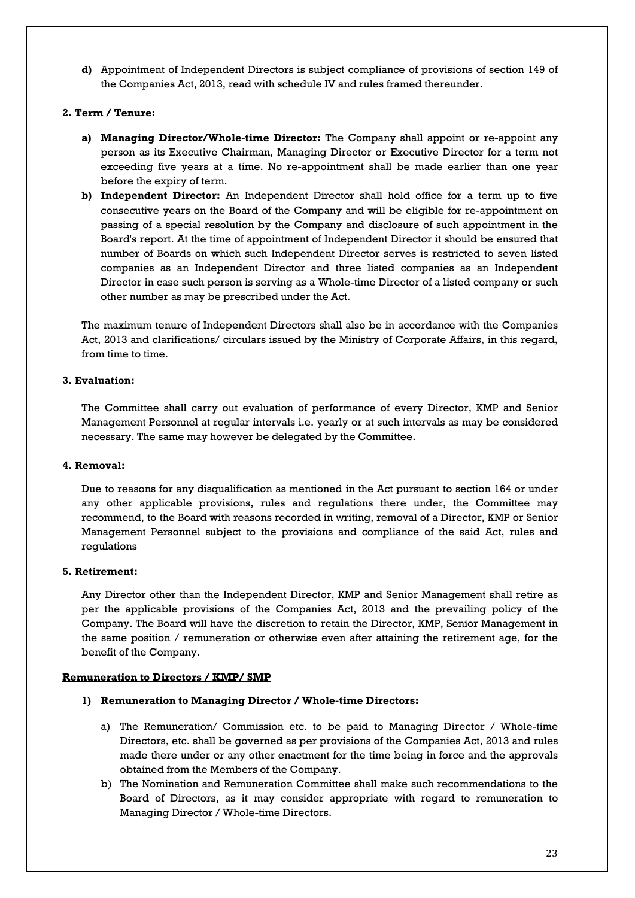**d)** Appointment of Independent Directors is subject compliance of provisions of section 149 of the Companies Act, 2013, read with schedule IV and rules framed thereunder.

#### **2. Term / Tenure:**

- **a) Managing Director/Whole-time Director:** The Company shall appoint or re-appoint any person as its Executive Chairman, Managing Director or Executive Director for a term not exceeding five years at a time. No re-appointment shall be made earlier than one year before the expiry of term.
- **b) Independent Director:** An Independent Director shall hold office for a term up to five consecutive years on the Board of the Company and will be eligible for re-appointment on passing of a special resolution by the Company and disclosure of such appointment in the Board's report. At the time of appointment of Independent Director it should be ensured that number of Boards on which such Independent Director serves is restricted to seven listed companies as an Independent Director and three listed companies as an Independent Director in case such person is serving as a Whole-time Director of a listed company or such other number as may be prescribed under the Act.

The maximum tenure of Independent Directors shall also be in accordance with the Companies Act, 2013 and clarifications/ circulars issued by the Ministry of Corporate Affairs, in this regard, from time to time.

#### **3. Evaluation:**

The Committee shall carry out evaluation of performance of every Director, KMP and Senior Management Personnel at regular intervals i.e. yearly or at such intervals as may be considered necessary. The same may however be delegated by the Committee.

#### **4. Removal:**

Due to reasons for any disqualification as mentioned in the Act pursuant to section 164 or under any other applicable provisions, rules and regulations there under, the Committee may recommend, to the Board with reasons recorded in writing, removal of a Director, KMP or Senior Management Personnel subject to the provisions and compliance of the said Act, rules and regulations

#### **5. Retirement:**

Any Director other than the Independent Director, KMP and Senior Management shall retire as per the applicable provisions of the Companies Act, 2013 and the prevailing policy of the Company. The Board will have the discretion to retain the Director, KMP, Senior Management in the same position / remuneration or otherwise even after attaining the retirement age, for the benefit of the Company.

#### **Remuneration to Directors / KMP/ SMP**

#### **1) Remuneration to Managing Director / Whole-time Directors:**

- a) The Remuneration/ Commission etc. to be paid to Managing Director / Whole-time Directors, etc. shall be governed as per provisions of the Companies Act, 2013 and rules made there under or any other enactment for the time being in force and the approvals obtained from the Members of the Company.
- b) The Nomination and Remuneration Committee shall make such recommendations to the Board of Directors, as it may consider appropriate with regard to remuneration to Managing Director / Whole-time Directors.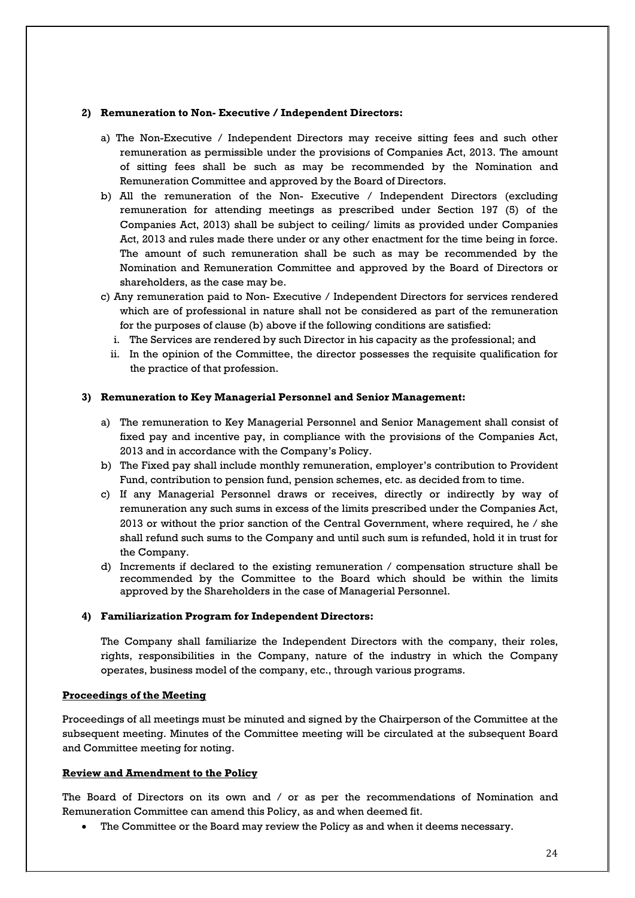#### **2) Remuneration to Non- Executive / Independent Directors:**

- a) The Non-Executive / Independent Directors may receive sitting fees and such other remuneration as permissible under the provisions of Companies Act, 2013. The amount of sitting fees shall be such as may be recommended by the Nomination and Remuneration Committee and approved by the Board of Directors.
- b) All the remuneration of the Non- Executive / Independent Directors (excluding remuneration for attending meetings as prescribed under Section 197 (5) of the Companies Act, 2013) shall be subject to ceiling/ limits as provided under Companies Act, 2013 and rules made there under or any other enactment for the time being in force. The amount of such remuneration shall be such as may be recommended by the Nomination and Remuneration Committee and approved by the Board of Directors or shareholders, as the case may be.
- c) Any remuneration paid to Non- Executive / Independent Directors for services rendered which are of professional in nature shall not be considered as part of the remuneration for the purposes of clause (b) above if the following conditions are satisfied:
	- i. The Services are rendered by such Director in his capacity as the professional; and
	- ii. In the opinion of the Committee, the director possesses the requisite qualification for the practice of that profession.

#### **3) Remuneration to Key Managerial Personnel and Senior Management:**

- a) The remuneration to Key Managerial Personnel and Senior Management shall consist of fixed pay and incentive pay, in compliance with the provisions of the Companies Act, 2013 and in accordance with the Company's Policy.
- b) The Fixed pay shall include monthly remuneration, employer's contribution to Provident Fund, contribution to pension fund, pension schemes, etc. as decided from to time.
- c) If any Managerial Personnel draws or receives, directly or indirectly by way of remuneration any such sums in excess of the limits prescribed under the Companies Act, 2013 or without the prior sanction of the Central Government, where required, he / she shall refund such sums to the Company and until such sum is refunded, hold it in trust for the Company.
- d) Increments if declared to the existing remuneration / compensation structure shall be recommended by the Committee to the Board which should be within the limits approved by the Shareholders in the case of Managerial Personnel.

#### **4) Familiarization Program for Independent Directors:**

The Company shall familiarize the Independent Directors with the company, their roles, rights, responsibilities in the Company, nature of the industry in which the Company operates, business model of the company, etc., through various programs.

#### **Proceedings of the Meeting**

Proceedings of all meetings must be minuted and signed by the Chairperson of the Committee at the subsequent meeting. Minutes of the Committee meeting will be circulated at the subsequent Board and Committee meeting for noting.

#### **Review and Amendment to the Policy**

The Board of Directors on its own and / or as per the recommendations of Nomination and Remuneration Committee can amend this Policy, as and when deemed fit.

The Committee or the Board may review the Policy as and when it deems necessary.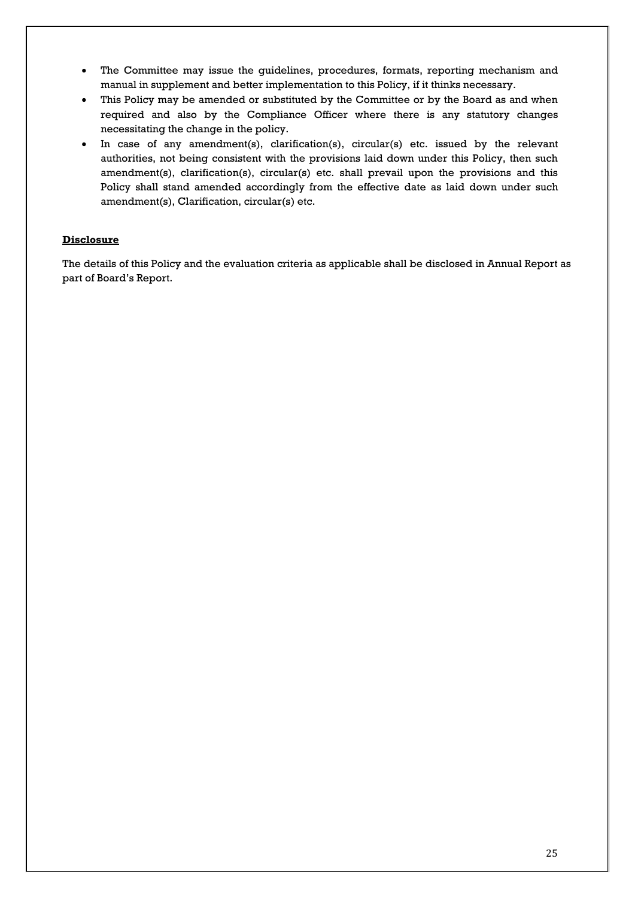- The Committee may issue the guidelines, procedures, formats, reporting mechanism and manual in supplement and better implementation to this Policy, if it thinks necessary.
- This Policy may be amended or substituted by the Committee or by the Board as and when required and also by the Compliance Officer where there is any statutory changes necessitating the change in the policy.
- In case of any amendment(s), clarification(s), circular(s) etc. issued by the relevant authorities, not being consistent with the provisions laid down under this Policy, then such amendment(s), clarification(s), circular(s) etc. shall prevail upon the provisions and this Policy shall stand amended accordingly from the effective date as laid down under such amendment(s), Clarification, circular(s) etc.

#### **Disclosure**

The details of this Policy and the evaluation criteria as applicable shall be disclosed in Annual Report as part of Board's Report.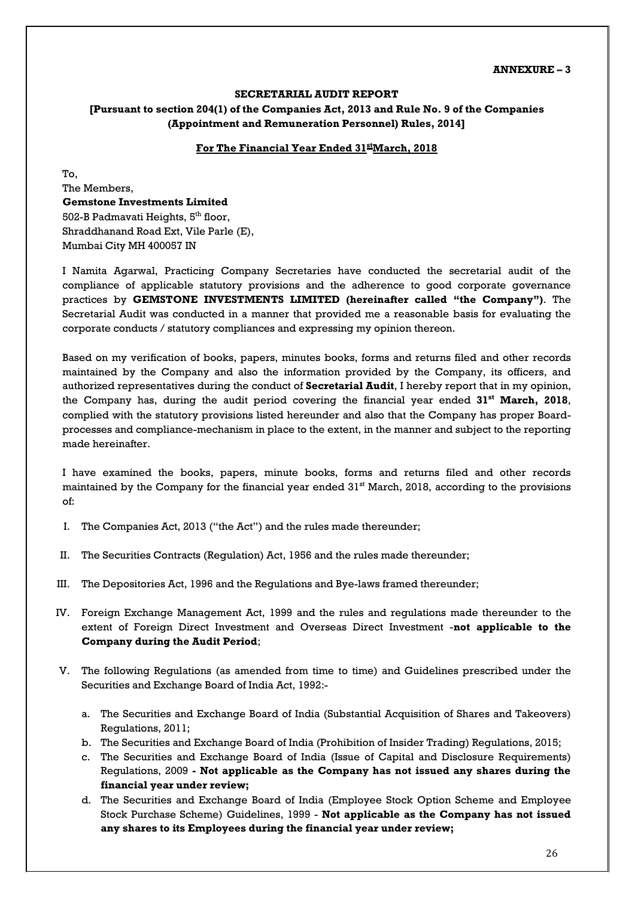#### **ANNEXURE – 3**

#### **SECRETARIAL AUDIT REPORT**

#### **[Pursuant to section 204(1) of the Companies Act, 2013 and Rule No. 9 of the Companies (Appointment and Remuneration Personnel) Rules, 2014]**

#### **For The Financial Year Ended 31stMarch, 2018**

To, The Members, **Gemstone Investments Limited** 502-B Padmavati Heights, 5<sup>th</sup> floor, Shraddhanand Road Ext, Vile Parle (E), Mumbai City MH 400057 IN

I Namita Agarwal, Practicing Company Secretaries have conducted the secretarial audit of the compliance of applicable statutory provisions and the adherence to good corporate governance practices by **GEMSTONE INVESTMENTS LIMITED (hereinafter called "the Company")**. The Secretarial Audit was conducted in a manner that provided me a reasonable basis for evaluating the corporate conducts / statutory compliances and expressing my opinion thereon.

Based on my verification of books, papers, minutes books, forms and returns filed and other records maintained by the Company and also the information provided by the Company, its officers, and authorized representatives during the conduct of **Secretarial Audit**, I hereby report that in my opinion, the Company has, during the audit period covering the financial year ended **31st March, 2018**, complied with the statutory provisions listed hereunder and also that the Company has proper Boardprocesses and compliance-mechanism in place to the extent, in the manner and subject to the reporting made hereinafter.

I have examined the books, papers, minute books, forms and returns filed and other records maintained by the Company for the financial year ended 31<sup>st</sup> March, 2018, according to the provisions of:

- I. The Companies Act, 2013 ("the Act") and the rules made thereunder;
- II. The Securities Contracts (Regulation) Act, 1956 and the rules made thereunder;
- III. The Depositories Act, 1996 and the Regulations and Bye-laws framed thereunder;
- IV. Foreign Exchange Management Act, 1999 and the rules and regulations made thereunder to the extent of Foreign Direct Investment and Overseas Direct Investment -**not applicable to the Company during the Audit Period**;
- V. The following Regulations (as amended from time to time) and Guidelines prescribed under the Securities and Exchange Board of India Act, 1992:
	- a. The Securities and Exchange Board of India (Substantial Acquisition of Shares and Takeovers) Regulations, 2011;
	- b. The Securities and Exchange Board of India (Prohibition of Insider Trading) Regulations, 2015;
	- c. The Securities and Exchange Board of India (Issue of Capital and Disclosure Requirements) Regulations, 2009 **- Not applicable as the Company has not issued any shares during the financial year under review;**
	- d. The Securities and Exchange Board of India (Employee Stock Option Scheme and Employee Stock Purchase Scheme) Guidelines, 1999 - **Not applicable as the Company has not issued any shares to its Employees during the financial year under review;**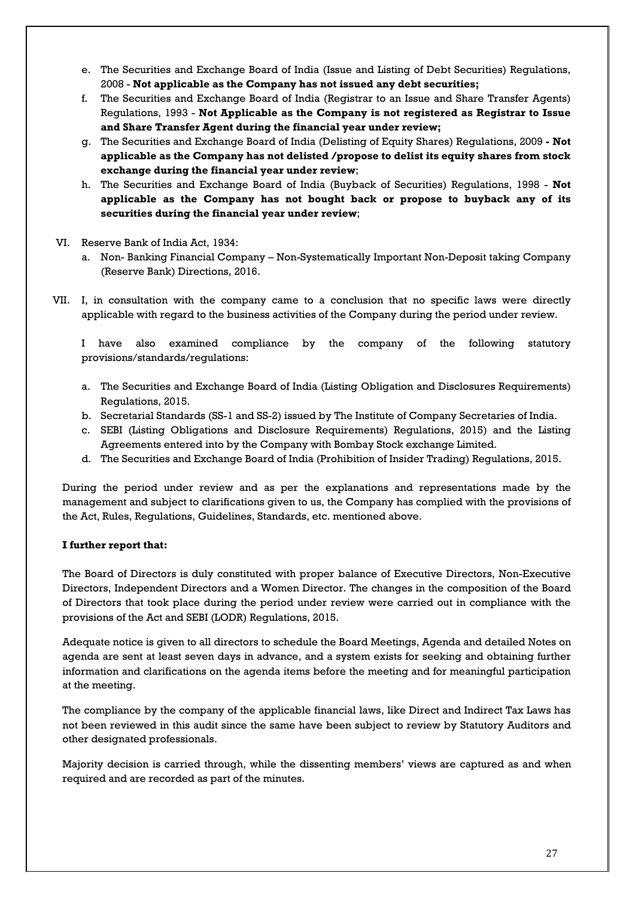- e. The Securities and Exchange Board of India (Issue and Listing of Debt Securities) Regulations, 2008 - **Not applicable as the Company has not issued any debt securities;**
- f. The Securities and Exchange Board of India (Registrar to an Issue and Share Transfer Agents) Regulations, 1993 - **Not Applicable as the Company is not registered as Registrar to Issue and Share Transfer Agent during the financial year under review;**
- g. The Securities and Exchange Board of India (Delisting of Equity Shares) Regulations, 2009 **- Not applicable as the Company has not delisted /propose to delist its equity shares from stock exchange during the financial year under review**;
- h. The Securities and Exchange Board of India (Buyback of Securities) Regulations, 1998 **Not applicable as the Company has not bought back or propose to buyback any of its securities during the financial year under review**;
- VI. Reserve Bank of India Act, 1934:
	- a. Non- Banking Financial Company Non-Systematically Important Non-Deposit taking Company (Reserve Bank) Directions, 2016.
- VII. I, in consultation with the company came to a conclusion that no specific laws were directly applicable with regard to the business activities of the Company during the period under review.

I have also examined compliance by the company of the following statutory provisions/standards/regulations:

- a. The Securities and Exchange Board of India (Listing Obligation and Disclosures Requirements) Regulations, 2015.
- b. Secretarial Standards (SS-1 and SS-2) issued by The Institute of Company Secretaries of India.
- c. SEBI (Listing Obligations and Disclosure Requirements) Regulations, 2015) and the Listing Agreements entered into by the Company with Bombay Stock exchange Limited.
- d. The Securities and Exchange Board of India (Prohibition of Insider Trading) Regulations, 2015.

During the period under review and as per the explanations and representations made by the management and subject to clarifications given to us, the Company has complied with the provisions of the Act, Rules, Regulations, Guidelines, Standards, etc. mentioned above.

#### **I further report that:**

The Board of Directors is duly constituted with proper balance of Executive Directors, Non-Executive Directors, Independent Directors and a Women Director. The changes in the composition of the Board of Directors that took place during the period under review were carried out in compliance with the provisions of the Act and SEBI (LODR) Regulations, 2015.

Adequate notice is given to all directors to schedule the Board Meetings, Agenda and detailed Notes on agenda are sent at least seven days in advance, and a system exists for seeking and obtaining further information and clarifications on the agenda items before the meeting and for meaningful participation at the meeting.

The compliance by the company of the applicable financial laws, like Direct and Indirect Tax Laws has not been reviewed in this audit since the same have been subject to review by Statutory Auditors and other designated professionals.

Majority decision is carried through, while the dissenting members' views are captured as and when required and are recorded as part of the minutes.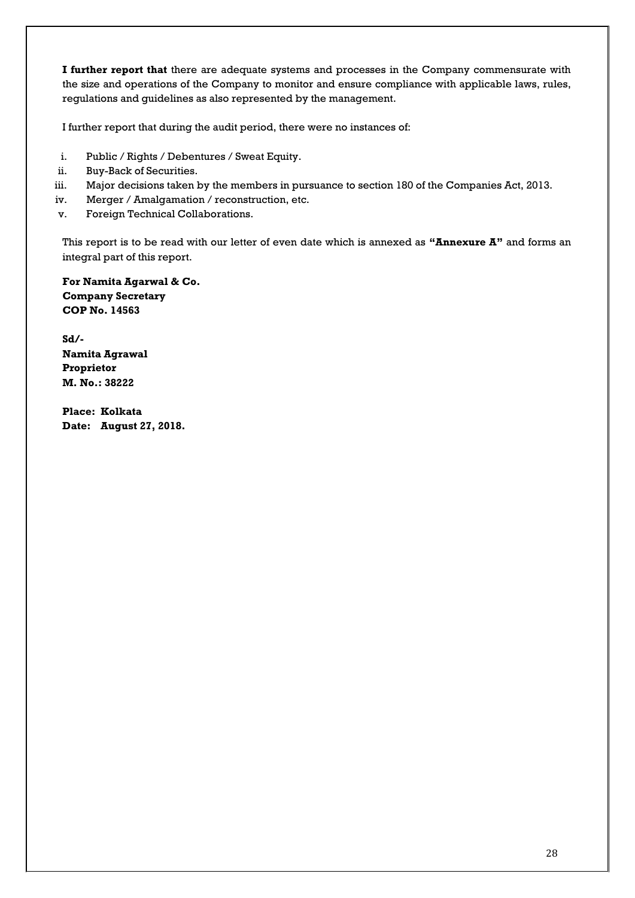**I further report that** there are adequate systems and processes in the Company commensurate with the size and operations of the Company to monitor and ensure compliance with applicable laws, rules, regulations and guidelines as also represented by the management.

I further report that during the audit period, there were no instances of:

- i. Public / Rights / Debentures / Sweat Equity.
- ii. Buy-Back of Securities.
- iii. Major decisions taken by the members in pursuance to section 180 of the Companies Act, 2013.
- iv. Merger / Amalgamation / reconstruction, etc.
- v. Foreign Technical Collaborations.

This report is to be read with our letter of even date which is annexed as **"Annexure A"** and forms an integral part of this report.

**For Namita Agarwal & Co. Company Secretary COP No. 14563**

**Sd/- Namita Agrawal Proprietor M. No.: 38222**

**Place: Kolkata Date: August 27, 2018.**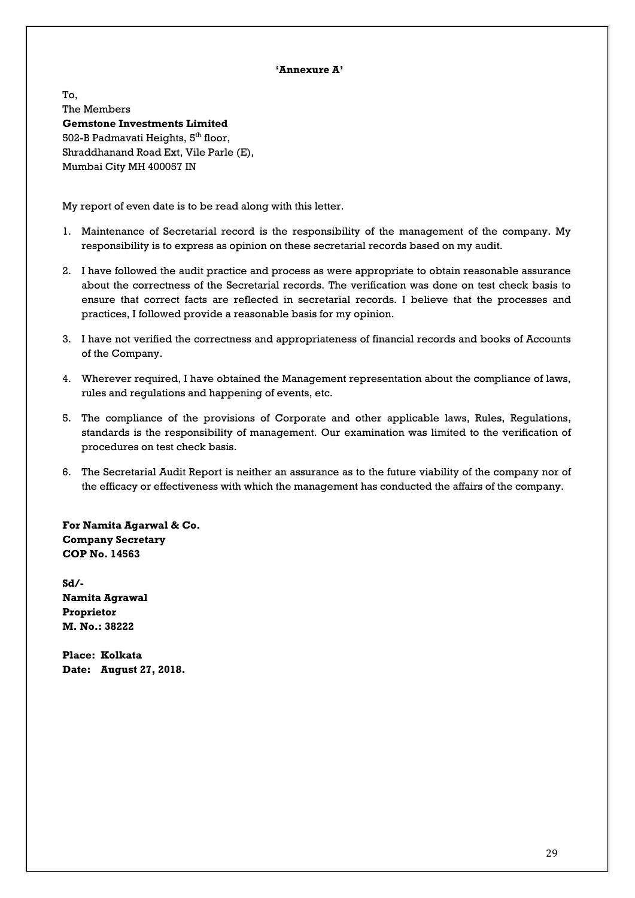#### **'Annexure A'**

To, The Members **Gemstone Investments Limited** 502-B Padmavati Heights, 5<sup>th</sup> floor, Shraddhanand Road Ext, Vile Parle (E), Mumbai City MH 400057 IN

My report of even date is to be read along with this letter.

- 1. Maintenance of Secretarial record is the responsibility of the management of the company. My responsibility is to express as opinion on these secretarial records based on my audit.
- 2. I have followed the audit practice and process as were appropriate to obtain reasonable assurance about the correctness of the Secretarial records. The verification was done on test check basis to ensure that correct facts are reflected in secretarial records. I believe that the processes and practices, I followed provide a reasonable basis for my opinion.
- 3. I have not verified the correctness and appropriateness of financial records and books of Accounts of the Company.
- 4. Wherever required, I have obtained the Management representation about the compliance of laws, rules and regulations and happening of events, etc.
- 5. The compliance of the provisions of Corporate and other applicable laws, Rules, Regulations, standards is the responsibility of management. Our examination was limited to the verification of procedures on test check basis.
- 6. The Secretarial Audit Report is neither an assurance as to the future viability of the company nor of the efficacy or effectiveness with which the management has conducted the affairs of the company.

**For Namita Agarwal & Co. Company Secretary COP No. 14563**

**Sd/- Namita Agrawal Proprietor M. No.: 38222**

**Place: Kolkata Date: August 27, 2018.**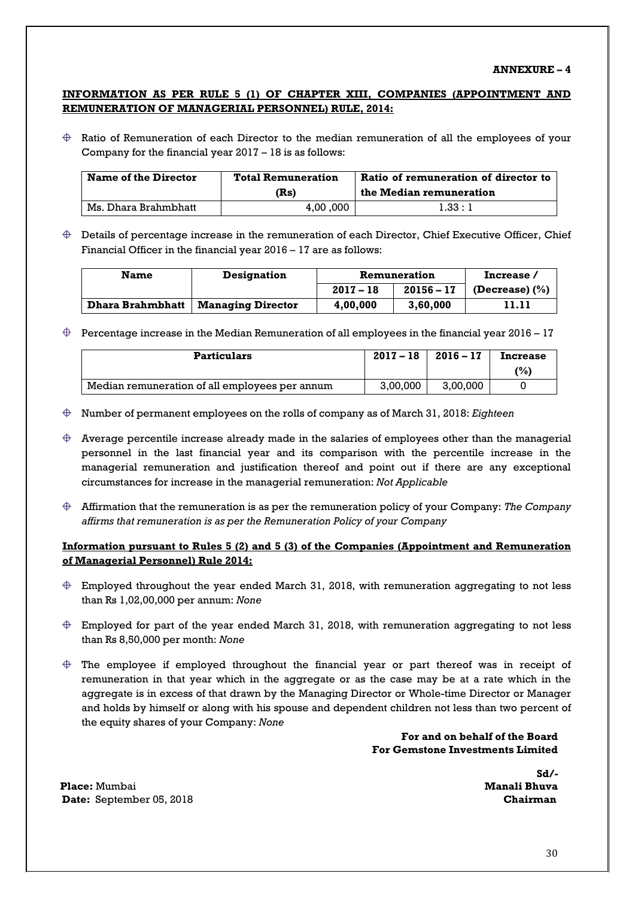#### **ANNEXURE – 4**

#### **INFORMATION AS PER RULE 5 (1) OF CHAPTER XIII, COMPANIES (APPOINTMENT AND REMUNERATION OF MANAGERIAL PERSONNEL) RULE, 2014:**

 $\oplus$  Ratio of Remuneration of each Director to the median remuneration of all the employees of your Company for the financial year 2017 – 18 is as follows:

| <b>Name of the Director</b> | <b>Total Remuneration</b> | Ratio of remuneration of director to |  |
|-----------------------------|---------------------------|--------------------------------------|--|
|                             | (Rs)                      | the Median remuneration              |  |
| Ms. Dhara Brahmbhatt        | 4.00,000                  | 1.33:1                               |  |

 $\oplus$  Details of percentage increase in the remuneration of each Director, Chief Executive Officer, Chief Financial Officer in the financial year 2016 – 17 are as follows:

| <b>Name</b>      | <b>Designation</b>       | Remuneration |              | Increase/          |
|------------------|--------------------------|--------------|--------------|--------------------|
|                  |                          | $2017 - 18$  | $20156 - 17$ | (Decrease) $(\% )$ |
| Dhara Brahmbhatt | <b>Managing Director</b> | 4,00,000     | 3.60.000     | 11.11              |

 $\oplus$  Percentage increase in the Median Remuneration of all employees in the financial year 2016 – 17

| Particulars                                    | $2017 - 18$ | $2016 - 17$ | <b>Increase</b> |
|------------------------------------------------|-------------|-------------|-----------------|
|                                                |             |             | (%)             |
| Median remuneration of all employees per annum | 3.00.000    | 3.00.000    |                 |

- Number of permanent employees on the rolls of company as of March 31, 2018: *Eighteen*
- $\bigoplus$  Average percentile increase already made in the salaries of employees other than the managerial personnel in the last financial year and its comparison with the percentile increase in the managerial remuneration and justification thereof and point out if there are any exceptional circumstances for increase in the managerial remuneration: *Not Applicable*
- Affirmation that the remuneration is as per the remuneration policy of your Company: *The Company affirms that remuneration is as per the Remuneration Policy of your Company*

#### **Information pursuant to Rules 5 (2) and 5 (3) of the Companies (Appointment and Remuneration of Managerial Personnel) Rule 2014:**

- $\oplus$  Employed throughout the year ended March 31, 2018, with remuneration aggregating to not less than Rs 1,02,00,000 per annum: *None*
- $\oplus$  Employed for part of the year ended March 31, 2018, with remuneration aggregating to not less than Rs 8,50,000 per month: *None*
- $\oplus$  The employee if employed throughout the financial year or part thereof was in receipt of remuneration in that year which in the aggregate or as the case may be at a rate which in the aggregate is in excess of that drawn by the Managing Director or Whole-time Director or Manager and holds by himself or along with his spouse and dependent children not less than two percent of the equity shares of your Company: *None*

 **For and on behalf of the Board For Gemstone Investments Limited**

 **Sd/-**

**Place:** Mumbai **Manali Bhuva Date:** September 05, 2018 **Chairman**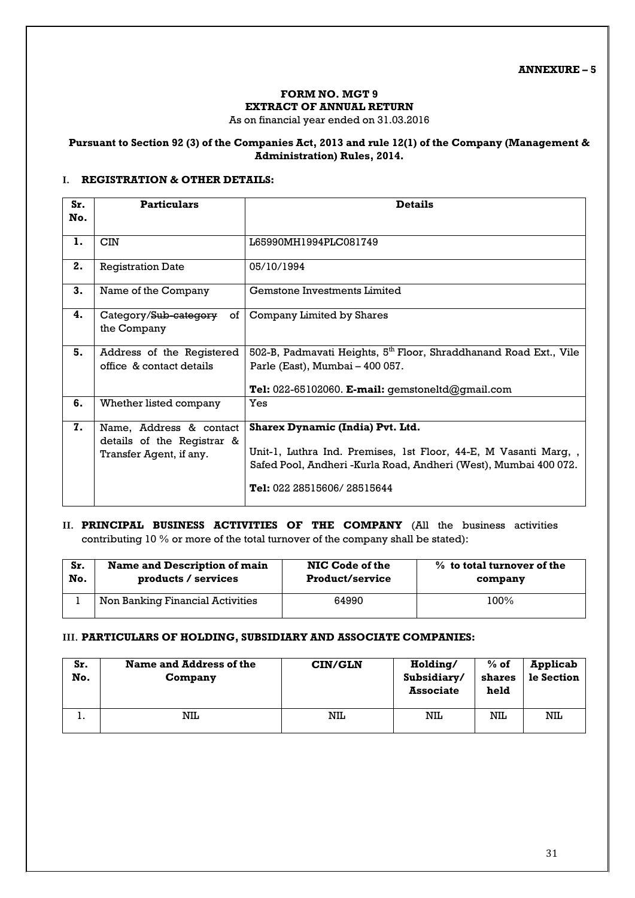#### **FORM NO. MGT 9 EXTRACT OF ANNUAL RETURN**

As on financial year ended on 31.03.2016

#### **Pursuant to Section 92 (3) of the Companies Act, 2013 and rule 12(1) of the Company (Management & Administration) Rules, 2014.**

#### **I. REGISTRATION & OTHER DETAILS:**

| Sr.<br>No. | <b>Particulars</b>                                                               | <b>Details</b>                                                                                                                                                                                         |
|------------|----------------------------------------------------------------------------------|--------------------------------------------------------------------------------------------------------------------------------------------------------------------------------------------------------|
| 1.         | <b>CIN</b>                                                                       | L65990MH1994PLC081749                                                                                                                                                                                  |
| 2.         | <b>Registration Date</b>                                                         | 05/10/1994                                                                                                                                                                                             |
| 3.         | Name of the Company                                                              | <b>Gemstone Investments Limited</b>                                                                                                                                                                    |
| 4.         | of I<br>Category/Sub-category<br>the Company                                     | Company Limited by Shares                                                                                                                                                                              |
| 5.         | Address of the Registered<br>office & contact details                            | 502-B, Padmavati Heights, 5 <sup>th</sup> Floor, Shraddhanand Road Ext., Vile<br>Parle (East), Mumbai - 400 057.<br>Tel: $022-65102060$ . E-mail: gemstoneltd@gmail.com                                |
| 6.         | Whether listed company                                                           | Yes                                                                                                                                                                                                    |
| 7.         | Name, Address & contact<br>details of the Registrar &<br>Transfer Agent, if any. | Sharex Dynamic (India) Pvt. Ltd.<br>Unit-1, Luthra Ind. Premises, 1st Floor, 44-E, M Vasanti Marg, ,<br>Safed Pool, Andheri -Kurla Road, Andheri (West), Mumbai 400 072.<br>Tel: 022 28515606/28515644 |

#### **II. PRINCIPAL BUSINESS ACTIVITIES OF THE COMPANY** (All the business activities contributing 10 % or more of the total turnover of the company shall be stated):

| Sr. | Name and Description of main     | NIC Code of the        | % to total turnover of the |
|-----|----------------------------------|------------------------|----------------------------|
| No. | products / services              | <b>Product/service</b> | company                    |
|     | Non Banking Financial Activities | 64990                  | 100%                       |

#### **III. PARTICULARS OF HOLDING, SUBSIDIARY AND ASSOCIATE COMPANIES:**

| Sr.<br>No. | Name and Address of the<br>Company | <b>CIN/GLN</b> | Holding/<br>Subsidiary/<br><b>Associate</b> | $%$ of<br>shares<br>held | Applicab<br>le Section |
|------------|------------------------------------|----------------|---------------------------------------------|--------------------------|------------------------|
| . .        | NIL                                | NIL            | NIL                                         | NIL                      | NIL                    |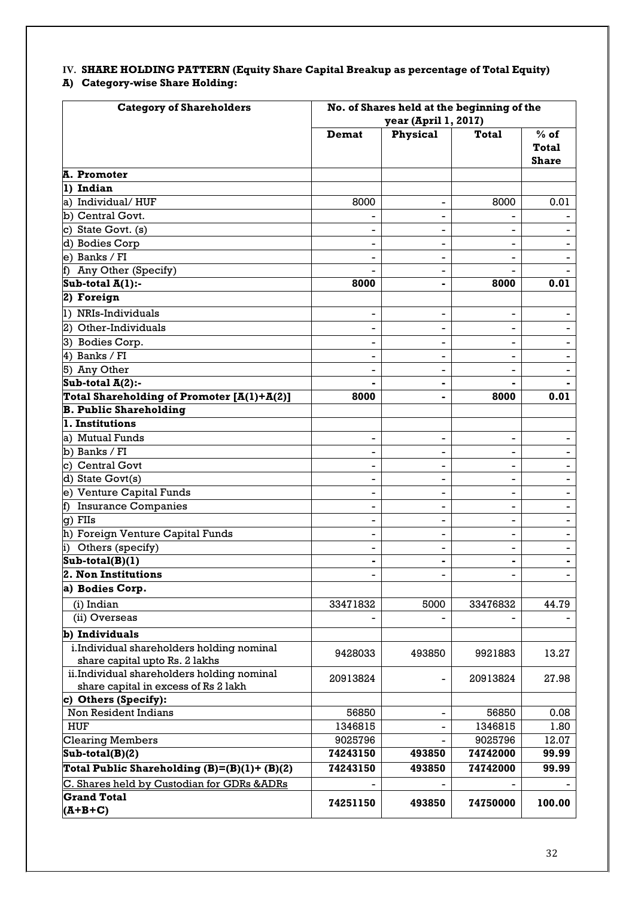# **IV. SHARE HOLDING PATTERN (Equity Share Capital Breakup as percentage of Total Equity)**

## **A) Category-wise Share Holding:**

| <b>Category of Shareholders</b>                                              | No. of Shares held at the beginning of the<br>year (April 1, 2017) |                          |                          |                                        |  |  |
|------------------------------------------------------------------------------|--------------------------------------------------------------------|--------------------------|--------------------------|----------------------------------------|--|--|
|                                                                              | <b>Demat</b>                                                       | Physical                 | <b>Total</b>             | $%$ of<br><b>Total</b><br><b>Share</b> |  |  |
| A. Promoter                                                                  |                                                                    |                          |                          |                                        |  |  |
| 1) Indian                                                                    |                                                                    |                          |                          |                                        |  |  |
| a) Individual/HUF                                                            | 8000                                                               | $\overline{\phantom{a}}$ | 8000                     | 0.01                                   |  |  |
| b) Central Govt.                                                             |                                                                    |                          |                          |                                        |  |  |
| c) State Govt. (s)                                                           |                                                                    |                          |                          |                                        |  |  |
| d) Bodies Corp                                                               |                                                                    |                          |                          |                                        |  |  |
| e) Banks / FI                                                                |                                                                    |                          |                          |                                        |  |  |
| f) Any Other (Specify)                                                       |                                                                    |                          |                          |                                        |  |  |
| Sub-total $A(1)$ :-                                                          | 8000                                                               |                          | 8000                     | 0.01                                   |  |  |
| 2) Foreign                                                                   |                                                                    |                          |                          |                                        |  |  |
| 1) NRIs-Individuals                                                          |                                                                    |                          |                          |                                        |  |  |
| 2) Other-Individuals                                                         |                                                                    |                          |                          |                                        |  |  |
| 3) Bodies Corp.                                                              |                                                                    |                          |                          |                                        |  |  |
| 4) Banks / FI                                                                |                                                                    |                          |                          |                                        |  |  |
| 5) Any Other                                                                 |                                                                    |                          |                          |                                        |  |  |
| Sub-total $A(2)$ :-                                                          |                                                                    |                          |                          |                                        |  |  |
| Total Shareholding of Promoter [A(1)+A(2)]                                   | 8000                                                               |                          | 8000                     | 0.01                                   |  |  |
| <b>B. Public Shareholding</b>                                                |                                                                    |                          |                          |                                        |  |  |
| 1. Institutions                                                              |                                                                    |                          |                          |                                        |  |  |
| a) Mutual Funds                                                              | -                                                                  | -                        | $\overline{\phantom{a}}$ |                                        |  |  |
| b) Banks / FI                                                                |                                                                    | -                        | $\overline{\phantom{0}}$ |                                        |  |  |
| c) Central Govt                                                              |                                                                    |                          |                          |                                        |  |  |
| d) State Govt(s)                                                             |                                                                    |                          |                          |                                        |  |  |
| e) Venture Capital Funds                                                     |                                                                    |                          |                          |                                        |  |  |
| f) Insurance Companies                                                       |                                                                    |                          |                          |                                        |  |  |
| g) FIIs                                                                      |                                                                    | -                        |                          |                                        |  |  |
| h) Foreign Venture Capital Funds                                             |                                                                    |                          | $\blacksquare$           |                                        |  |  |
| Others (specify)<br>$\vert i \rangle$                                        |                                                                    | -                        | $\overline{\phantom{0}}$ |                                        |  |  |
| $Sub-total(B)(1)$                                                            |                                                                    |                          | $\overline{\phantom{a}}$ | -                                      |  |  |
| 2. Non Institutions                                                          |                                                                    |                          |                          |                                        |  |  |
| a) Bodies Corp.                                                              |                                                                    |                          |                          |                                        |  |  |
| (i) Indian                                                                   | 33471832                                                           | 5000                     | 33476832                 | 44.79                                  |  |  |
| (ii) Overseas                                                                |                                                                    |                          |                          |                                        |  |  |
|                                                                              |                                                                    |                          |                          |                                        |  |  |
| b) Individuals                                                               |                                                                    |                          |                          |                                        |  |  |
| i.Individual shareholders holding nominal                                    | 9428033                                                            | 493850                   | 9921883                  | 13.27                                  |  |  |
| share capital upto Rs. 2 lakhs<br>ii.Individual shareholders holding nominal |                                                                    |                          |                          |                                        |  |  |
| share capital in excess of Rs 2 lakh                                         | 20913824                                                           |                          | 20913824                 | 27.98                                  |  |  |
| c) Others (Specify):                                                         |                                                                    |                          |                          |                                        |  |  |
| Non Resident Indians                                                         | 56850                                                              |                          | 56850                    | 0.08                                   |  |  |
| <b>HUF</b>                                                                   | 1346815                                                            |                          | 1346815                  | 1.80                                   |  |  |
| <b>Clearing Members</b>                                                      | 9025796                                                            |                          | 9025796                  | 12.07                                  |  |  |
| $Sub-total(B)(2)$                                                            | 74243150                                                           | 493850                   | 74742000                 | 99.99                                  |  |  |
| Total Public Shareholding $(B)=(B)(1)+(B)(2)$                                | 74243150                                                           | 493850                   | 74742000                 | 99.99                                  |  |  |
| C. Shares held by Custodian for GDRs &ADRs                                   |                                                                    |                          |                          |                                        |  |  |
| <b>Grand Total</b>                                                           |                                                                    |                          |                          |                                        |  |  |
| $(A+B+C)$                                                                    | 74251150                                                           | 493850                   | 74750000                 | 100.00                                 |  |  |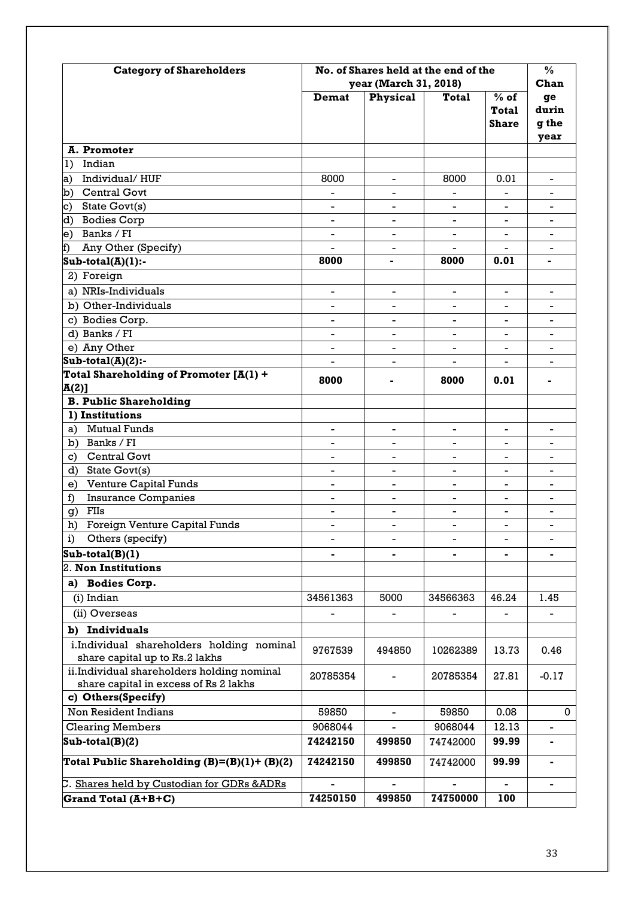| <b>Category of Shareholders</b>                                                     | No. of Shares held at the end of the | $\frac{0}{0}$            |                          |                                        |                              |
|-------------------------------------------------------------------------------------|--------------------------------------|--------------------------|--------------------------|----------------------------------------|------------------------------|
|                                                                                     | year (March 31, 2018)                | Chan                     |                          |                                        |                              |
|                                                                                     | Demat                                | <b>Physical</b>          | <b>Total</b>             | $%$ of<br><b>Total</b><br><b>Share</b> | ge<br>durin<br>g the<br>year |
| A. Promoter                                                                         |                                      |                          |                          |                                        |                              |
| Indian<br>1)                                                                        |                                      |                          |                          |                                        |                              |
| Individual/HUF<br>a) -                                                              | 8000                                 | $\overline{\phantom{a}}$ | 8000                     | 0.01                                   | $\blacksquare$               |
| b) Central Govt                                                                     |                                      |                          |                          |                                        | ۰                            |
| State Govt(s)<br>c)                                                                 |                                      |                          |                          |                                        |                              |
| d) Bodies Corp                                                                      |                                      |                          |                          |                                        |                              |
| e) Banks / FI                                                                       |                                      | $\overline{a}$           |                          |                                        |                              |
| Any Other (Specify)<br>f)                                                           | $\overline{a}$                       |                          | $\overline{\phantom{0}}$ | $\blacksquare$                         |                              |
| $Sub\text{-}total(A)(1)$ :-                                                         | 8000                                 | -                        | 8000                     | 0.01                                   |                              |
| 2) Foreign                                                                          |                                      |                          |                          |                                        |                              |
| a) NRIs-Individuals                                                                 | $\overline{\phantom{0}}$             | -                        | $\overline{\phantom{0}}$ | $\blacksquare$                         | Ξ.                           |
| b) Other-Individuals                                                                | -                                    | $\blacksquare$           | -                        | $\blacksquare$                         |                              |
| c) Bodies Corp.                                                                     | -                                    | -                        | -                        | -                                      | -                            |
| d) Banks / FI                                                                       |                                      |                          |                          |                                        |                              |
| e) Any Other                                                                        |                                      |                          |                          |                                        |                              |
| $Sub-total(A)(2)$ :-                                                                |                                      |                          |                          |                                        |                              |
| Total Shareholding of Promoter $[A(1) +$                                            | 8000                                 |                          | 8000                     | 0.01                                   |                              |
| $A(2)$ ]                                                                            |                                      |                          |                          |                                        |                              |
| <b>B. Public Shareholding</b>                                                       |                                      |                          |                          |                                        |                              |
| 1) Institutions                                                                     |                                      |                          |                          |                                        |                              |
| <b>Mutual Funds</b><br>a)                                                           | $\overline{\phantom{0}}$             | -                        | -                        | $\overline{\phantom{a}}$               | Ξ.                           |
| b) Banks / FI                                                                       |                                      |                          |                          |                                        |                              |
| Central Govt<br>$\mathbf{c}$                                                        | -                                    |                          |                          | $\overline{a}$                         |                              |
| State Govt(s)<br>d)                                                                 | -                                    | $\blacksquare$           | -                        | $\overline{\phantom{0}}$               | -                            |
| <b>Venture Capital Funds</b><br>e)                                                  |                                      |                          | $\overline{\phantom{0}}$ |                                        |                              |
| <b>Insurance Companies</b><br>f)                                                    | $\overline{a}$                       |                          | ÷                        |                                        |                              |
| FIIs<br>g)                                                                          | $\overline{\phantom{0}}$             | -                        | $\overline{\phantom{0}}$ | -                                      | -                            |
| Foreign Venture Capital Funds<br>h)                                                 | -                                    | -                        | -                        | $\overline{\phantom{0}}$               | $\overline{\phantom{a}}$     |
| Others (specify)<br>i)                                                              |                                      |                          | $\overline{a}$           | $\blacksquare$                         | $\overline{\phantom{0}}$     |
| $Sub-total(B)(1)$                                                                   |                                      |                          |                          |                                        |                              |
| 2. Non Institutions                                                                 |                                      |                          |                          |                                        |                              |
| <b>Bodies Corp.</b><br>a)                                                           |                                      |                          |                          |                                        |                              |
| (i) Indian                                                                          | 34561363                             | 5000                     | 34566363                 | 46.24                                  | 1.45                         |
| (ii) Overseas                                                                       | $\overline{a}$                       |                          |                          | $\overline{\phantom{0}}$               |                              |
| b) Individuals                                                                      |                                      |                          |                          |                                        |                              |
| i.Individual shareholders holding nominal<br>share capital up to Rs.2 lakhs         | 9767539                              | 494850                   | 10262389                 | 13.73                                  | 0.46                         |
| ii.Individual shareholders holding nominal<br>share capital in excess of Rs 2 lakhs | 20785354                             |                          | 20785354                 | 27.81                                  | $-0.17$                      |
| c) Others(Specify)                                                                  |                                      |                          |                          |                                        |                              |
| Non Resident Indians                                                                | 59850                                |                          | 59850                    | 0.08                                   | 0                            |
| <b>Clearing Members</b>                                                             | 9068044                              |                          | 9068044                  | 12.13                                  |                              |
| $Sub-total(B)(2)$                                                                   | 74242150                             | 499850                   | 74742000                 | 99.99                                  | -                            |
| Total Public Shareholding $(B)=(B)(1)+(B)(2)$                                       | 74242150                             | 499850                   | 74742000                 | 99.99                                  | Ξ.                           |
| C. Shares held by Custodian for GDRs &ADRs                                          |                                      |                          |                          |                                        |                              |
| Grand Total (A+B+C)                                                                 | 74250150                             | 499850                   | 74750000                 | 100                                    |                              |
|                                                                                     |                                      |                          |                          |                                        |                              |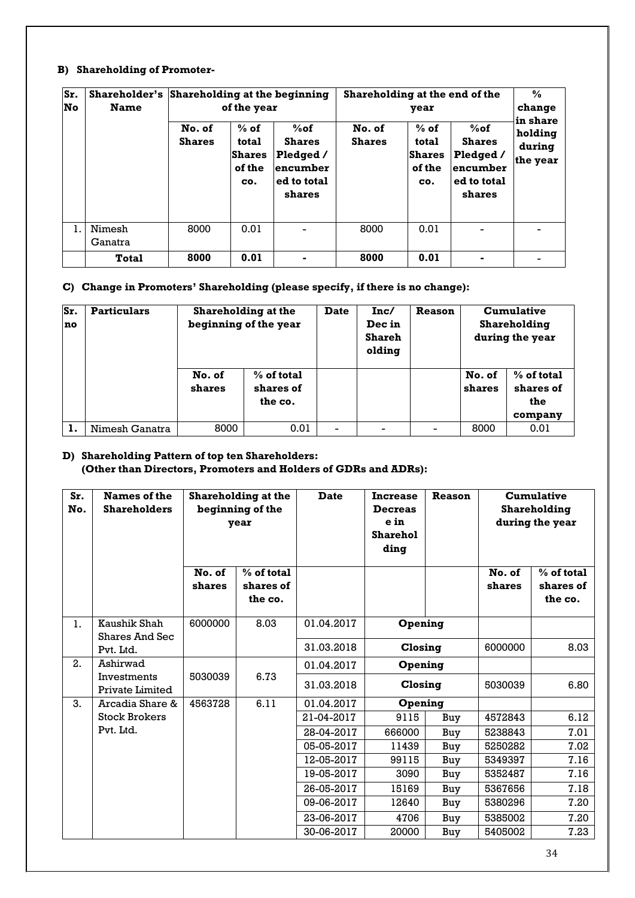#### **B) Shareholding of Promoter-**

| Sr.<br><b>No</b> | <b>Name</b>       | Shareholder's Shareholding at the beginning<br>of the year |                                                   |                                                                           | Shareholding at the end of the<br>year |                                                   |                                                                           |                               |  | $\frac{0}{0}$<br>change<br>in share |
|------------------|-------------------|------------------------------------------------------------|---------------------------------------------------|---------------------------------------------------------------------------|----------------------------------------|---------------------------------------------------|---------------------------------------------------------------------------|-------------------------------|--|-------------------------------------|
|                  |                   | No. of<br><b>Shares</b>                                    | $%$ of<br>total<br><b>Shares</b><br>of the<br>CO. | $%$ of<br><b>Shares</b><br>Pledged /<br>encumber<br>ed to total<br>shares | No. of<br><b>Shares</b>                | $%$ of<br>total<br><b>Shares</b><br>of the<br>CO. | $%$ of<br><b>Shares</b><br>Pledged /<br>encumber<br>ed to total<br>shares | holding<br>during<br>the year |  |                                     |
| 1.               | Nimesh<br>Ganatra | 8000                                                       | 0.01                                              | -                                                                         | 8000                                   | 0.01                                              |                                                                           |                               |  |                                     |
|                  | Total             | 8000                                                       | 0.01                                              |                                                                           | 8000                                   | 0.01                                              |                                                                           |                               |  |                                     |

#### **C) Change in Promoters' Shareholding (please specify, if there is no change):**

| Sr.<br>no | <b>Particulars</b> | <b>Shareholding at the</b><br>beginning of the year |                                    | <b>Date</b> | Inc/<br>Dec in<br><b>Shareh</b><br>olding | <b>Reason</b> |                  | <b>Cumulative</b><br><b>Shareholding</b><br>during the year |
|-----------|--------------------|-----------------------------------------------------|------------------------------------|-------------|-------------------------------------------|---------------|------------------|-------------------------------------------------------------|
|           |                    | No. of<br>shares                                    | % of total<br>shares of<br>the co. |             |                                           |               | No. of<br>shares | $%$ of total<br>shares of<br>the<br>company                 |
|           | Nimesh Ganatra     | 8000                                                | 0.01                               | -           |                                           |               | 8000             | 0.01                                                        |

#### **D) Shareholding Pattern of top ten Shareholders: (Other than Directors, Promoters and Holders of GDRs and ADRs):**

| Sr.<br>No. | Names of the<br><b>Shareholders</b>   |                  | <b>Shareholding at the</b><br>beginning of the<br>year | <b>Date</b> | Reason<br><b>Increase</b><br><b>Decreas</b><br>e in<br><b>Sharehol</b><br>ding |     |                  | <b>Cumulative</b><br>Shareholding<br>during the year |
|------------|---------------------------------------|------------------|--------------------------------------------------------|-------------|--------------------------------------------------------------------------------|-----|------------------|------------------------------------------------------|
|            |                                       | No. of<br>shares | $%$ of total<br>shares of<br>the co.                   |             |                                                                                |     | No. of<br>shares | % of total<br>shares of<br>the co.                   |
| 1.         | Kaushik Shah<br><b>Shares And Sec</b> | 6000000          | 8.03                                                   | 01.04.2017  | Opening                                                                        |     |                  |                                                      |
|            | Pvt. Ltd.                             |                  |                                                        | 31.03.2018  | Closing                                                                        |     | 6000000          | 8.03                                                 |
| 2.         | Ashirwad                              |                  |                                                        | 01.04.2017  | Opening                                                                        |     |                  |                                                      |
|            | Investments<br>Private Limited        | 5030039          | 6.73                                                   | 31.03.2018  | Closing                                                                        |     | 5030039          | 6.80                                                 |
| 3.         | Arcadia Share &                       | 4563728          | 6.11                                                   | 01.04.2017  | Opening                                                                        |     |                  |                                                      |
|            | <b>Stock Brokers</b>                  |                  |                                                        | 21-04-2017  | 9115                                                                           | Buy | 4572843          | 6.12                                                 |
|            | Pvt. Ltd.                             |                  |                                                        | 28-04-2017  | 666000                                                                         | Buy | 5238843          | 7.01                                                 |
|            |                                       |                  |                                                        | 05-05-2017  | 11439                                                                          | Buy | 5250282          | 7.02                                                 |
|            |                                       |                  |                                                        | 12-05-2017  | 99115                                                                          | Buy | 5349397          | 7.16                                                 |
|            |                                       |                  |                                                        | 19-05-2017  | 3090                                                                           | Buy | 5352487          | 7.16                                                 |
|            |                                       |                  |                                                        | 26-05-2017  | 15169                                                                          | Buy | 5367656          | 7.18                                                 |
|            |                                       |                  |                                                        | 09-06-2017  | 12640                                                                          | Buy | 5380296          | 7.20                                                 |
|            |                                       |                  |                                                        | 23-06-2017  | 4706                                                                           | Buy | 5385002          | 7.20                                                 |
|            |                                       |                  |                                                        | 30-06-2017  | 20000                                                                          | Buy | 5405002          | 7.23                                                 |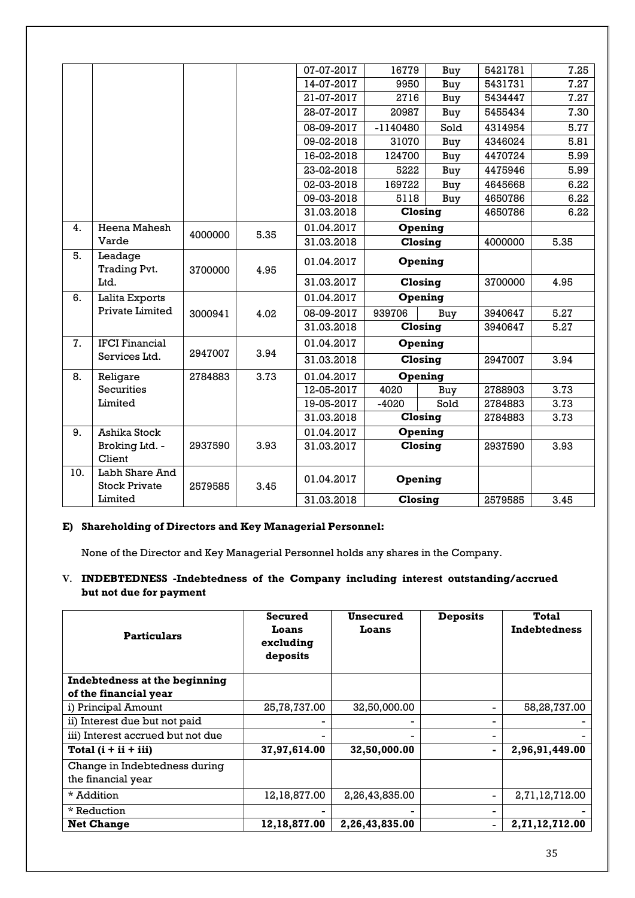| 5421781<br>5431731<br>5434447 | 7.25<br>7.27 |
|-------------------------------|--------------|
|                               |              |
|                               |              |
|                               | 7.27         |
| 5455434                       | 7.30         |
| 4314954                       | 5.77         |
| 4346024                       | 5.81         |
| 4470724                       | 5.99         |
| 4475946                       | 5.99         |
| 4645668                       | 6.22         |
| 4650786                       | 6.22         |
| 4650786                       | 6.22         |
|                               |              |
| 4000000                       | 5.35         |
|                               |              |
| 3700000                       | 4.95         |
|                               |              |
| 3940647                       | 5.27         |
| 3940647                       | 5.27         |
|                               |              |
| 2947007                       | 3.94         |
|                               |              |
| 2788903                       | 3.73         |
| 2784883                       | 3.73         |
| 2784883                       | 3.73         |
|                               |              |
| 2937590                       | 3.93         |
|                               |              |
| 2579585                       | 3.45         |
|                               |              |

#### **E) Shareholding of Directors and Key Managerial Personnel:**

None of the Director and Key Managerial Personnel holds any shares in the Company.

#### **V. INDEBTEDNESS -Indebtedness of the Company including interest outstanding/accrued but not due for payment**

| <b>Particulars</b>                                  | Secured<br>Loans<br>excluding<br>deposits | Unsecured<br>Loans | <b>Deposits</b> | <b>Total</b><br><b>Indebtedness</b> |
|-----------------------------------------------------|-------------------------------------------|--------------------|-----------------|-------------------------------------|
| Indebtedness at the beginning                       |                                           |                    |                 |                                     |
| of the financial year                               |                                           |                    |                 |                                     |
| i) Principal Amount                                 | 25,78,737.00                              | 32,50,000.00       |                 | 58,28,737.00                        |
| ii) Interest due but not paid                       |                                           |                    |                 |                                     |
| iii) Interest accrued but not due                   |                                           | -                  |                 |                                     |
| Total $(i + ii + iii)$                              | 37,97,614.00                              | 32,50,000.00       |                 | 2,96,91,449.00                      |
| Change in Indebtedness during<br>the financial year |                                           |                    |                 |                                     |
| * Addition                                          | 12,18,877.00                              | 2,26,43,835.00     |                 | 2,71,12,712.00                      |
| * Reduction                                         |                                           |                    |                 |                                     |
| <b>Net Change</b>                                   | 12, 18, 877.00                            | 2,26,43,835.00     |                 | 2,71,12,712.00                      |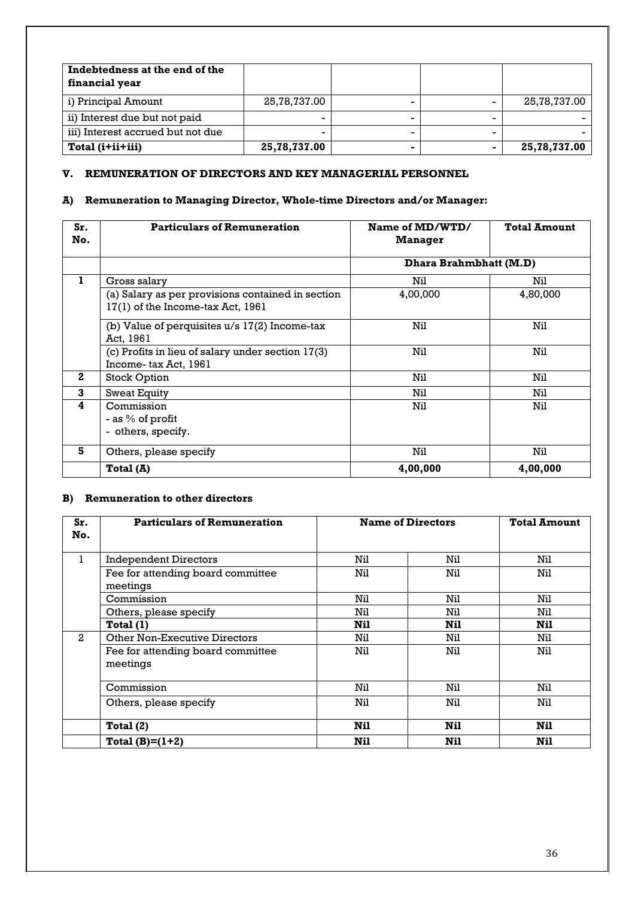| Indebtedness at the end of the<br>financial year |              |  |              |
|--------------------------------------------------|--------------|--|--------------|
| i) Principal Amount                              | 25,78,737.00 |  | 25,78,737.00 |
| ii) Interest due but not paid                    |              |  |              |
| iii) Interest accrued but not due                |              |  |              |
| Total (i+ii+iii)                                 | 25,78,737.00 |  | 25,78,737.00 |

# **V. REMUNERATION OF DIRECTORS AND KEY MANAGERIAL PERSONNEL**

# **A) Remuneration to Managing Director, Whole-time Directors and/or Manager:**

| Sr.<br>No.   | <b>Particulars of Remuneration</b>                                                     | Name of MD/WTD/<br><b>Manager</b> | <b>Total Amount</b> |
|--------------|----------------------------------------------------------------------------------------|-----------------------------------|---------------------|
|              |                                                                                        | Dhara Brahmbhatt (M.D)            |                     |
| 1            | Gross salary                                                                           | Nil                               | Nil                 |
|              | (a) Salary as per provisions contained in section<br>17(1) of the Income-tax Act, 1961 | 4,00,000                          | 4,80,000            |
|              | (b) Value of perquisites $u/s$ 17(2) Income-tax<br>Act, 1961                           | Nil                               | Nil                 |
|              | (c) Profits in lieu of salary under section 17(3)<br>Income-tax Act, 1961              | Nil                               | Nil                 |
| $\mathbf{2}$ | <b>Stock Option</b>                                                                    | Nil                               | Nil                 |
| 3            | <b>Sweat Equity</b>                                                                    | Nil                               | Nil                 |
| 4            | Commission<br>- as % of profit<br>- others, specify.                                   | Nil                               | Nil                 |
| 5            | Others, please specify                                                                 | Nil                               | Nil                 |
|              | Total (A)                                                                              | 4,00,000                          | 4,00,000            |

# **B) Remuneration to other directors**

| Sr.<br>No.     | <b>Particulars of Remuneration</b>            |     | <b>Name of Directors</b> |      |
|----------------|-----------------------------------------------|-----|--------------------------|------|
| 1              | <b>Independent Directors</b>                  | Nil | Nil                      | Nil  |
|                | Fee for attending board committee<br>meetings | Nil | Nil                      | Nil  |
|                | Commission                                    | Nil | Nil                      | Nil  |
|                | Others, please specify                        | Nil | Nil                      | Nil  |
|                | Total(1)                                      | Nil | <b>Nil</b>               | Nil. |
| $\overline{2}$ | <b>Other Non-Executive Directors</b>          | Nil | Nil                      | Nil  |
|                | Fee for attending board committee<br>meetings | Nil | Nil                      | Nil  |
|                | Commission                                    | Nil | Nil                      | Nil  |
|                | Others, please specify                        | Nil | Nil                      | Nil  |
|                | Total $(2)$                                   | Nil | <b>Nil</b>               | Nil. |
|                | Total $(B)=(1+2)$                             | Nil | <b>Nil</b>               | Nil  |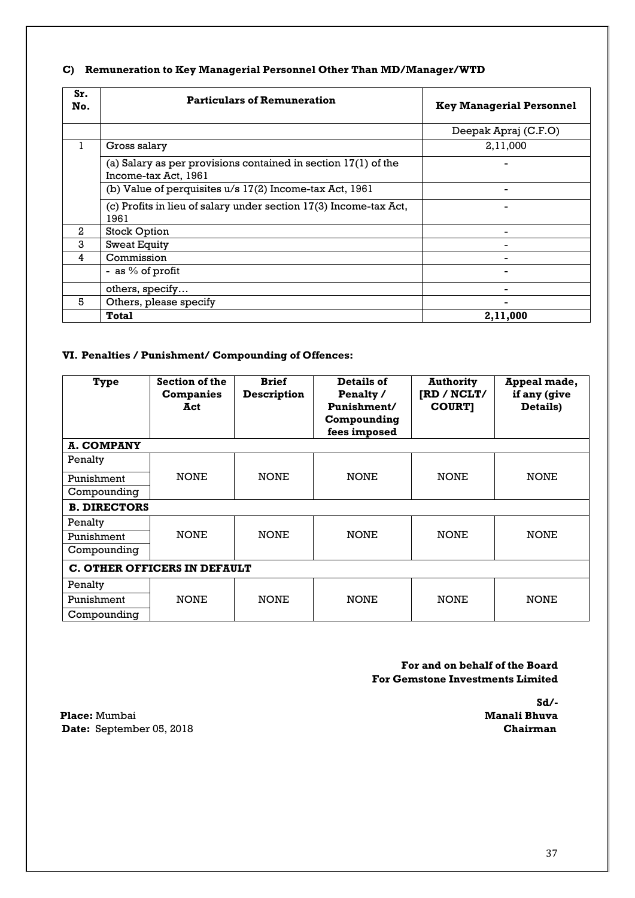# **C) Remuneration to Key Managerial Personnel Other Than MD/Manager/WTD**

| Sr.<br>No.     | <b>Particulars of Remuneration</b>                                                       | <b>Key Managerial Personnel</b> |
|----------------|------------------------------------------------------------------------------------------|---------------------------------|
|                |                                                                                          | Deepak Apraj (C.F.O)            |
|                | Gross salary                                                                             | 2,11,000                        |
|                | (a) Salary as per provisions contained in section $17(1)$ of the<br>Income-tax Act, 1961 |                                 |
|                | (b) Value of perquisites u/s 17(2) Income-tax Act, 1961                                  |                                 |
|                | (c) Profits in lieu of salary under section 17(3) Income-tax Act,<br>1961                |                                 |
| $\overline{2}$ | <b>Stock Option</b>                                                                      |                                 |
| 3              | <b>Sweat Equity</b>                                                                      |                                 |
| 4              | Commission                                                                               |                                 |
|                | - as $%$ of profit                                                                       |                                 |
|                | others, specify                                                                          |                                 |
| 5              | Others, please specify                                                                   |                                 |
|                | Total                                                                                    | 2,11,000                        |

# **VI. Penalties / Punishment/ Compounding of Offences:**

| <b>Type</b>                         | Section of the<br><b>Companies</b><br>Act | <b>Brief</b><br>Description | Details of<br>Penalty /<br>Punishment/<br>Compounding<br>fees imposed | <b>Authority</b><br>[RD / NCLT/<br><b>COURT]</b> | Appeal made,<br>if any (give<br>Details) |  |
|-------------------------------------|-------------------------------------------|-----------------------------|-----------------------------------------------------------------------|--------------------------------------------------|------------------------------------------|--|
| <b>A. COMPANY</b>                   |                                           |                             |                                                                       |                                                  |                                          |  |
| Penalty                             |                                           |                             |                                                                       |                                                  |                                          |  |
| Punishment                          | <b>NONE</b>                               | <b>NONE</b>                 | <b>NONE</b>                                                           | <b>NONE</b>                                      | <b>NONE</b>                              |  |
| Compounding                         |                                           |                             |                                                                       |                                                  |                                          |  |
| <b>B. DIRECTORS</b>                 |                                           |                             |                                                                       |                                                  |                                          |  |
| Penalty                             |                                           |                             |                                                                       |                                                  |                                          |  |
| Punishment                          | <b>NONE</b>                               | <b>NONE</b>                 | <b>NONE</b>                                                           | <b>NONE</b>                                      | <b>NONE</b>                              |  |
| Compounding                         |                                           |                             |                                                                       |                                                  |                                          |  |
| <b>C. OTHER OFFICERS IN DEFAULT</b> |                                           |                             |                                                                       |                                                  |                                          |  |
| Penalty                             |                                           |                             |                                                                       |                                                  |                                          |  |
| Punishment                          | <b>NONE</b>                               | <b>NONE</b>                 | <b>NONE</b>                                                           | <b>NONE</b>                                      | <b>NONE</b>                              |  |
| Compounding                         |                                           |                             |                                                                       |                                                  |                                          |  |

 **For and on behalf of the Board For Gemstone Investments Limited**

**Place:** Mumbai **Manali Bhuva Date:** September 05, 2018 **Chairman** 

 **Sd/-**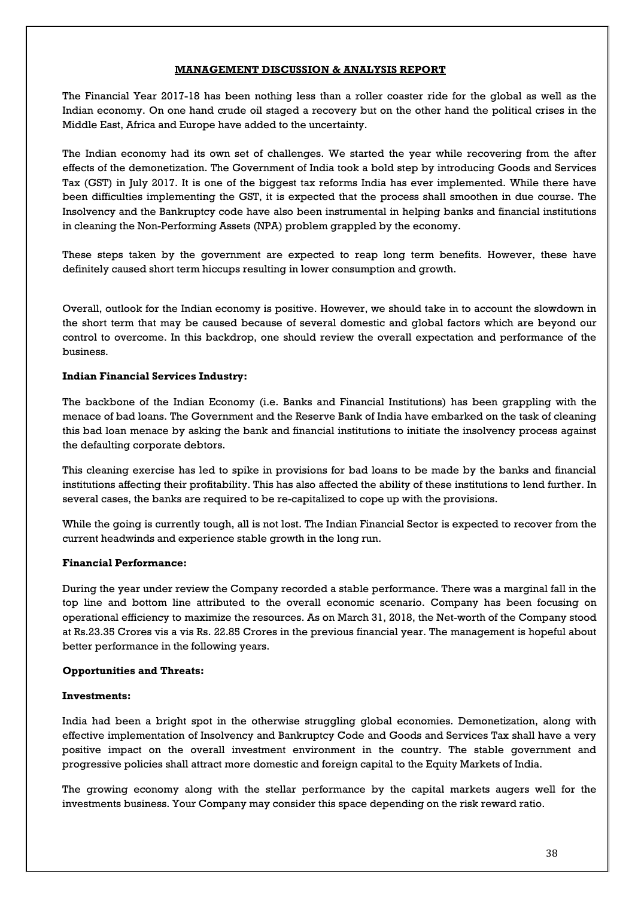# **MANAGEMENT DISCUSSION & ANALYSIS REPORT**

The Financial Year 2017-18 has been nothing less than a roller coaster ride for the global as well as the Indian economy. On one hand crude oil staged a recovery but on the other hand the political crises in the Middle East, Africa and Europe have added to the uncertainty.

The Indian economy had its own set of challenges. We started the year while recovering from the after effects of the demonetization. The Government of India took a bold step by introducing Goods and Services Tax (GST) in July 2017. It is one of the biggest tax reforms India has ever implemented. While there have been difficulties implementing the GST, it is expected that the process shall smoothen in due course. The Insolvency and the Bankruptcy code have also been instrumental in helping banks and financial institutions in cleaning the Non-Performing Assets (NPA) problem grappled by the economy.

These steps taken by the government are expected to reap long term benefits. However, these have definitely caused short term hiccups resulting in lower consumption and growth.

Overall, outlook for the Indian economy is positive. However, we should take in to account the slowdown in the short term that may be caused because of several domestic and global factors which are beyond our control to overcome. In this backdrop, one should review the overall expectation and performance of the business.

# **Indian Financial Services Industry:**

The backbone of the Indian Economy (i.e. Banks and Financial Institutions) has been grappling with the menace of bad loans. The Government and the Reserve Bank of India have embarked on the task of cleaning this bad loan menace by asking the bank and financial institutions to initiate the insolvency process against the defaulting corporate debtors.

This cleaning exercise has led to spike in provisions for bad loans to be made by the banks and financial institutions affecting their profitability. This has also affected the ability of these institutions to lend further. In several cases, the banks are required to be re-capitalized to cope up with the provisions.

While the going is currently tough, all is not lost. The Indian Financial Sector is expected to recover from the current headwinds and experience stable growth in the long run.

# **Financial Performance:**

During the year under review the Company recorded a stable performance. There was a marginal fall in the top line and bottom line attributed to the overall economic scenario. Company has been focusing on operational efficiency to maximize the resources. As on March 31, 2018, the Net-worth of the Company stood at Rs.23.35 Crores vis a vis Rs. 22.85 Crores in the previous financial year. The management is hopeful about better performance in the following years.

# **Opportunities and Threats:**

# **Investments:**

India had been a bright spot in the otherwise struggling global economies. Demonetization, along with effective implementation of Insolvency and Bankruptcy Code and Goods and Services Tax shall have a very positive impact on the overall investment environment in the country. The stable government and progressive policies shall attract more domestic and foreign capital to the Equity Markets of India.

The growing economy along with the stellar performance by the capital markets augers well for the investments business. Your Company may consider this space depending on the risk reward ratio.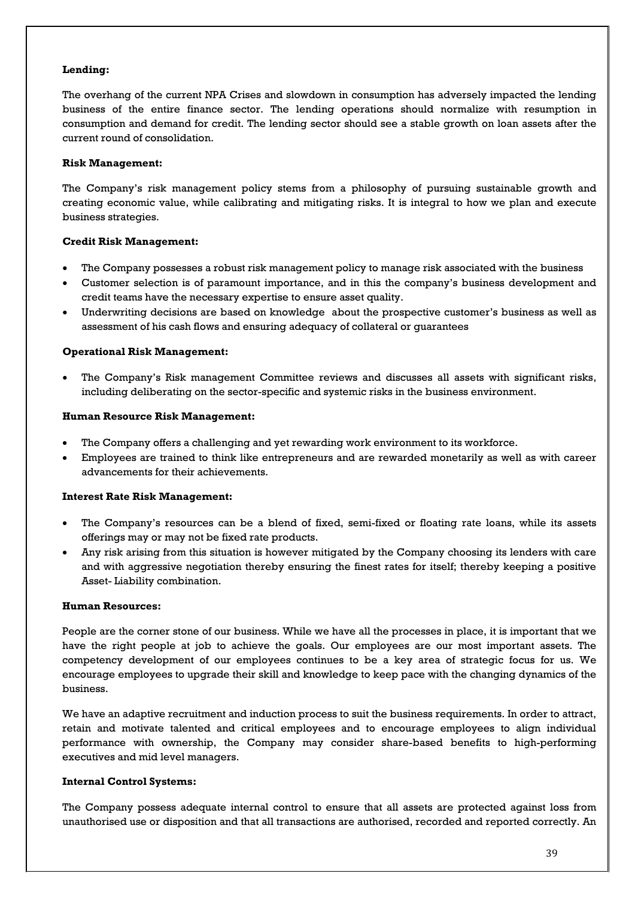# **Lending:**

The overhang of the current NPA Crises and slowdown in consumption has adversely impacted the lending business of the entire finance sector. The lending operations should normalize with resumption in consumption and demand for credit. The lending sector should see a stable growth on loan assets after the current round of consolidation.

# **Risk Management:**

The Company's risk management policy stems from a philosophy of pursuing sustainable growth and creating economic value, while calibrating and mitigating risks. It is integral to how we plan and execute business strategies.

# **Credit Risk Management:**

- The Company possesses a robust risk management policy to manage risk associated with the business
- Customer selection is of paramount importance, and in this the company's business development and credit teams have the necessary expertise to ensure asset quality.
- Underwriting decisions are based on knowledge about the prospective customer's business as well as assessment of his cash flows and ensuring adequacy of collateral or guarantees

# **Operational Risk Management:**

• The Company's Risk management Committee reviews and discusses all assets with significant risks, including deliberating on the sector-specific and systemic risks in the business environment.

# **Human Resource Risk Management:**

- The Company offers a challenging and yet rewarding work environment to its workforce.
- Employees are trained to think like entrepreneurs and are rewarded monetarily as well as with career advancements for their achievements.

# **Interest Rate Risk Management:**

- The Company's resources can be a blend of fixed, semi-fixed or floating rate loans, while its assets offerings may or may not be fixed rate products.
- Any risk arising from this situation is however mitigated by the Company choosing its lenders with care and with aggressive negotiation thereby ensuring the finest rates for itself; thereby keeping a positive Asset- Liability combination.

# **Human Resources:**

People are the corner stone of our business. While we have all the processes in place, it is important that we have the right people at job to achieve the goals. Our employees are our most important assets. The competency development of our employees continues to be a key area of strategic focus for us. We encourage employees to upgrade their skill and knowledge to keep pace with the changing dynamics of the business.

We have an adaptive recruitment and induction process to suit the business requirements. In order to attract, retain and motivate talented and critical employees and to encourage employees to align individual performance with ownership, the Company may consider share-based benefits to high-performing executives and mid level managers.

# **Internal Control Systems:**

The Company possess adequate internal control to ensure that all assets are protected against loss from unauthorised use or disposition and that all transactions are authorised, recorded and reported correctly. An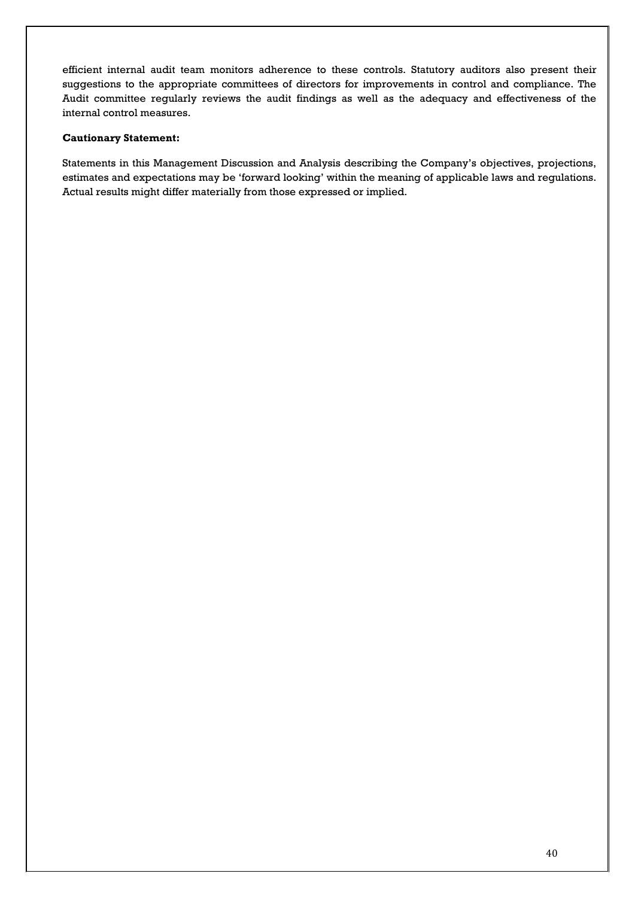efficient internal audit team monitors adherence to these controls. Statutory auditors also present their suggestions to the appropriate committees of directors for improvements in control and compliance. The Audit committee regularly reviews the audit findings as well as the adequacy and effectiveness of the internal control measures.

# **Cautionary Statement:**

Statements in this Management Discussion and Analysis describing the Company's objectives, projections, estimates and expectations may be 'forward looking' within the meaning of applicable laws and regulations. Actual results might differ materially from those expressed or implied.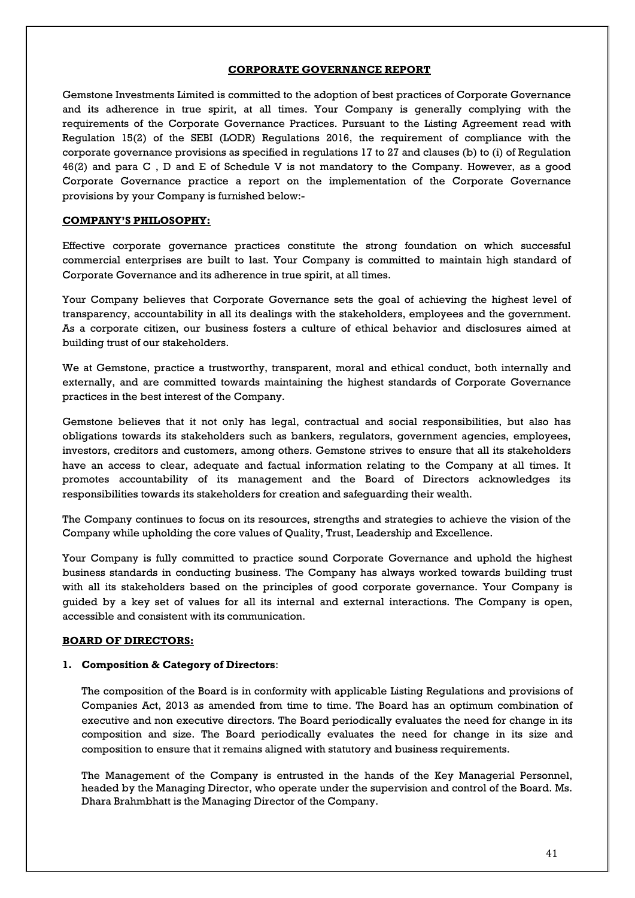# **CORPORATE GOVERNANCE REPORT**

Gemstone Investments Limited is committed to the adoption of best practices of Corporate Governance and its adherence in true spirit, at all times. Your Company is generally complying with the requirements of the Corporate Governance Practices. Pursuant to the Listing Agreement read with Regulation 15(2) of the SEBI (LODR) Regulations 2016, the requirement of compliance with the corporate governance provisions as specified in regulations 17 to 27 and clauses (b) to (i) of Regulation 46(2) and para C , D and E of Schedule V is not mandatory to the Company. However, as a good Corporate Governance practice a report on the implementation of the Corporate Governance provisions by your Company is furnished below:-

# **COMPANY'S PHILOSOPHY:**

Effective corporate governance practices constitute the strong foundation on which successful commercial enterprises are built to last. Your Company is committed to maintain high standard of Corporate Governance and its adherence in true spirit, at all times.

Your Company believes that Corporate Governance sets the goal of achieving the highest level of transparency, accountability in all its dealings with the stakeholders, employees and the government. As a corporate citizen, our business fosters a culture of ethical behavior and disclosures aimed at building trust of our stakeholders.

We at Gemstone, practice a trustworthy, transparent, moral and ethical conduct, both internally and externally, and are committed towards maintaining the highest standards of Corporate Governance practices in the best interest of the Company.

Gemstone believes that it not only has legal, contractual and social responsibilities, but also has obligations towards its stakeholders such as bankers, regulators, government agencies, employees, investors, creditors and customers, among others. Gemstone strives to ensure that all its stakeholders have an access to clear, adequate and factual information relating to the Company at all times. It promotes accountability of its management and the Board of Directors acknowledges its responsibilities towards its stakeholders for creation and safeguarding their wealth.

The Company continues to focus on its resources, strengths and strategies to achieve the vision of the Company while upholding the core values of Quality, Trust, Leadership and Excellence.

Your Company is fully committed to practice sound Corporate Governance and uphold the highest business standards in conducting business. The Company has always worked towards building trust with all its stakeholders based on the principles of good corporate governance. Your Company is guided by a key set of values for all its internal and external interactions. The Company is open, accessible and consistent with its communication.

#### **BOARD OF DIRECTORS:**

#### **1. Composition & Category of Directors**:

The composition of the Board is in conformity with applicable Listing Regulations and provisions of Companies Act, 2013 as amended from time to time. The Board has an optimum combination of executive and non executive directors. The Board periodically evaluates the need for change in its composition and size. The Board periodically evaluates the need for change in its size and composition to ensure that it remains aligned with statutory and business requirements.

The Management of the Company is entrusted in the hands of the Key Managerial Personnel, headed by the Managing Director, who operate under the supervision and control of the Board. Ms. Dhara Brahmbhatt is the Managing Director of the Company.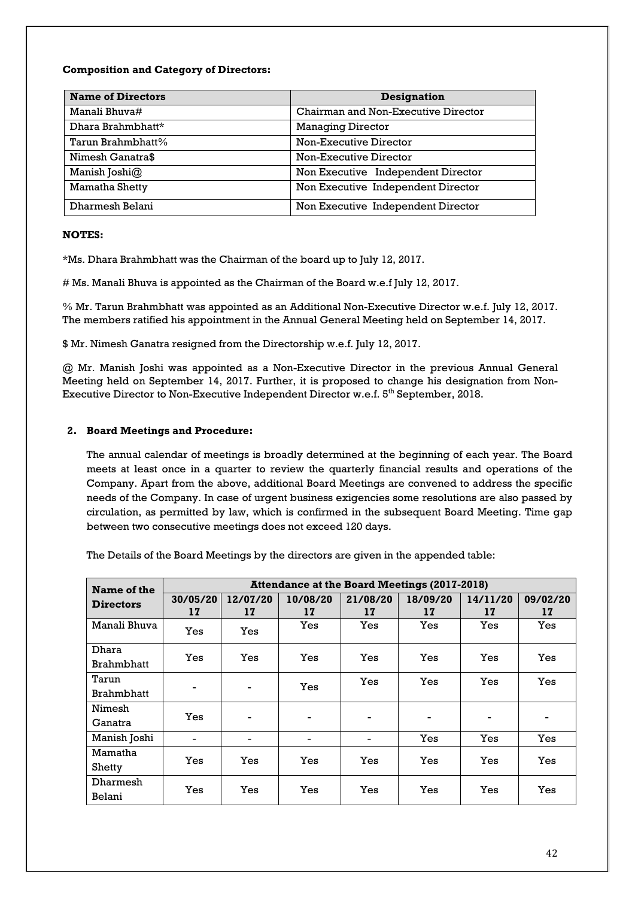# **Composition and Category of Directors:**

| <b>Name of Directors</b> | <b>Designation</b>                  |
|--------------------------|-------------------------------------|
| Manali Bhuva#            | Chairman and Non-Executive Director |
| Dhara Brahmbhatt*        | <b>Managing Director</b>            |
| Tarun Brahmbhatt%        | Non-Executive Director              |
| Nimesh Ganatra\$         | Non-Executive Director              |
| Manish Joshi@            | Non Executive Independent Director  |
| Mamatha Shetty           | Non Executive Independent Director  |
| Dharmesh Belani          | Non Executive Independent Director  |

# **NOTES:**

\*Ms. Dhara Brahmbhatt was the Chairman of the board up to July 12, 2017.

# Ms. Manali Bhuva is appointed as the Chairman of the Board w.e.f July 12, 2017.

% Mr. Tarun Brahmbhatt was appointed as an Additional Non-Executive Director w.e.f. July 12, 2017. The members ratified his appointment in the Annual General Meeting held on September 14, 2017.

\$ Mr. Nimesh Ganatra resigned from the Directorship w.e.f. July 12, 2017.

@ Mr. Manish Joshi was appointed as a Non-Executive Director in the previous Annual General Meeting held on September 14, 2017. Further, it is proposed to change his designation from Non-Executive Director to Non-Executive Independent Director w.e.f.  $5^{\rm th}$  September, 2018.

# **2. Board Meetings and Procedure:**

The annual calendar of meetings is broadly determined at the beginning of each year. The Board meets at least once in a quarter to review the quarterly financial results and operations of the Company. Apart from the above, additional Board Meetings are convened to address the specific needs of the Company. In case of urgent business exigencies some resolutions are also passed by circulation, as permitted by law, which is confirmed in the subsequent Board Meeting. Time gap between two consecutive meetings does not exceed 120 days.

| Name of the      | <b>Attendance at the Board Meetings (2017-2018)</b> |                |                |                          |                |                |                |
|------------------|-----------------------------------------------------|----------------|----------------|--------------------------|----------------|----------------|----------------|
| <b>Directors</b> | 30/05/20<br>17                                      | 12/07/20<br>17 | 10/08/20<br>17 | 21/08/20<br>17           | 18/09/20<br>17 | 14/11/20<br>17 | 09/02/20<br>17 |
| Manali Bhuva     | Yes                                                 | Yes            | Yes            | Yes                      | Yes            | Yes            | Yes            |
| Dhara            | Yes                                                 | Yes            | Yes            | Yes                      | <b>Yes</b>     | Yes            | Yes            |
| Brahmbhatt       |                                                     |                |                |                          |                |                |                |
| Tarun            |                                                     |                |                | Yes                      | Yes            | Yes            | Yes            |
| Brahmbhatt       | $\blacksquare$                                      | ۰              | Yes            |                          |                |                |                |
| Nimesh           |                                                     |                |                |                          |                |                |                |
| Ganatra          | Yes                                                 | -              | -              | $\overline{\phantom{0}}$ | -              | $\blacksquare$ | $\blacksquare$ |
| Manish Joshi     | $\blacksquare$                                      | -              | -              |                          | Yes            | Yes            | Yes            |
| Mamatha          |                                                     |                |                |                          |                |                |                |
| Shetty           | Yes                                                 | Yes            | Yes            | Yes                      | Yes            | Yes            | Yes            |
| Dharmesh         |                                                     |                |                |                          |                |                |                |
| Belani           | Yes                                                 | Yes            | Yes            | Yes                      | Yes            | Yes            | Yes            |

The Details of the Board Meetings by the directors are given in the appended table: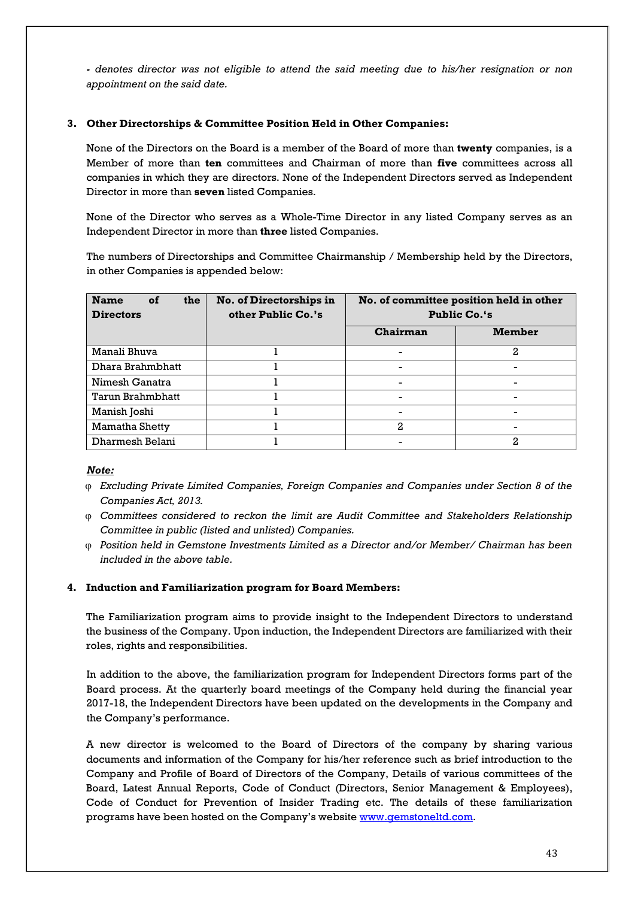*- denotes director was not eligible to attend the said meeting due to his/her resignation or non appointment on the said date.*

# **3. Other Directorships & Committee Position Held in Other Companies:**

None of the Directors on the Board is a member of the Board of more than **twenty** companies, is a Member of more than **ten** committees and Chairman of more than **five** committees across all companies in which they are directors. None of the Independent Directors served as Independent Director in more than **seven** listed Companies.

None of the Director who serves as a Whole-Time Director in any listed Company serves as an Independent Director in more than **three** listed Companies.

The numbers of Directorships and Committee Chairmanship / Membership held by the Directors, in other Companies is appended below:

| <b>Name</b><br><b>of</b><br>the<br><b>Directors</b> | No. of Directorships in<br>other Public Co.'s | No. of committee position held in other<br><b>Public Co.'s</b> |               |
|-----------------------------------------------------|-----------------------------------------------|----------------------------------------------------------------|---------------|
|                                                     |                                               | Chairman                                                       | <b>Member</b> |
| Manali Bhuva                                        |                                               |                                                                | 2             |
| Dhara Brahmbhatt                                    |                                               |                                                                |               |
| Nimesh Ganatra                                      |                                               |                                                                | -             |
| Tarun Brahmbhatt                                    |                                               |                                                                |               |
| Manish Joshi                                        |                                               |                                                                |               |
| Mamatha Shetty                                      |                                               | 2                                                              |               |
| Dharmesh Belani                                     |                                               |                                                                | 2             |

# *Note:*

- ϕ *Excluding Private Limited Companies, Foreign Companies and Companies under Section 8 of the Companies Act, 2013.*
- ϕ *Committees considered to reckon the limit are Audit Committee and Stakeholders Relationship Committee in public (listed and unlisted) Companies.*
- ϕ *Position held in Gemstone Investments Limited as a Director and/or Member/ Chairman has been included in the above table.*

# **4. Induction and Familiarization program for Board Members:**

The Familiarization program aims to provide insight to the Independent Directors to understand the business of the Company. Upon induction, the Independent Directors are familiarized with their roles, rights and responsibilities.

In addition to the above, the familiarization program for Independent Directors forms part of the Board process. At the quarterly board meetings of the Company held during the financial year 2017-18, the Independent Directors have been updated on the developments in the Company and the Company's performance.

A new director is welcomed to the Board of Directors of the company by sharing various documents and information of the Company for his/her reference such as brief introduction to the Company and Profile of Board of Directors of the Company, Details of various committees of the Board, Latest Annual Reports, Code of Conduct (Directors, Senior Management & Employees), Code of Conduct for Prevention of Insider Trading etc. The details of these familiarization programs have been hosted on the Company's website [www.gemstoneltd.com.](http://www.gemstoneltd.com/)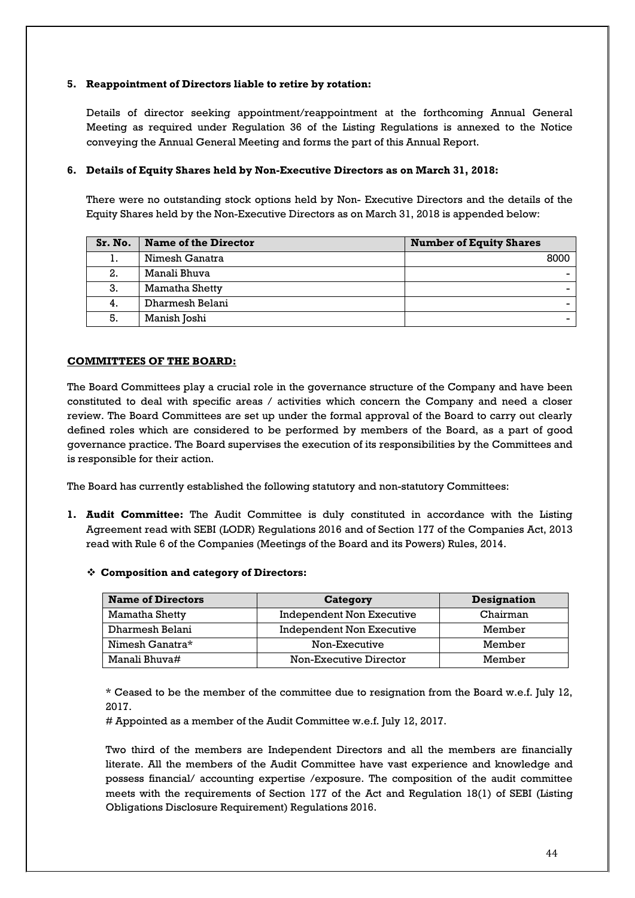# **5. Reappointment of Directors liable to retire by rotation:**

Details of director seeking appointment/reappointment at the forthcoming Annual General Meeting as required under Regulation 36 of the Listing Regulations is annexed to the Notice conveying the Annual General Meeting and forms the part of this Annual Report.

# **6. Details of Equity Shares held by Non-Executive Directors as on March 31, 2018:**

There were no outstanding stock options held by Non- Executive Directors and the details of the Equity Shares held by the Non-Executive Directors as on March 31, 2018 is appended below:

| Sr. No. | <b>Name of the Director</b> | <b>Number of Equity Shares</b> |
|---------|-----------------------------|--------------------------------|
|         | Nimesh Ganatra              | 8000                           |
| 2.      | Manali Bhuva                |                                |
| 3.      | Mamatha Shetty              |                                |
| 4.      | Dharmesh Belani             |                                |
| 5.      | Manish Joshi                |                                |

# **COMMITTEES OF THE BOARD:**

The Board Committees play a crucial role in the governance structure of the Company and have been constituted to deal with specific areas / activities which concern the Company and need a closer review. The Board Committees are set up under the formal approval of the Board to carry out clearly defined roles which are considered to be performed by members of the Board, as a part of good governance practice. The Board supervises the execution of its responsibilities by the Committees and is responsible for their action.

The Board has currently established the following statutory and non-statutory Committees:

- **1. Audit Committee:** The Audit Committee is duly constituted in accordance with the Listing Agreement read with SEBI (LODR) Regulations 2016 and of Section 177 of the Companies Act, 2013 read with Rule 6 of the Companies (Meetings of the Board and its Powers) Rules, 2014.
	- **Composition and category of Directors:**

| <b>Name of Directors</b> | Category                         | <b>Designation</b> |
|--------------------------|----------------------------------|--------------------|
| Mamatha Shetty           | <b>Independent Non Executive</b> | Chairman           |
| Dharmesh Belani          | Independent Non Executive        | Member             |
| Nimesh Ganatra*          | Non-Executive                    | Member             |
| Manali Bhuva#            | Non-Executive Director           | Member             |

\* Ceased to be the member of the committee due to resignation from the Board w.e.f. July 12, 2017.

# Appointed as a member of the Audit Committee w.e.f. July 12, 2017.

Two third of the members are Independent Directors and all the members are financially literate. All the members of the Audit Committee have vast experience and knowledge and possess financial/ accounting expertise /exposure. The composition of the audit committee meets with the requirements of Section 177 of the Act and Regulation 18(1) of SEBI (Listing Obligations Disclosure Requirement) Regulations 2016.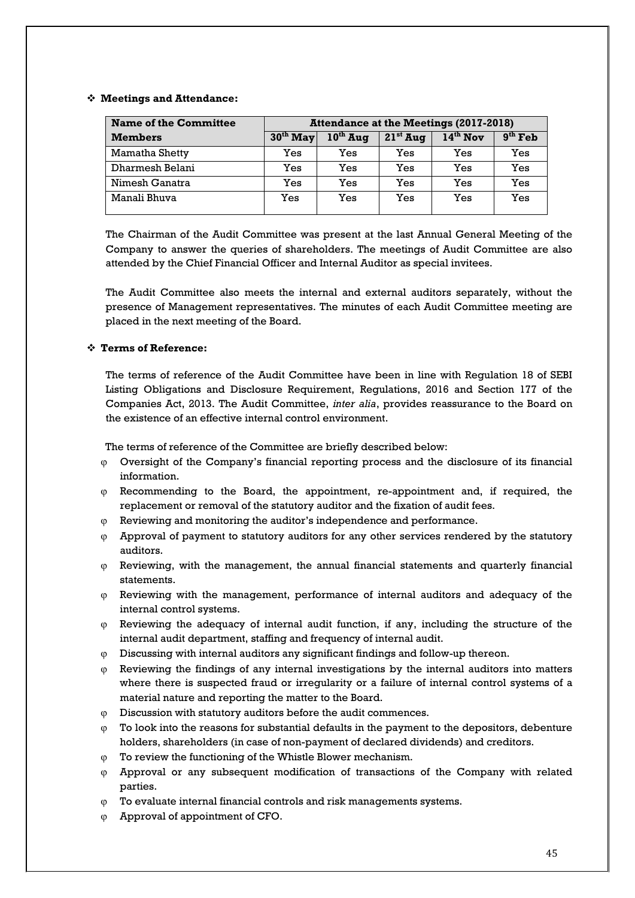# **Meetings and Attendance:**

| <b>Name of the Committee</b> | <b>Attendance at the Meetings (2017-2018)</b> |               |            |            |           |
|------------------------------|-----------------------------------------------|---------------|------------|------------|-----------|
| <b>Members</b>               | $30th$ May                                    | $10^{th}$ Aug | $21st$ Aug | $14th$ Nov | $9th$ Feb |
| Mamatha Shetty               | Yes                                           | Yes           | Yes        | Yes        | Yes       |
| Dharmesh Belani              | Yes                                           | Yes           | Yes        | Yes        | Yes       |
| Nimesh Ganatra               | Yes                                           | Yes           | Yes        | Yes        | Yes       |
| Manali Bhuva                 | Yes                                           | Yes           | Yes        | Yes        | Yes       |

The Chairman of the Audit Committee was present at the last Annual General Meeting of the Company to answer the queries of shareholders. The meetings of Audit Committee are also attended by the Chief Financial Officer and Internal Auditor as special invitees.

The Audit Committee also meets the internal and external auditors separately, without the presence of Management representatives. The minutes of each Audit Committee meeting are placed in the next meeting of the Board.

# **Terms of Reference:**

The terms of reference of the Audit Committee have been in line with Regulation 18 of SEBI Listing Obligations and Disclosure Requirement, Regulations, 2016 and Section 177 of the Companies Act, 2013. The Audit Committee, *inter alia*, provides reassurance to the Board on the existence of an effective internal control environment.

The terms of reference of the Committee are briefly described below:

- $\varphi$  Oversight of the Company's financial reporting process and the disclosure of its financial information.
- ϕ Recommending to the Board, the appointment, re-appointment and, if required, the replacement or removal of the statutory auditor and the fixation of audit fees.
- ϕ Reviewing and monitoring the auditor's independence and performance.
- $\varphi$  Approval of payment to statutory auditors for any other services rendered by the statutory auditors.
- $<sub>φ</sub>$  Reviewing, with the management, the annual financial statements and quarterly financial</sub> statements.
- $\varphi$  Reviewing with the management, performance of internal auditors and adequacy of the internal control systems.
- $\varphi$  Reviewing the adequacy of internal audit function, if any, including the structure of the internal audit department, staffing and frequency of internal audit.
- Discussing with internal auditors any significant findings and follow-up thereon.
- $\varphi$  Reviewing the findings of any internal investigations by the internal auditors into matters where there is suspected fraud or irregularity or a failure of internal control systems of a material nature and reporting the matter to the Board.
- ϕ Discussion with statutory auditors before the audit commences.
- $<sub>Φ</sub>$  To look into the reasons for substantial defaults in the payment to the depositors, debenture</sub> holders, shareholders (in case of non-payment of declared dividends) and creditors.
- ϕ To review the functioning of the Whistle Blower mechanism.
- ϕ Approval or any subsequent modification of transactions of the Company with related parties.
- ϕ To evaluate internal financial controls and risk managements systems.
- ϕ Approval of appointment of CFO.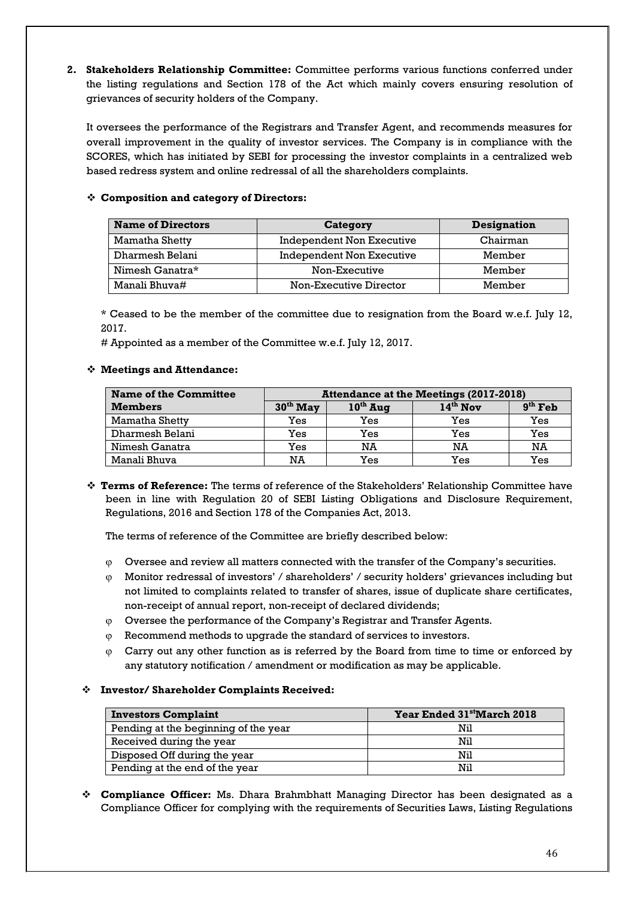**2. Stakeholders Relationship Committee:** Committee performs various functions conferred under the listing regulations and Section 178 of the Act which mainly covers ensuring resolution of grievances of security holders of the Company.

It oversees the performance of the Registrars and Transfer Agent, and recommends measures for overall improvement in the quality of investor services. The Company is in compliance with the SCORES, which has initiated by SEBI for processing the investor complaints in a centralized web based redress system and online redressal of all the shareholders complaints.

# **Composition and category of Directors:**

| <b>Name of Directors</b> | Category                  | <b>Designation</b> |
|--------------------------|---------------------------|--------------------|
| Mamatha Shetty           | Independent Non Executive | Chairman           |
| Dharmesh Belani          | Independent Non Executive | Member             |
| Nimesh Ganatra*          | Non-Executive             | Member             |
| Manali Bhuva#            | Non-Executive Director    | Member             |

\* Ceased to be the member of the committee due to resignation from the Board w.e.f. July 12, 2017.

# Appointed as a member of the Committee w.e.f. July 12, 2017.

# **Meetings and Attendance:**

| <b>Name of the Committee</b> | <b>Attendance at the Meetings (2017-2018)</b> |               |            |           |
|------------------------------|-----------------------------------------------|---------------|------------|-----------|
| <b>Members</b>               | $30th$ May                                    | $10^{th}$ Aug | $14th$ Nov | $9th$ Feb |
| Mamatha Shetty               | Yes                                           | Yes           | Yes        | Yes       |
| Dharmesh Belani              | Yes                                           | Yes           | Yes        | Yes       |
| Nimesh Ganatra               | Yes                                           | NA            | NA         | NA        |
| Manali Bhuva                 | NA                                            | Yes           | Yes        | Yes       |

 **Terms of Reference:** The terms of reference of the Stakeholders' Relationship Committee have been in line with Regulation 20 of SEBI Listing Obligations and Disclosure Requirement, Regulations, 2016 and Section 178 of the Companies Act, 2013.

The terms of reference of the Committee are briefly described below:

- $\varphi$  Oversee and review all matters connected with the transfer of the Company's securities.
- ϕ Monitor redressal of investors' / shareholders' / security holders' grievances including but not limited to complaints related to transfer of shares, issue of duplicate share certificates, non-receipt of annual report, non-receipt of declared dividends;
- $\varphi$  Oversee the performance of the Company's Registrar and Transfer Agents.
- Recommend methods to upgrade the standard of services to investors.
- ϕ Carry out any other function as is referred by the Board from time to time or enforced by any statutory notification / amendment or modification as may be applicable.

# **Investor/ Shareholder Complaints Received:**

| <b>Investors Complaint</b>           | Year Ended 31 <sup>st</sup> March 2018 |
|--------------------------------------|----------------------------------------|
| Pending at the beginning of the year | Nil                                    |
| Received during the year             | Nil                                    |
| Disposed Off during the year         | Nil                                    |
| Pending at the end of the year       | Nil                                    |

 **Compliance Officer:** Ms. Dhara Brahmbhatt Managing Director has been designated as a Compliance Officer for complying with the requirements of Securities Laws, Listing Regulations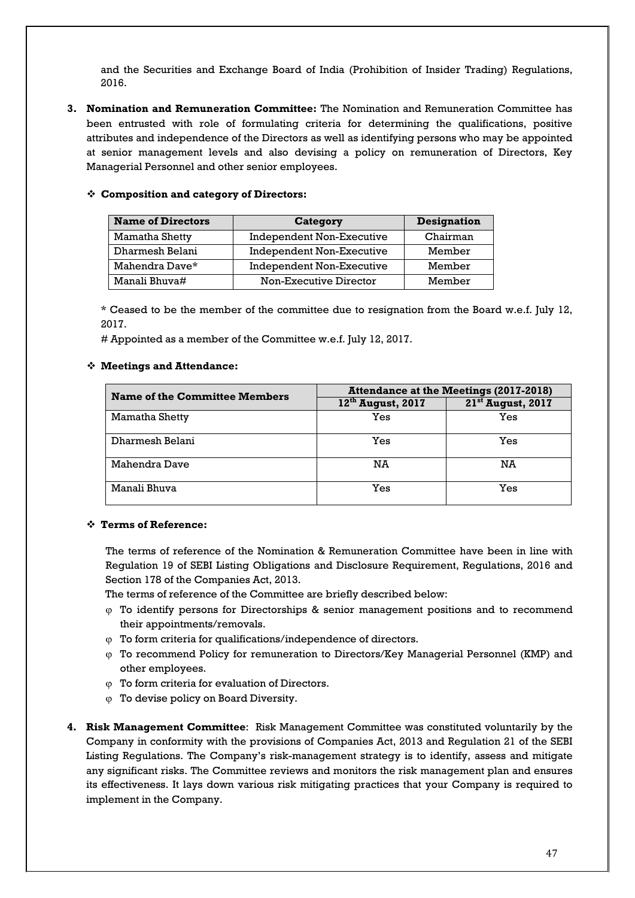and the Securities and Exchange Board of India (Prohibition of Insider Trading) Regulations, 2016.

**3. Nomination and Remuneration Committee:** The Nomination and Remuneration Committee has been entrusted with role of formulating criteria for determining the qualifications, positive attributes and independence of the Directors as well as identifying persons who may be appointed at senior management levels and also devising a policy on remuneration of Directors, Key Managerial Personnel and other senior employees.

| <b>Name of Directors</b> | <b>Category</b>                  | <b>Designation</b> |
|--------------------------|----------------------------------|--------------------|
| Mamatha Shetty           | <b>Independent Non-Executive</b> | Chairman           |
| Dharmesh Belani          | Independent Non-Executive        | Member             |
| Mahendra Dave*           | <b>Independent Non-Executive</b> | Member             |
| Manali Bhuva#            | Non-Executive Director           | Member             |

# **Composition and category of Directors:**

\* Ceased to be the member of the committee due to resignation from the Board w.e.f. July 12, 2017.

# Appointed as a member of the Committee w.e.f. July 12, 2017.

# **Meetings and Attendance:**

| <b>Name of the Committee Members</b> | <b>Attendance at the Meetings (2017-2018)</b> |                               |  |
|--------------------------------------|-----------------------------------------------|-------------------------------|--|
|                                      | $12th$ August, 2017                           | 21 <sup>st</sup> August, 2017 |  |
| Mamatha Shetty                       | Yes                                           | Yes                           |  |
| Dharmesh Belani                      | Yes                                           | Yes                           |  |
| Mahendra Dave                        | NA                                            | NA                            |  |
| Manali Bhuva                         | Yes                                           | Yes                           |  |

# **Terms of Reference:**

The terms of reference of the Nomination & Remuneration Committee have been in line with Regulation 19 of SEBI Listing Obligations and Disclosure Requirement, Regulations, 2016 and Section 178 of the Companies Act, 2013.

The terms of reference of the Committee are briefly described below:

- $\varphi$  To identify persons for Directorships & senior management positions and to recommend their appointments/removals.
- ϕ To form criteria for qualifications/independence of directors.
- ϕ To recommend Policy for remuneration to Directors/Key Managerial Personnel (KMP) and other employees.
- ϕ To form criteria for evaluation of Directors.
- ϕ To devise policy on Board Diversity.
- **4. Risk Management Committee**: Risk Management Committee was constituted voluntarily by the Company in conformity with the provisions of Companies Act, 2013 and Regulation 21 of the SEBI Listing Regulations. The Company's risk-management strategy is to identify, assess and mitigate any significant risks. The Committee reviews and monitors the risk management plan and ensures its effectiveness. It lays down various risk mitigating practices that your Company is required to implement in the Company.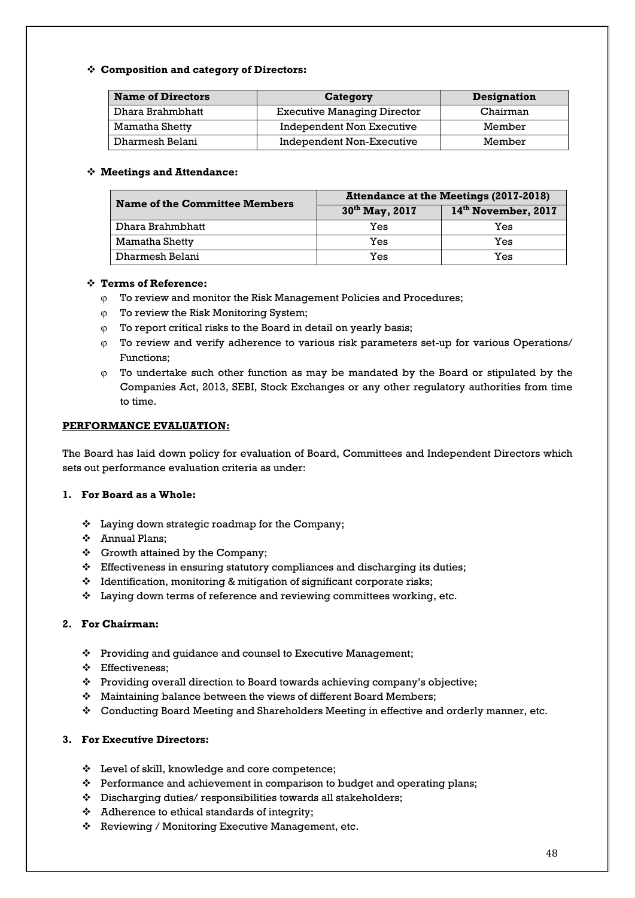# **Composition and category of Directors:**

| <b>Name of Directors</b> | Category                           | Designation |
|--------------------------|------------------------------------|-------------|
| Dhara Brahmbhatt         | <b>Executive Managing Director</b> | Chairman    |
| Mamatha Shetty           | Independent Non Executive          | Member      |
| Dharmesh Belani          | Independent Non-Executive          | Member      |

# **Meetings and Attendance:**

| Name of the Committee Members | <b>Attendance at the Meetings (2017-2018)</b> |                                 |  |
|-------------------------------|-----------------------------------------------|---------------------------------|--|
|                               | 30 <sup>th</sup> May, 2017                    | 14 <sup>th</sup> November, 2017 |  |
| Dhara Brahmbhatt              | Yes                                           | Yes                             |  |
| Mamatha Shetty                | Yes                                           | Yes                             |  |
| Dharmesh Belani               | Yes                                           | Yes                             |  |

# **Terms of Reference:**

- ϕ To review and monitor the Risk Management Policies and Procedures;
- ϕ To review the Risk Monitoring System;
- ϕ To report critical risks to the Board in detail on yearly basis;
- ϕ To review and verify adherence to various risk parameters set-up for various Operations/ Functions;
- ϕ To undertake such other function as may be mandated by the Board or stipulated by the Companies Act, 2013, SEBI, Stock Exchanges or any other regulatory authorities from time to time.

# **PERFORMANCE EVALUATION:**

The Board has laid down policy for evaluation of Board, Committees and Independent Directors which sets out performance evaluation criteria as under:

# **1. For Board as a Whole:**

- Laying down strategic roadmap for the Company;
- Annual Plans;
- $\div$  Growth attained by the Company;
- $\div$  Effectiveness in ensuring statutory compliances and discharging its duties;
- Identification, monitoring & mitigation of significant corporate risks;
- Laying down terms of reference and reviewing committees working, etc.

# **2. For Chairman:**

- Providing and guidance and counsel to Executive Management;
- Effectiveness;
- Providing overall direction to Board towards achieving company's objective;
- $\div$  Maintaining balance between the views of different Board Members;
- Conducting Board Meeting and Shareholders Meeting in effective and orderly manner, etc.

# **3. For Executive Directors:**

- Level of skill, knowledge and core competence;
- Performance and achievement in comparison to budget and operating plans;
- Discharging duties/ responsibilities towards all stakeholders;
- Adherence to ethical standards of integrity;
- Reviewing / Monitoring Executive Management, etc.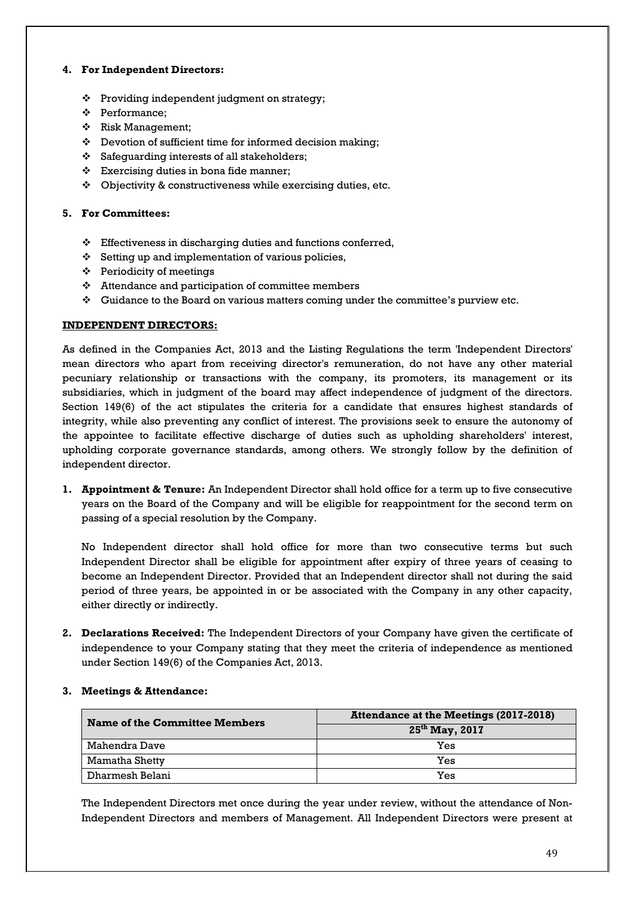# **4. For Independent Directors:**

- Providing independent judgment on strategy;
- Performance;
- $\div$  Risk Management;
- Devotion of sufficient time for informed decision making;
- Safeguarding interests of all stakeholders;
- $\div$  Exercising duties in bona fide manner;
- $\div$  Objectivity & constructiveness while exercising duties, etc.

# **5. For Committees:**

- Effectiveness in discharging duties and functions conferred,
- $\div$  Setting up and implementation of various policies,
- $\div$  Periodicity of meetings
- $\triangleleft$  Attendance and participation of committee members
- $\div$  Guidance to the Board on various matters coming under the committee's purview etc.

# **INDEPENDENT DIRECTORS:**

As defined in the Companies Act, 2013 and the Listing Regulations the term 'Independent Directors' mean directors who apart from receiving director's remuneration, do not have any other material pecuniary relationship or transactions with the company, its promoters, its management or its subsidiaries, which in judgment of the board may affect independence of judgment of the directors. Section 149(6) of the act stipulates the criteria for a candidate that ensures highest standards of integrity, while also preventing any conflict of interest. The provisions seek to ensure the autonomy of the appointee to facilitate effective discharge of duties such as upholding shareholders' interest, upholding corporate governance standards, among others. We strongly follow by the definition of independent director.

**1. Appointment & Tenure:** An Independent Director shall hold office for a term up to five consecutive years on the Board of the Company and will be eligible for reappointment for the second term on passing of a special resolution by the Company.

No Independent director shall hold office for more than two consecutive terms but such Independent Director shall be eligible for appointment after expiry of three years of ceasing to become an Independent Director. Provided that an Independent director shall not during the said period of three years, be appointed in or be associated with the Company in any other capacity, either directly or indirectly.

**2. Declarations Received:** The Independent Directors of your Company have given the certificate of independence to your Company stating that they meet the criteria of independence as mentioned under Section 149(6) of the Companies Act, 2013.

| Name of the Committee Members | <b>Attendance at the Meetings (2017-2018)</b> |  |  |
|-------------------------------|-----------------------------------------------|--|--|
|                               | $25^{th}$ May, 2017                           |  |  |
| Mahendra Dave                 | Yes                                           |  |  |
| Mamatha Shetty                | Yes                                           |  |  |
| Dharmesh Belani               | Yes                                           |  |  |

# **3. Meetings & Attendance:**

The Independent Directors met once during the year under review, without the attendance of Non-Independent Directors and members of Management. All Independent Directors were present at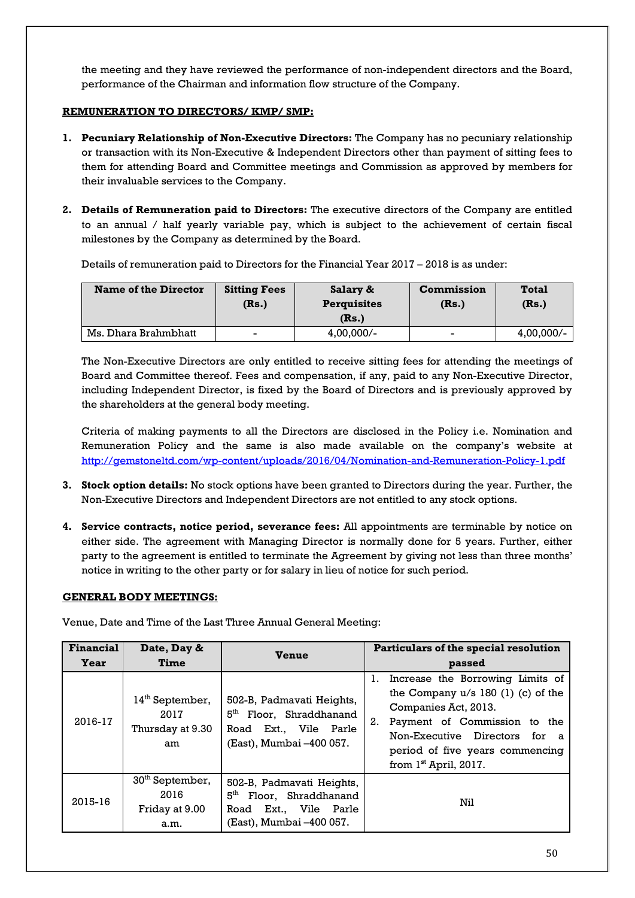the meeting and they have reviewed the performance of non-independent directors and the Board, performance of the Chairman and information flow structure of the Company.

# **REMUNERATION TO DIRECTORS/ KMP/ SMP:**

- **1. Pecuniary Relationship of Non-Executive Directors:** The Company has no pecuniary relationship or transaction with its Non-Executive & Independent Directors other than payment of sitting fees to them for attending Board and Committee meetings and Commission as approved by members for their invaluable services to the Company.
- **2. Details of Remuneration paid to Directors:** The executive directors of the Company are entitled to an annual / half yearly variable pay, which is subject to the achievement of certain fiscal milestones by the Company as determined by the Board.

Details of remuneration paid to Directors for the Financial Year 2017 – 2018 is as under:

| <b>Name of the Director</b> | <b>Sitting Fees</b><br>(Rs.) | Salary &<br><b>Perquisites</b><br>(Rs.) | <b>Commission</b><br>(Rs.) | <b>Total</b><br>(Rs.) |
|-----------------------------|------------------------------|-----------------------------------------|----------------------------|-----------------------|
| Ms. Dhara Brahmbhatt        | -                            | $4,00,000/-$                            | -                          | $4,00,000/-$          |

The Non-Executive Directors are only entitled to receive sitting fees for attending the meetings of Board and Committee thereof. Fees and compensation, if any, paid to any Non-Executive Director, including Independent Director, is fixed by the Board of Directors and is previously approved by the shareholders at the general body meeting.

Criteria of making payments to all the Directors are disclosed in the Policy i.e. Nomination and Remuneration Policy and the same is also made available on the company's website at <http://gemstoneltd.com/wp-content/uploads/2016/04/Nomination-and-Remuneration-Policy-1.pdf>

- **3. Stock option details:** No stock options have been granted to Directors during the year. Further, the Non-Executive Directors and Independent Directors are not entitled to any stock options.
- **4. Service contracts, notice period, severance fees:** All appointments are terminable by notice on either side. The agreement with Managing Director is normally done for 5 years. Further, either party to the agreement is entitled to terminate the Agreement by giving not less than three months' notice in writing to the other party or for salary in lieu of notice for such period.

# **GENERAL BODY MEETINGS:**

Venue, Date and Time of the Last Three Annual General Meeting:

| <b>Financial</b> | Date, Day &                                                   | <b>Venue</b>                                                                                                          | Particulars of the special resolution                                                                                                                                                                                                 |  |
|------------------|---------------------------------------------------------------|-----------------------------------------------------------------------------------------------------------------------|---------------------------------------------------------------------------------------------------------------------------------------------------------------------------------------------------------------------------------------|--|
| <b>Year</b>      | Time                                                          |                                                                                                                       | passed                                                                                                                                                                                                                                |  |
| 2016-17          | $14th$ September,<br>2017<br>Thursday at 9.30<br>am           | 502-B, Padmavati Heights,<br>5 <sup>th</sup> Floor, Shraddhanand<br>Road Ext., Vile Parle<br>(East), Mumbai -400 057. | Increase the Borrowing Limits of<br>the Company $u/s$ 180 (1) (c) of the<br>Companies Act, 2013.<br>Payment of Commission to the<br>2.<br>Non-Executive Directors for a<br>period of five years commencing<br>from $1st$ April, 2017. |  |
| 2015-16          | 30 <sup>th</sup> September,<br>2016<br>Friday at 9.00<br>a.m. | 502-B, Padmavati Heights,<br>5 <sup>th</sup> Floor, Shraddhanand<br>Road Ext., Vile Parle<br>(East), Mumbai –400 057. | Nil                                                                                                                                                                                                                                   |  |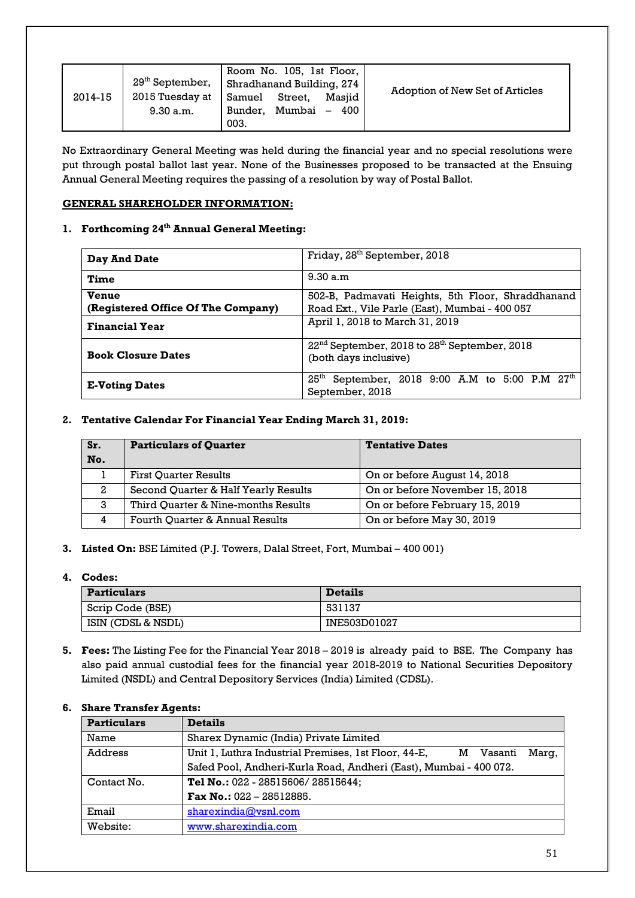| 2014-15 | $29th$ September, $\overline{\phantom{a}}$<br>2015 Tuesday at<br>9.30 a.m. | Room No. 105, 1st Floor,<br>Shradhanand Building, 274<br>Samuel<br>Street,<br>Mumbai<br>Bunder.<br>003. | Masiid<br>$-400$ | Adoption of New Set of Articles |
|---------|----------------------------------------------------------------------------|---------------------------------------------------------------------------------------------------------|------------------|---------------------------------|
|---------|----------------------------------------------------------------------------|---------------------------------------------------------------------------------------------------------|------------------|---------------------------------|

No Extraordinary General Meeting was held during the financial year and no special resolutions were put through postal ballot last year. None of the Businesses proposed to be transacted at the Ensuing Annual General Meeting requires the passing of a resolution by way of Postal Ballot.

# **GENERAL SHAREHOLDER INFORMATION:**

# **1. Forthcoming 24 th Annual General Meeting:**

| Day And Date                       | Friday, 28 <sup>th</sup> September, 2018                                                     |  |  |
|------------------------------------|----------------------------------------------------------------------------------------------|--|--|
| Time                               | 9.30 a.m.                                                                                    |  |  |
| <b>Venue</b>                       | 502-B, Padmavati Heights, 5th Floor, Shraddhanand                                            |  |  |
| (Registered Office Of The Company) | Road Ext., Vile Parle (East), Mumbai - 400 057                                               |  |  |
| <b>Financial Year</b>              | April 1, 2018 to March 31, 2019                                                              |  |  |
| <b>Book Closure Dates</b>          | $22nd$ September, 2018 to $28th$ September, 2018<br>(both days inclusive)                    |  |  |
| <b>E-Voting Dates</b>              | September, 2018 9:00 A.M to 5:00 P.M 27 <sup>th</sup><br>25 <sup>th</sup><br>September, 2018 |  |  |

# **2. Tentative Calendar For Financial Year Ending March 31, 2019:**

| Sr.<br>No. | <b>Particulars of Quarter</b>        | <b>Tentative Dates</b>         |
|------------|--------------------------------------|--------------------------------|
|            | <b>First Ouarter Results</b>         | On or before August 14, 2018   |
| 2          | Second Quarter & Half Yearly Results | On or before November 15, 2018 |
| 3          | Third Ouarter & Nine-months Results  | On or before February 15, 2019 |
| 4          | Fourth Quarter & Annual Results      | On or before May 30, 2019      |

**3. Listed On:** BSE Limited (P.J. Towers, Dalal Street, Fort, Mumbai – 400 001)

# **4. Codes:**

| <b>Particulars</b> | <b>Details</b> |
|--------------------|----------------|
| Scrip Code (BSE)   | 531137         |
| ISIN (CDSL & NSDL) | INE503D01027   |

**5. Fees:** The Listing Fee for the Financial Year 2018 – 2019 is already paid to BSE. The Company has also paid annual custodial fees for the financial year 2018-2019 to National Securities Depository Limited (NSDL) and Central Depository Services (India) Limited (CDSL).

# **6. Share Transfer Agents:**

| <b>Particulars</b> | <b>Details</b>                                                                |  |  |  |  |
|--------------------|-------------------------------------------------------------------------------|--|--|--|--|
| Name               | Sharex Dynamic (India) Private Limited                                        |  |  |  |  |
| Address            | Unit 1, Luthra Industrial Premises, 1st Floor, 44-E,<br>Marg,<br>Vasanti<br>м |  |  |  |  |
|                    | Safed Pool, Andheri-Kurla Road, Andheri (East), Mumbai - 400 072.             |  |  |  |  |
| Contact No.        | Tel No.: 022 - 28515606/28515644;                                             |  |  |  |  |
|                    | Fax No.: $022 - 28512885$ .                                                   |  |  |  |  |
| Email              | sharexindia@vsnl.com                                                          |  |  |  |  |
| Website:           | www.sharexindia.com                                                           |  |  |  |  |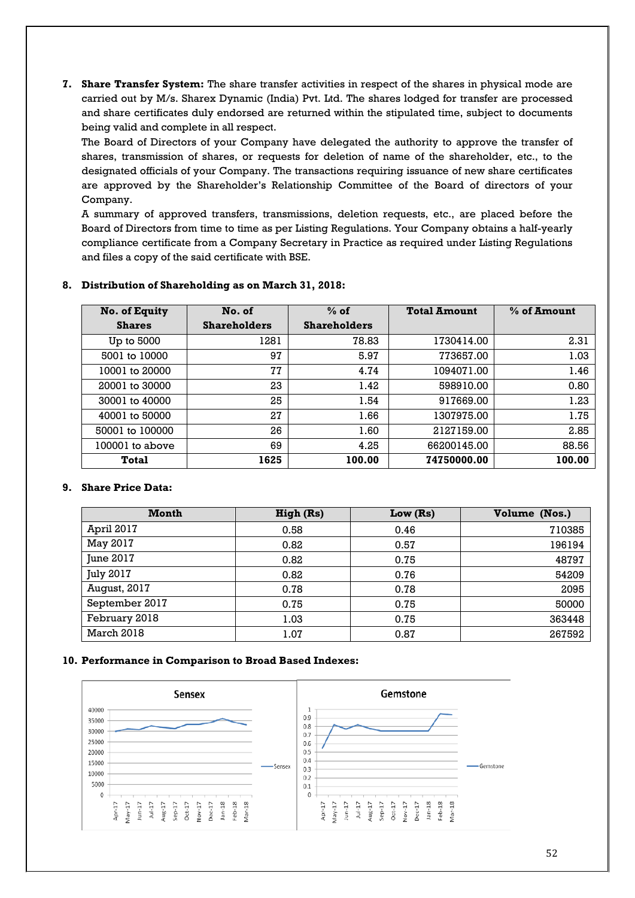**7. Share Transfer System:** The share transfer activities in respect of the shares in physical mode are carried out by M/s. Sharex Dynamic (India) Pvt. Ltd. The shares lodged for transfer are processed and share certificates duly endorsed are returned within the stipulated time, subject to documents being valid and complete in all respect.

The Board of Directors of your Company have delegated the authority to approve the transfer of shares, transmission of shares, or requests for deletion of name of the shareholder, etc., to the designated officials of your Company. The transactions requiring issuance of new share certificates are approved by the Shareholder's Relationship Committee of the Board of directors of your Company.

A summary of approved transfers, transmissions, deletion requests, etc., are placed before the Board of Directors from time to time as per Listing Regulations. Your Company obtains a half-yearly compliance certificate from a Company Secretary in Practice as required under Listing Regulations and files a copy of the said certificate with BSE.

# **8. Distribution of Shareholding as on March 31, 2018:**

| No. of Equity     | No. of              | $%$ of              | <b>Total Amount</b> | % of Amount |
|-------------------|---------------------|---------------------|---------------------|-------------|
| <b>Shares</b>     | <b>Shareholders</b> | <b>Shareholders</b> |                     |             |
| Up to 5000        | 1281                | 78.83               | 1730414.00          | 2.31        |
| 5001 to 10000     | 97                  | 5.97                | 773657.00           | 1.03        |
| 10001 to 20000    | 77                  | 4.74                | 1094071.00          | 1.46        |
| 20001 to 30000    | 23                  | 1.42                | 598910.00           | 0.80        |
| 30001 to 40000    | 25                  | 1.54                | 917669.00           | 1.23        |
| 40001 to 50000    | 27                  | 1.66                | 1307975.00          | 1.75        |
| 50001 to 100000   | 26                  | 1.60                | 2127159.00          | 2.85        |
| $100001$ to above | 69                  | 4.25                | 66200145.00         | 88.56       |
| Total             | 1625                | 100.00              | 74750000.00         | 100.00      |

# **9. Share Price Data:**

| Month            | High (Rs) | Low $(Rs)$ | Volume (Nos.) |
|------------------|-----------|------------|---------------|
| April 2017       | 0.58      | 0.46       | 710385        |
| May 2017         | 0.82      | 0.57       | 196194        |
| June 2017        | 0.82      | 0.75       | 48797         |
| <b>July 2017</b> | 0.82      | 0.76       | 54209         |
| August, 2017     | 0.78      | 0.78       | 2095          |
| September 2017   | 0.75      | 0.75       | 50000         |
| February 2018    | 1.03      | 0.75       | 363448        |
| March 2018       | 1.07      | 0.87       | 267592        |

#### **10. Performance in Comparison to Broad Based Indexes:**

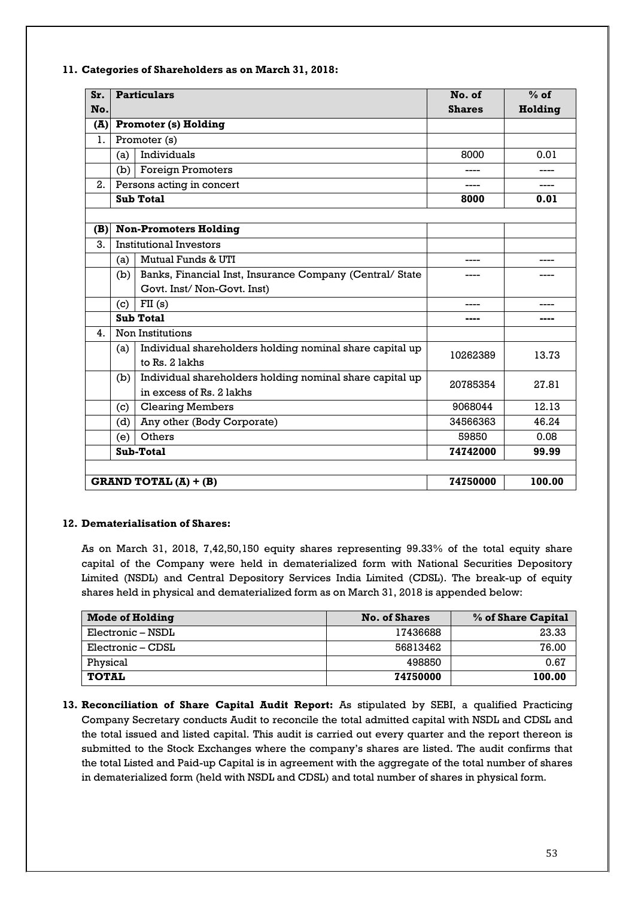| $S_{r}$      |     | <b>Particulars</b>                                       | No. of        | $%$ of  |
|--------------|-----|----------------------------------------------------------|---------------|---------|
| No.          |     |                                                          | <b>Shares</b> | Holding |
| (A)          |     | <b>Promoter (s) Holding</b>                              |               |         |
| 1.           |     | Promoter (s)                                             |               |         |
|              | (a) | Individuals                                              | 8000          | 0.01    |
|              | (b) | <b>Foreign Promoters</b>                                 |               |         |
| 2.           |     | Persons acting in concert                                | ----          | ----    |
|              |     | <b>Sub Total</b>                                         | 8000          | 0.01    |
|              |     |                                                          |               |         |
| (B)          |     | <b>Non-Promoters Holding</b>                             |               |         |
| 3.           |     | <b>Institutional Investors</b>                           |               |         |
|              | (a) | Mutual Funds & UTI                                       | ----          | ----    |
|              | (b) | Banks, Financial Inst, Insurance Company (Central/State  |               |         |
|              |     | Govt. Inst/Non-Govt. Inst)                               |               |         |
|              | (c) | FII(s)                                                   | ----          |         |
|              |     | <b>Sub Total</b>                                         | ----          | ----    |
| $\mathbf{4}$ |     | Non Institutions                                         |               |         |
|              | (a) | Individual shareholders holding nominal share capital up | 10262389      | 13.73   |
|              |     | to Rs. 2 lakhs                                           |               |         |
|              | (b) | Individual shareholders holding nominal share capital up | 20785354      | 27.81   |
|              |     | in excess of Rs. 2 lakhs                                 |               |         |
|              | (c) | <b>Clearing Members</b>                                  | 9068044       | 12.13   |
|              | (d) | Any other (Body Corporate)                               | 34566363      | 46.24   |
|              | (e) | Others                                                   | 59850         | 0.08    |
|              |     | Sub-Total                                                | 74742000      | 99.99   |
|              |     |                                                          |               |         |
|              |     | <b>GRAND TOTAL (A) + (B)</b>                             | 74750000      | 100.00  |

# **11. Categories of Shareholders as on March 31, 2018:**

# **12. Dematerialisation of Shares:**

As on March 31, 2018, 7,42,50,150 equity shares representing 99.33% of the total equity share capital of the Company were held in dematerialized form with National Securities Depository Limited (NSDL) and Central Depository Services India Limited (CDSL). The break-up of equity shares held in physical and dematerialized form as on March 31, 2018 is appended below:

| <b>Mode of Holding</b> | <b>No. of Shares</b> | % of Share Capital |
|------------------------|----------------------|--------------------|
| Electronic – NSDL      | 17436688             | 23.33              |
| Electronic – CDSL      | 56813462             | 76.00              |
| Physical               | 498850               | 0.67               |
| <b>TOTAL</b>           | 74750000             | 100.00             |

**13. Reconciliation of Share Capital Audit Report:** As stipulated by SEBI, a qualified Practicing Company Secretary conducts Audit to reconcile the total admitted capital with NSDL and CDSL and the total issued and listed capital. This audit is carried out every quarter and the report thereon is submitted to the Stock Exchanges where the company's shares are listed. The audit confirms that the total Listed and Paid-up Capital is in agreement with the aggregate of the total number of shares in dematerialized form (held with NSDL and CDSL) and total number of shares in physical form.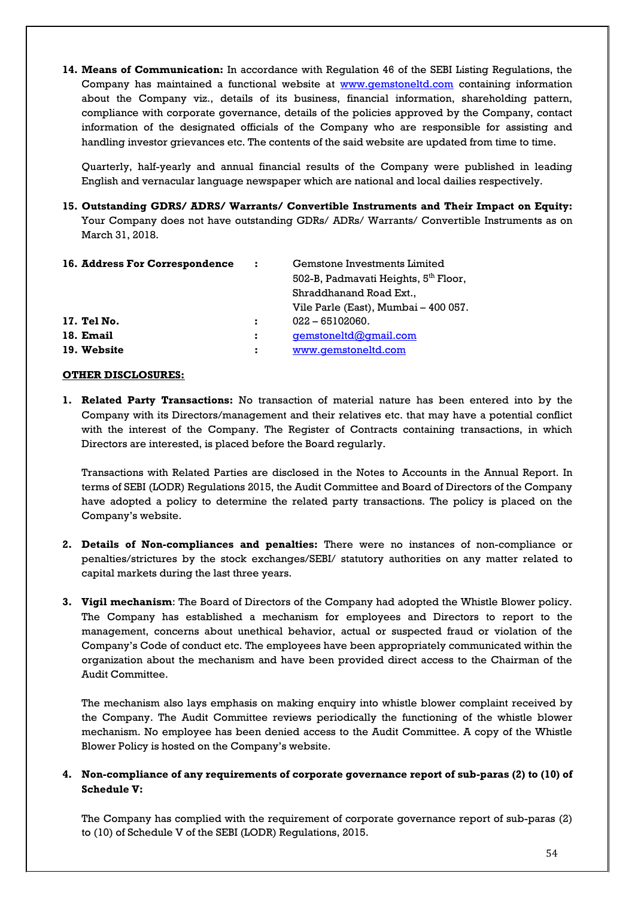**14. Means of Communication:** In accordance with Regulation 46 of the SEBI Listing Regulations, the Company has maintained a functional website at [www.gemstoneltd.com](http://www.gemstoneltd.com/) containing information about the Company viz., details of its business, financial information, shareholding pattern, compliance with corporate governance, details of the policies approved by the Company, contact information of the designated officials of the Company who are responsible for assisting and handling investor grievances etc. The contents of the said website are updated from time to time.

Quarterly, half-yearly and annual financial results of the Company were published in leading English and vernacular language newspaper which are national and local dailies respectively.

**15. Outstanding GDRS/ ADRS/ Warrants/ Convertible Instruments and Their Impact on Equity:**  Your Company does not have outstanding GDRs/ ADRs/ Warrants/ Convertible Instruments as on March 31, 2018.

| 16. Address For Correspondence | ÷. | Gemstone Investments Limited                     |
|--------------------------------|----|--------------------------------------------------|
|                                |    | 502-B, Padmavati Heights, 5 <sup>th</sup> Floor, |
|                                |    | Shraddhanand Road Ext.,                          |
|                                |    | Vile Parle (East), Mumbai – 400 057.             |
| 17. Tel No.                    | х  | $022 - 65102060.$                                |
| 18. Email                      | и  | gemstoneltd@gmail.com                            |
| 19. Website                    | ÷  | www.gemstoneltd.com                              |

# **OTHER DISCLOSURES:**

**1. Related Party Transactions:** No transaction of material nature has been entered into by the Company with its Directors/management and their relatives etc. that may have a potential conflict with the interest of the Company. The Register of Contracts containing transactions, in which Directors are interested, is placed before the Board regularly.

Transactions with Related Parties are disclosed in the Notes to Accounts in the Annual Report. In terms of SEBI (LODR) Regulations 2015, the Audit Committee and Board of Directors of the Company have adopted a policy to determine the related party transactions. The policy is placed on the Company's website.

- **2. Details of Non-compliances and penalties:** There were no instances of non-compliance or penalties/strictures by the stock exchanges/SEBI/ statutory authorities on any matter related to capital markets during the last three years.
- **3. Vigil mechanism**: The Board of Directors of the Company had adopted the Whistle Blower policy. The Company has established a mechanism for employees and Directors to report to the management, concerns about unethical behavior, actual or suspected fraud or violation of the Company's Code of conduct etc. The employees have been appropriately communicated within the organization about the mechanism and have been provided direct access to the Chairman of the Audit Committee.

The mechanism also lays emphasis on making enquiry into whistle blower complaint received by the Company. The Audit Committee reviews periodically the functioning of the whistle blower mechanism. No employee has been denied access to the Audit Committee. A copy of the Whistle Blower Policy is hosted on the Company's website.

# **4. Non-compliance of any requirements of corporate governance report of sub-paras (2) to (10) of Schedule V:**

The Company has complied with the requirement of corporate governance report of sub-paras (2) to (10) of Schedule V of the SEBI (LODR) Regulations, 2015.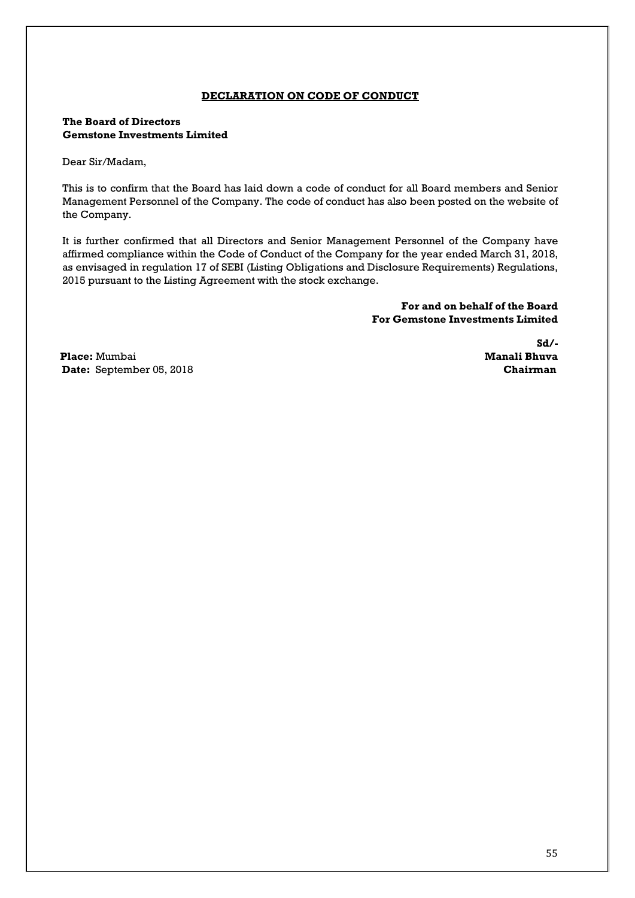# **DECLARATION ON CODE OF CONDUCT**

# **The Board of Directors Gemstone Investments Limited**

Dear Sir/Madam,

This is to confirm that the Board has laid down a code of conduct for all Board members and Senior Management Personnel of the Company. The code of conduct has also been posted on the website of the Company.

It is further confirmed that all Directors and Senior Management Personnel of the Company have affirmed compliance within the Code of Conduct of the Company for the year ended March 31, 2018, as envisaged in regulation 17 of SEBI (Listing Obligations and Disclosure Requirements) Regulations, 2015 pursuant to the Listing Agreement with the stock exchange.

> **For and on behalf of the Board For Gemstone Investments Limited**

**Place:** Mumbai **Manali Bhuva Date:** September 05, 2018 **Chairman** 

 **Sd/-**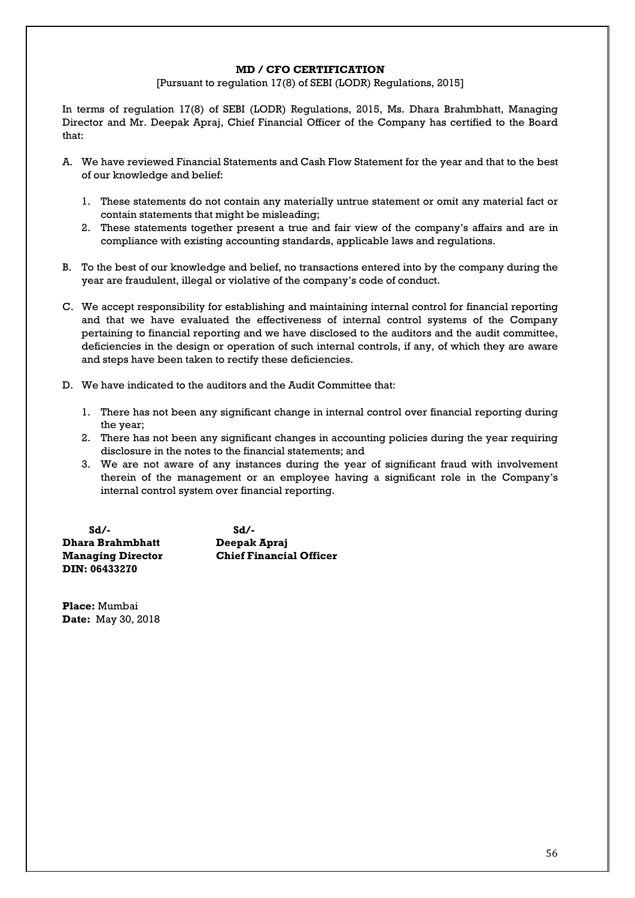#### **MD / CFO CERTIFICATION**

[Pursuant to regulation 17(8) of SEBI (LODR) Regulations, 2015]

In terms of regulation 17(8) of SEBI (LODR) Regulations, 2015, Ms. Dhara Brahmbhatt, Managing Director and Mr. Deepak Apraj, Chief Financial Officer of the Company has certified to the Board that:

- A. We have reviewed Financial Statements and Cash Flow Statement for the year and that to the best of our knowledge and belief:
	- 1. These statements do not contain any materially untrue statement or omit any material fact or contain statements that might be misleading;
	- 2. These statements together present a true and fair view of the company's affairs and are in compliance with existing accounting standards, applicable laws and regulations.
- B. To the best of our knowledge and belief, no transactions entered into by the company during the year are fraudulent, illegal or violative of the company's code of conduct.
- C. We accept responsibility for establishing and maintaining internal control for financial reporting and that we have evaluated the effectiveness of internal control systems of the Company pertaining to financial reporting and we have disclosed to the auditors and the audit committee, deficiencies in the design or operation of such internal controls, if any, of which they are aware and steps have been taken to rectify these deficiencies.
- D. We have indicated to the auditors and the Audit Committee that:
	- 1. There has not been any significant change in internal control over financial reporting during the year;
	- 2. There has not been any significant changes in accounting policies during the year requiring disclosure in the notes to the financial statements; and
	- 3. We are not aware of any instances during the year of significant fraud with involvement therein of the management or an employee having a significant role in the Company's internal control system over financial reporting.

 **Sd/- Sd/- Dhara Brahmbhatt Deepak Apraj Managing Director Chief Financial Officer DIN: 06433270** 

**Place:** Mumbai **Date:** May 30, 2018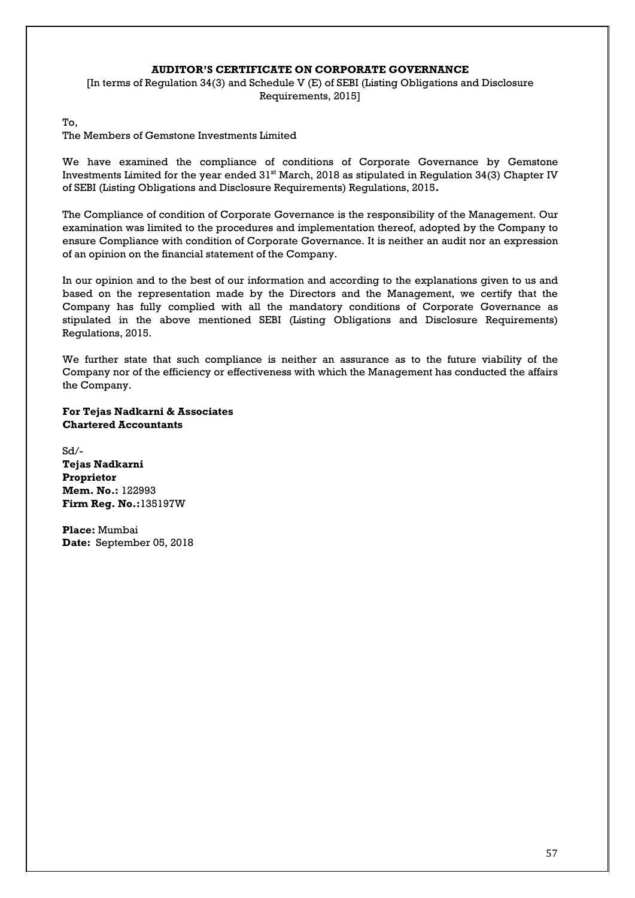#### **AUDITOR'S CERTIFICATE ON CORPORATE GOVERNANCE**

[In terms of Regulation 34(3) and Schedule V (E) of SEBI (Listing Obligations and Disclosure Requirements, 2015]

To,

The Members of Gemstone Investments Limited

We have examined the compliance of conditions of Corporate Governance by Gemstone Investments Limited for the year ended  $31<sup>st</sup>$  March, 2018 as stipulated in Regulation 34(3) Chapter IV of SEBI (Listing Obligations and Disclosure Requirements) Regulations, 2015**.**

The Compliance of condition of Corporate Governance is the responsibility of the Management. Our examination was limited to the procedures and implementation thereof, adopted by the Company to ensure Compliance with condition of Corporate Governance. It is neither an audit nor an expression of an opinion on the financial statement of the Company.

In our opinion and to the best of our information and according to the explanations given to us and based on the representation made by the Directors and the Management, we certify that the Company has fully complied with all the mandatory conditions of Corporate Governance as stipulated in the above mentioned SEBI (Listing Obligations and Disclosure Requirements) Regulations, 2015.

We further state that such compliance is neither an assurance as to the future viability of the Company nor of the efficiency or effectiveness with which the Management has conducted the affairs the Company.

**For Tejas Nadkarni & Associates Chartered Accountants**

Sd/- **Tejas Nadkarni Proprietor Mem. No.:** 122993 **Firm Reg. No.:**135197W

**Place:** Mumbai **Date:** September 05, 2018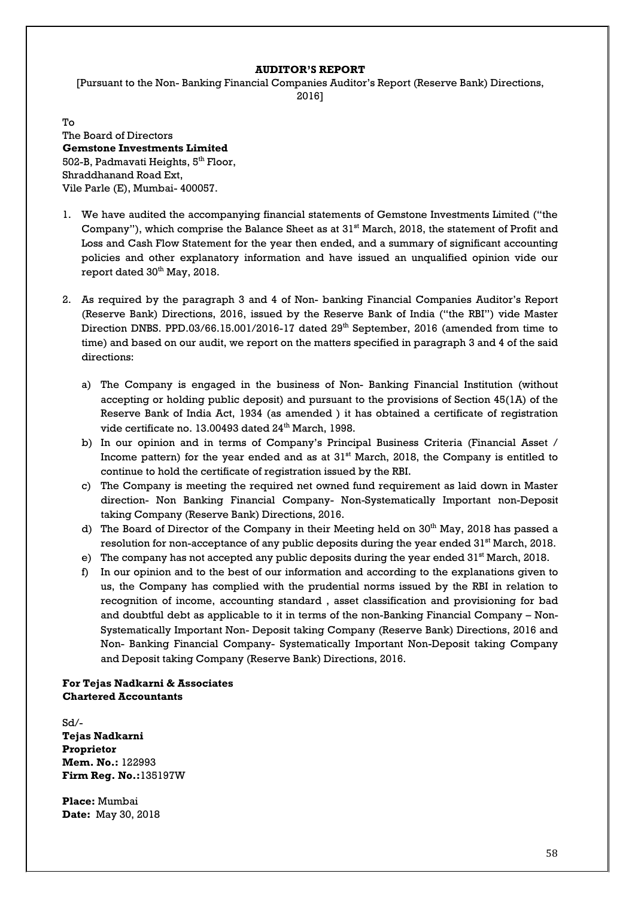#### **AUDITOR'S REPORT**

[Pursuant to the Non- Banking Financial Companies Auditor's Report (Reserve Bank) Directions, 2016]

To The Board of Directors **Gemstone Investments Limited** 502-B, Padmavati Heights, 5<sup>th</sup> Floor, Shraddhanand Road Ext, Vile Parle (E), Mumbai- 400057.

- 1. We have audited the accompanying financial statements of Gemstone Investments Limited ("the Company"), which comprise the Balance Sheet as at 31<sup>st</sup> March, 2018, the statement of Profit and Loss and Cash Flow Statement for the year then ended, and a summary of significant accounting policies and other explanatory information and have issued an unqualified opinion vide our report dated 30<sup>th</sup> May, 2018.
- 2. As required by the paragraph 3 and 4 of Non- banking Financial Companies Auditor's Report (Reserve Bank) Directions, 2016, issued by the Reserve Bank of India ("the RBI") vide Master Direction DNBS. PPD.03/66.15.001/2016-17 dated 29<sup>th</sup> September, 2016 (amended from time to time) and based on our audit, we report on the matters specified in paragraph 3 and 4 of the said directions:
	- a) The Company is engaged in the business of Non- Banking Financial Institution (without accepting or holding public deposit) and pursuant to the provisions of Section 45(1A) of the Reserve Bank of India Act, 1934 (as amended ) it has obtained a certificate of registration vide certificate no. 13.00493 dated 24<sup>th</sup> March, 1998.
	- b) In our opinion and in terms of Company's Principal Business Criteria (Financial Asset / Income pattern) for the year ended and as at 31<sup>st</sup> March, 2018, the Company is entitled to continue to hold the certificate of registration issued by the RBI.
	- c) The Company is meeting the required net owned fund requirement as laid down in Master direction- Non Banking Financial Company- Non-Systematically Important non-Deposit taking Company (Reserve Bank) Directions, 2016.
	- d) The Board of Director of the Company in their Meeting held on  $30<sup>th</sup>$  May, 2018 has passed a resolution for non-acceptance of any public deposits during the year ended  $31^{\rm st}$  March,  $2018.$
	- e) The company has not accepted any public deposits during the year ended 31<sup>st</sup> March, 2018.
	- f) In our opinion and to the best of our information and according to the explanations given to us, the Company has complied with the prudential norms issued by the RBI in relation to recognition of income, accounting standard , asset classification and provisioning for bad and doubtful debt as applicable to it in terms of the non-Banking Financial Company – Non-Systematically Important Non- Deposit taking Company (Reserve Bank) Directions, 2016 and Non- Banking Financial Company- Systematically Important Non-Deposit taking Company and Deposit taking Company (Reserve Bank) Directions, 2016.

**For Tejas Nadkarni & Associates Chartered Accountants**

Sd/- **Tejas Nadkarni Proprietor Mem. No.:** 122993 **Firm Reg. No.:**135197W

**Place:** Mumbai **Date:** May 30, 2018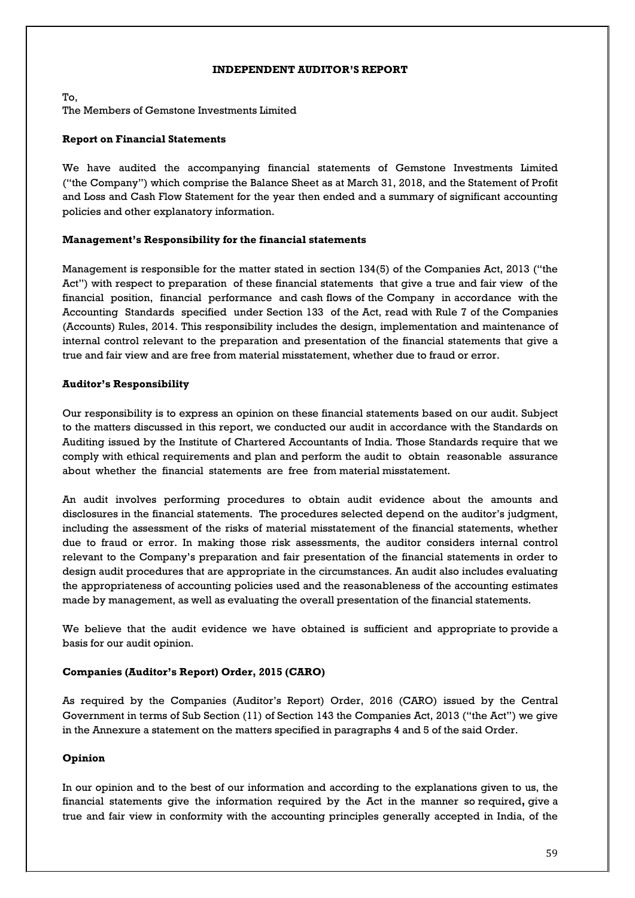#### **INDEPENDENT AUDITOR'S REPORT**

To, The Members of Gemstone Investments Limited

# **Report on Financial Statements**

We have audited the accompanying financial statements of Gemstone Investments Limited ("the Company") which comprise the Balance Sheet as at March 31, 2018, and the Statement of Profit and Loss and Cash Flow Statement for the year then ended and a summary of significant accounting policies and other explanatory information.

# **Management's Responsibility for the financial statements**

Management is responsible for the matter stated in section 134(5) of the Companies Act, 2013 ("the Act") with respect to preparation of these financial statements that give a true and fair view of the financial position, financial performance and cash flows of the Company in accordance with the Accounting Standards specified under Section 133 of the Act, read with Rule 7 of the Companies (Accounts) Rules, 2014. This responsibility includes the design, implementation and maintenance of internal control relevant to the preparation and presentation of the financial statements that give a true and fair view and are free from material misstatement, whether due to fraud or error.

#### **Auditor's Responsibility**

Our responsibility is to express an opinion on these financial statements based on our audit. Subject to the matters discussed in this report, we conducted our audit in accordance with the Standards on Auditing issued by the Institute of Chartered Accountants of India. Those Standards require that we comply with ethical requirements and plan and perform the audit to obtain reasonable assurance about whether the financial statements are free from material misstatement.

An audit involves performing procedures to obtain audit evidence about the amounts and disclosures in the financial statements. The procedures selected depend on the auditor's judgment, including the assessment of the risks of material misstatement of the financial statements, whether due to fraud or error. In making those risk assessments, the auditor considers internal control relevant to the Company's preparation and fair presentation of the financial statements in order to design audit procedures that are appropriate in the circumstances. An audit also includes evaluating the appropriateness of accounting policies used and the reasonableness of the accounting estimates made by management, as well as evaluating the overall presentation of the financial statements.

We believe that the audit evidence we have obtained is sufficient and appropriate to provide a basis for our audit opinion.

# **Companies (Auditor's Report) Order, 2015 (CARO)**

As required by the Companies (Auditor's Report) Order, 2016 (CARO) issued by the Central Government in terms of Sub Section (11) of Section 143 the Companies Act, 2013 ("the Act") we give in the Annexure a statement on the matters specified in paragraphs 4 and 5 of the said Order.

# **Opinion**

In our opinion and to the best of our information and according to the explanations given to us, the financial statements give the information required by the Act in the manner so required**,** give a true and fair view in conformity with the accounting principles generally accepted in India, of the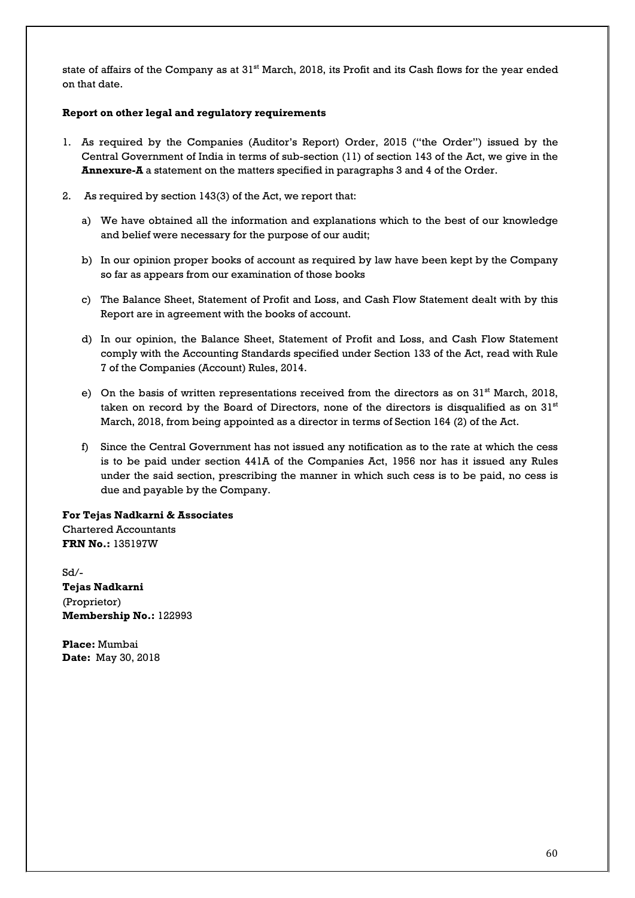state of affairs of the Company as at 31<sup>st</sup> March, 2018, its Profit and its Cash flows for the year ended on that date.

# **Report on other legal and regulatory requirements**

- 1. As required by the Companies (Auditor's Report) Order, 2015 ("the Order") issued by the Central Government of India in terms of sub-section (11) of section 143 of the Act, we give in the **Annexure-A** a statement on the matters specified in paragraphs 3 and 4 of the Order.
- 2. As required by section 143(3) of the Act, we report that:
	- a) We have obtained all the information and explanations which to the best of our knowledge and belief were necessary for the purpose of our audit;
	- b) In our opinion proper books of account as required by law have been kept by the Company so far as appears from our examination of those books
	- c) The Balance Sheet, Statement of Profit and Loss, and Cash Flow Statement dealt with by this Report are in agreement with the books of account.
	- d) In our opinion, the Balance Sheet, Statement of Profit and Loss, and Cash Flow Statement comply with the Accounting Standards specified under Section 133 of the Act, read with Rule 7 of the Companies (Account) Rules, 2014.
	- e) On the basis of written representations received from the directors as on  $31<sup>st</sup>$  March, 2018, taken on record by the Board of Directors, none of the directors is disqualified as on  $31<sup>st</sup>$ March, 2018, from being appointed as a director in terms of Section 164 (2) of the Act.
	- f) Since the Central Government has not issued any notification as to the rate at which the cess is to be paid under section 441A of the Companies Act, 1956 nor has it issued any Rules under the said section, prescribing the manner in which such cess is to be paid, no cess is due and payable by the Company.

# **For Tejas Nadkarni & Associates**

Chartered Accountants **FRN No.:** 135197W

Sd/- **Tejas Nadkarni** (Proprietor) **Membership No.:** 122993

**Place:** Mumbai **Date:** May 30, 2018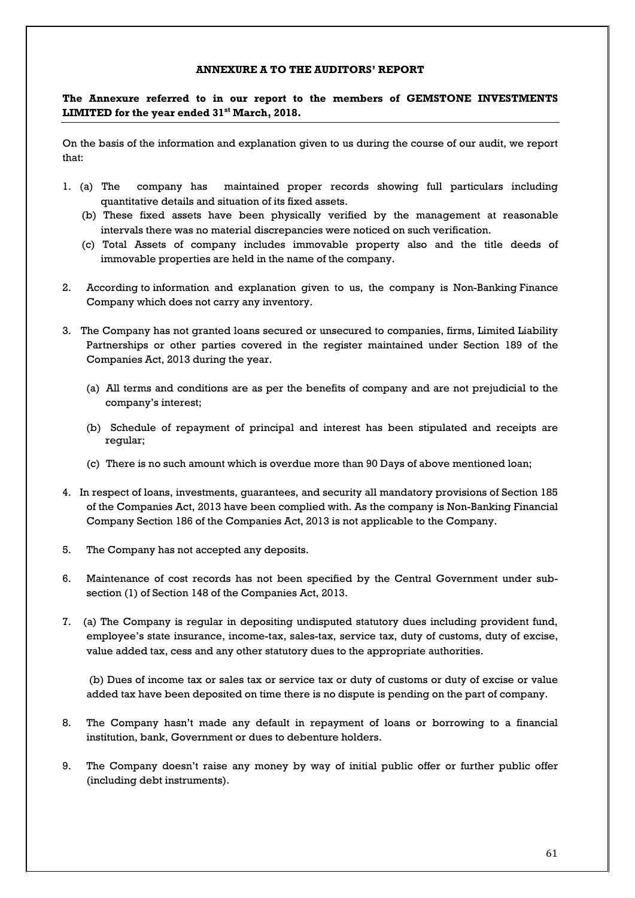#### **ANNEXURE A TO THE AUDITORS' REPORT**

**The Annexure referred to in our report to the members of GEMSTONE INVESTMENTS LIMITED for the year ended 31st March, 2018.**

On the basis of the information and explanation given to us during the course of our audit, we report that:

- 1. (a) The company has maintained proper records showing full particulars including quantitative details and situation of its fixed assets.
	- (b) These fixed assets have been physically verified by the management at reasonable intervals there was no material discrepancies were noticed on such verification.
	- (c) Total Assets of company includes immovable property also and the title deeds of immovable properties are held in the name of the company.
- 2. According to information and explanation given to us, the company is Non-Banking Finance Company which does not carry any inventory.
- 3. The Company has not granted loans secured or unsecured to companies, firms, Limited Liability Partnerships or other parties covered in the register maintained under Section 189 of the Companies Act, 2013 during the year.
	- (a) All terms and conditions are as per the benefits of company and are not prejudicial to the company's interest;
	- (b) Schedule of repayment of principal and interest has been stipulated and receipts are regular;
	- (c) There is no such amount which is overdue more than 90 Days of above mentioned loan;
- 4. In respect of loans, investments, guarantees, and security all mandatory provisions of Section 185 of the Companies Act, 2013 have been complied with. As the company is Non-Banking Financial Company Section 186 of the Companies Act, 2013 is not applicable to the Company.
- 5. The Company has not accepted any deposits.
- 6. Maintenance of cost records has not been specified by the Central Government under subsection (1) of Section 148 of the Companies Act, 2013.
- 7. (a) The Company is regular in depositing undisputed statutory dues including provident fund, employee's state insurance, income-tax, sales-tax, service tax, duty of customs, duty of excise, value added tax, cess and any other statutory dues to the appropriate authorities.

 (b) Dues of income tax or sales tax or service tax or duty of customs or duty of excise or value added tax have been deposited on time there is no dispute is pending on the part of company.

- 8. The Company hasn't made any default in repayment of loans or borrowing to a financial institution, bank, Government or dues to debenture holders.
- 9. The Company doesn't raise any money by way of initial public offer or further public offer (including debt instruments).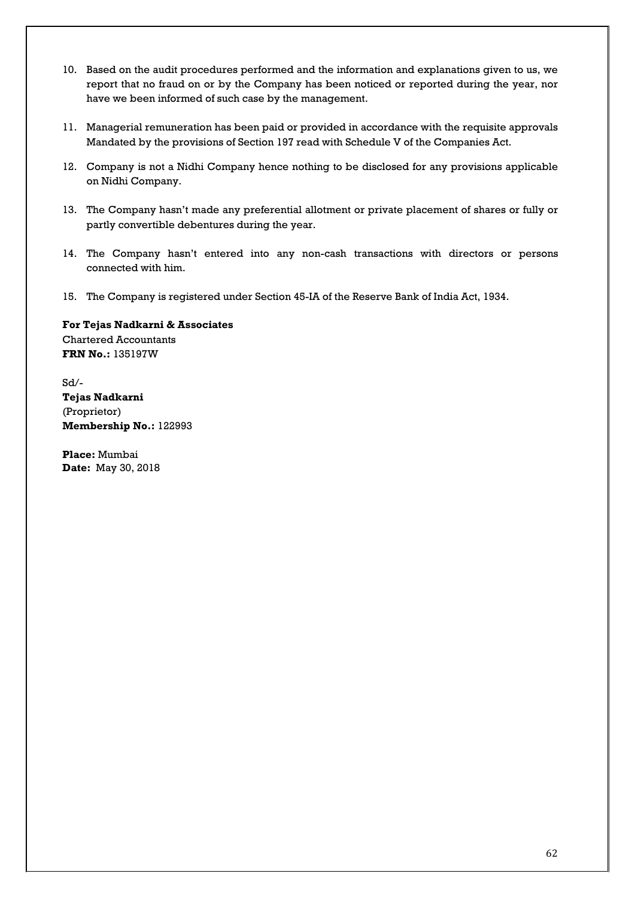- 10. Based on the audit procedures performed and the information and explanations given to us, we report that no fraud on or by the Company has been noticed or reported during the year, nor have we been informed of such case by the management.
- 11. Managerial remuneration has been paid or provided in accordance with the requisite approvals Mandated by the provisions of Section 197 read with Schedule V of the Companies Act.
- 12. Company is not a Nidhi Company hence nothing to be disclosed for any provisions applicable on Nidhi Company.
- 13. The Company hasn't made any preferential allotment or private placement of shares or fully or partly convertible debentures during the year.
- 14. The Company hasn't entered into any non-cash transactions with directors or persons connected with him.
- 15. The Company is registered under Section 45-IA of the Reserve Bank of India Act, 1934.

**For Tejas Nadkarni & Associates** Chartered Accountants **FRN No.:** 135197W

Sd/- **Tejas Nadkarni** (Proprietor) **Membership No.:** 122993

**Place:** Mumbai **Date:** May 30, 2018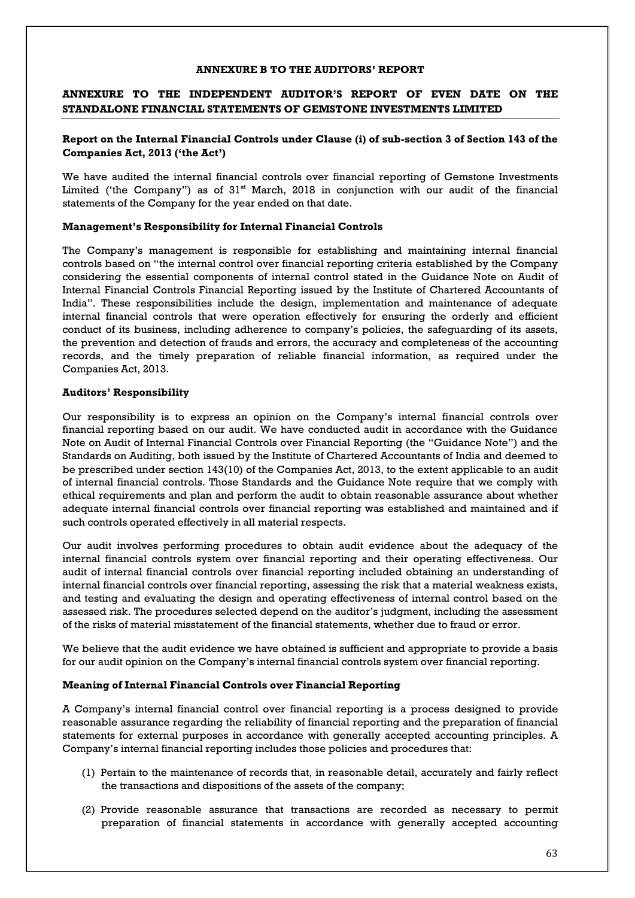#### **ANNEXURE B TO THE AUDITORS' REPORT**

# **ANNEXURE TO THE INDEPENDENT AUDITOR'S REPORT OF EVEN DATE ON THE STANDALONE FINANCIAL STATEMENTS OF GEMSTONE INVESTMENTS LIMITED**

# **Report on the Internal Financial Controls under Clause (i) of sub-section 3 of Section 143 of the Companies Act, 2013 ('the Act')**

We have audited the internal financial controls over financial reporting of Gemstone Investments Limited ('the Company'') as of 31<sup>st</sup> March, 2018 in conjunction with our audit of the financial statements of the Company for the year ended on that date.

#### **Management's Responsibility for Internal Financial Controls**

The Company's management is responsible for establishing and maintaining internal financial controls based on "the internal control over financial reporting criteria established by the Company considering the essential components of internal control stated in the Guidance Note on Audit of Internal Financial Controls Financial Reporting issued by the Institute of Chartered Accountants of India". These responsibilities include the design, implementation and maintenance of adequate internal financial controls that were operation effectively for ensuring the orderly and efficient conduct of its business, including adherence to company's policies, the safeguarding of its assets, the prevention and detection of frauds and errors, the accuracy and completeness of the accounting records, and the timely preparation of reliable financial information, as required under the Companies Act, 2013.

# **Auditors' Responsibility**

Our responsibility is to express an opinion on the Company's internal financial controls over financial reporting based on our audit. We have conducted audit in accordance with the Guidance Note on Audit of Internal Financial Controls over Financial Reporting (the "Guidance Note") and the Standards on Auditing, both issued by the Institute of Chartered Accountants of India and deemed to be prescribed under section 143(10) of the Companies Act, 2013, to the extent applicable to an audit of internal financial controls. Those Standards and the Guidance Note require that we comply with ethical requirements and plan and perform the audit to obtain reasonable assurance about whether adequate internal financial controls over financial reporting was established and maintained and if such controls operated effectively in all material respects.

Our audit involves performing procedures to obtain audit evidence about the adequacy of the internal financial controls system over financial reporting and their operating effectiveness. Our audit of internal financial controls over financial reporting included obtaining an understanding of internal financial controls over financial reporting, assessing the risk that a material weakness exists, and testing and evaluating the design and operating effectiveness of internal control based on the assessed risk. The procedures selected depend on the auditor's judgment, including the assessment of the risks of material misstatement of the financial statements, whether due to fraud or error.

We believe that the audit evidence we have obtained is sufficient and appropriate to provide a basis for our audit opinion on the Company's internal financial controls system over financial reporting.

#### **Meaning of Internal Financial Controls over Financial Reporting**

A Company's internal financial control over financial reporting is a process designed to provide reasonable assurance regarding the reliability of financial reporting and the preparation of financial statements for external purposes in accordance with generally accepted accounting principles. A Company's internal financial reporting includes those policies and procedures that:

- (1) Pertain to the maintenance of records that, in reasonable detail, accurately and fairly reflect the transactions and dispositions of the assets of the company;
- (2) Provide reasonable assurance that transactions are recorded as necessary to permit preparation of financial statements in accordance with generally accepted accounting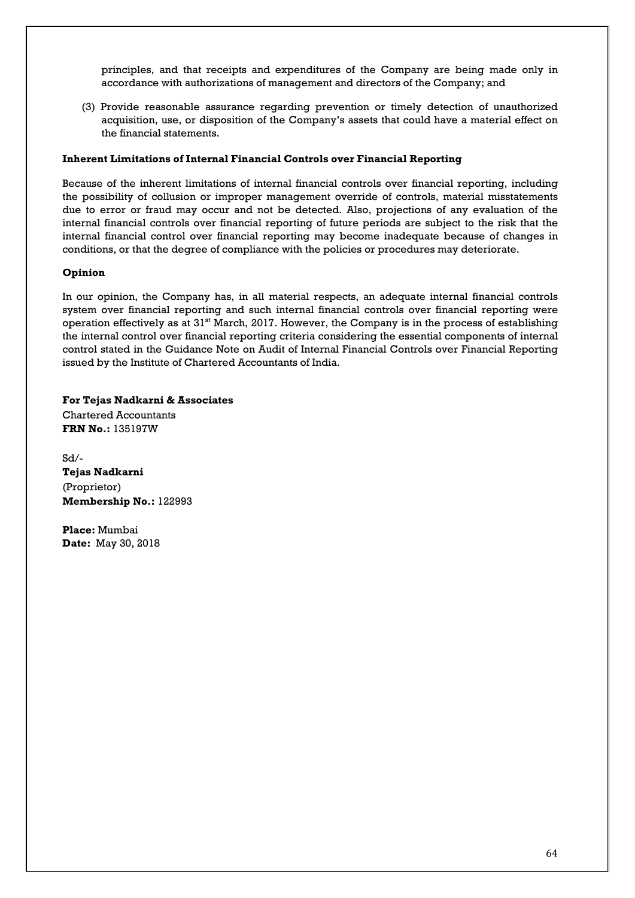principles, and that receipts and expenditures of the Company are being made only in accordance with authorizations of management and directors of the Company; and

(3) Provide reasonable assurance regarding prevention or timely detection of unauthorized acquisition, use, or disposition of the Company's assets that could have a material effect on the financial statements.

# **Inherent Limitations of Internal Financial Controls over Financial Reporting**

Because of the inherent limitations of internal financial controls over financial reporting, including the possibility of collusion or improper management override of controls, material misstatements due to error or fraud may occur and not be detected. Also, projections of any evaluation of the internal financial controls over financial reporting of future periods are subject to the risk that the internal financial control over financial reporting may become inadequate because of changes in conditions, or that the degree of compliance with the policies or procedures may deteriorate.

# **Opinion**

In our opinion, the Company has, in all material respects, an adequate internal financial controls system over financial reporting and such internal financial controls over financial reporting were operation effectively as at  $31<sup>st</sup>$  March, 2017. However, the Company is in the process of establishing the internal control over financial reporting criteria considering the essential components of internal control stated in the Guidance Note on Audit of Internal Financial Controls over Financial Reporting issued by the Institute of Chartered Accountants of India.

**For Tejas Nadkarni & Associates** Chartered Accountants **FRN No.:** 135197W

Sd/- **Tejas Nadkarni** (Proprietor) **Membership No.:** 122993

**Place:** Mumbai **Date:** May 30, 2018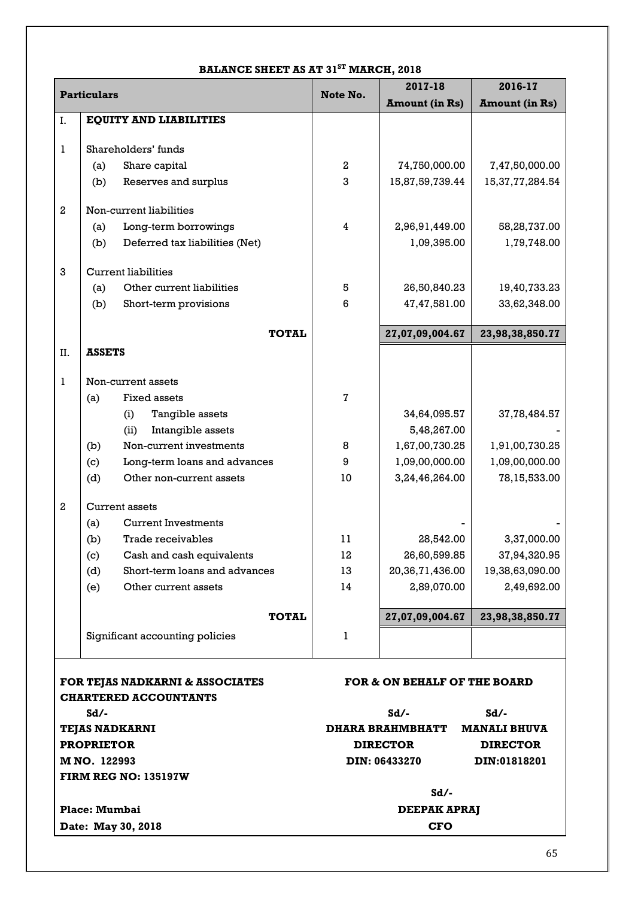# **BALANCE SHEET AS AT 31ST MARCH, 2018**

| <b>Particulars</b> |                   | Note No.                        | 2017-18<br>2016-17  |                              |                       |  |
|--------------------|-------------------|---------------------------------|---------------------|------------------------------|-----------------------|--|
|                    |                   |                                 |                     | <b>Amount</b> (in Rs)        | <b>Amount (in Rs)</b> |  |
| I.                 |                   | <b>EQUITY AND LIABILITIES</b>   |                     |                              |                       |  |
|                    |                   |                                 |                     |                              |                       |  |
| 1                  |                   | Shareholders' funds             |                     |                              |                       |  |
|                    | (a)               | Share capital                   | 2                   | 74,750,000.00                | 7,47,50,000.00        |  |
|                    | (b)               | Reserves and surplus            | 3                   | 15,87,59,739.44              | 15,37,77,284.54       |  |
| $\overline{2}$     |                   | Non-current liabilities         |                     |                              |                       |  |
|                    | (a)               | Long-term borrowings            | 4                   | 2,96,91,449.00               | 58,28,737.00          |  |
|                    | (b)               | Deferred tax liabilities (Net)  |                     | 1,09,395.00                  | 1,79,748.00           |  |
| 3                  |                   | <b>Current liabilities</b>      |                     |                              |                       |  |
|                    | (a)               | Other current liabilities       | 5                   | 26,50,840.23                 | 19,40,733.23          |  |
|                    | (b)               | Short-term provisions           | 6                   | 47,47,581.00                 | 33,62,348.00          |  |
|                    |                   | <b>TOTAL</b>                    |                     | 27,07,09,004.67              | 23,98,38,850.77       |  |
| II.                | <b>ASSETS</b>     |                                 |                     |                              |                       |  |
|                    |                   |                                 |                     |                              |                       |  |
| 1                  |                   | Non-current assets              |                     |                              |                       |  |
|                    | (a)               | Fixed assets                    | $\mathbf 7$         |                              |                       |  |
|                    |                   | (i)<br>Tangible assets          |                     | 34,64,095.57                 | 37,78,484.57          |  |
|                    |                   | (ii)<br>Intangible assets       |                     | 5,48,267.00                  |                       |  |
|                    | (b)               | Non-current investments         | 8                   | 1,67,00,730.25               | 1,91,00,730.25        |  |
|                    | (c)               | Long-term loans and advances    | 9                   | 1,09,00,000.00               | 1,09,00,000.00        |  |
|                    | (d)               | Other non-current assets        | 10                  | 3,24,46,264.00               | 78,15,533.00          |  |
| $\overline{2}$     |                   | <b>Current assets</b>           |                     |                              |                       |  |
|                    | (a)               | <b>Current Investments</b>      |                     |                              |                       |  |
|                    | (b)               | <b>Trade receivables</b>        | 11                  | 28,542.00                    | 3,37,000.00           |  |
|                    | (c)               | Cash and cash equivalents       | 12                  | 26,60,599.85                 | 37,94,320.95          |  |
|                    | (d)               | Short-term loans and advances   | 13                  | 20,36,71,436.00              | 19,38,63,090.00       |  |
|                    | (e)               | Other current assets            | 14                  | 2,89,070.00                  | 2,49,692.00           |  |
|                    |                   | <b>TOTAL</b>                    |                     | 27,07,09,004.67              | 23,98,38,850.77       |  |
|                    |                   | Significant accounting policies | 1                   |                              |                       |  |
|                    |                   |                                 |                     |                              |                       |  |
|                    |                   | FOR TEJAS NADKARNI & ASSOCIATES |                     | FOR & ON BEHALF OF THE BOARD |                       |  |
|                    | $Sd/-$            | <b>CHARTERED ACCOUNTANTS</b>    |                     | $Sd/-$                       | $Sd/-$                |  |
|                    |                   | <b>TEJAS NADKARNI</b>           |                     | <b>DHARA BRAHMBHATT</b>      | <b>MANALI BHUVA</b>   |  |
|                    | <b>PROPRIETOR</b> |                                 |                     | <b>DIRECTOR</b>              | <b>DIRECTOR</b>       |  |
|                    | M NO. 122993      |                                 |                     | <b>DIN: 06433270</b>         | DIN:01818201          |  |
|                    |                   | <b>FIRM REG NO: 135197W</b>     |                     |                              |                       |  |
|                    |                   |                                 |                     | $Sd/-$                       |                       |  |
|                    | Place: Mumbai     |                                 | <b>DEEPAK APRAJ</b> |                              |                       |  |
|                    |                   | Date: May 30, 2018              | <b>CFO</b>          |                              |                       |  |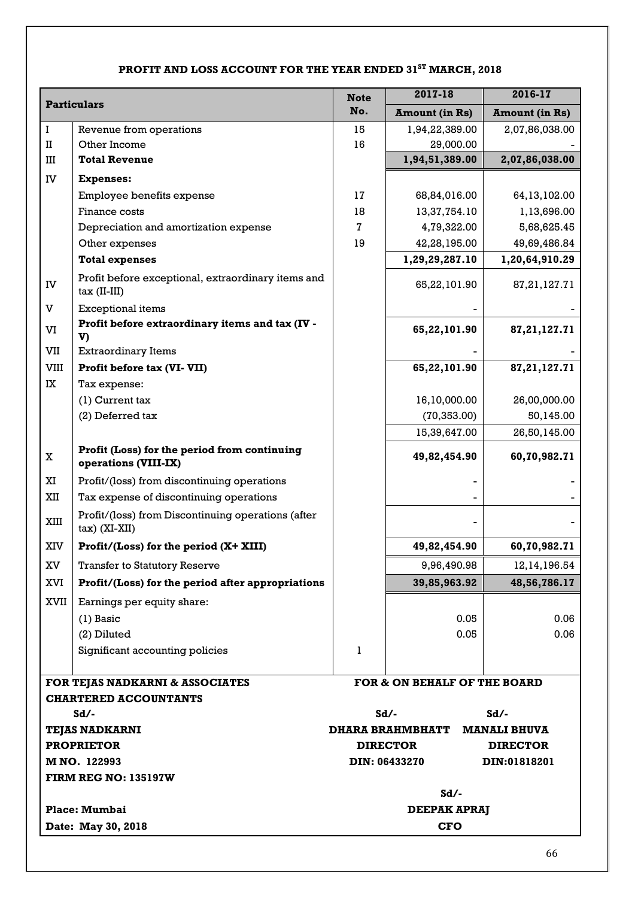# **PROFIT AND LOSS ACCOUNT FOR THE YEAR ENDED 31ST MARCH, 2018**

|                        |                                                                       | <b>Note</b>         | 2017-18                          | 2016-17                         |
|------------------------|-----------------------------------------------------------------------|---------------------|----------------------------------|---------------------------------|
| <b>Particulars</b>     |                                                                       | No.                 | <b>Amount (in Rs)</b>            | <b>Amount (in Rs)</b>           |
| $\bf I$                | Revenue from operations                                               | 15                  | 1,94,22,389.00                   | 2,07,86,038.00                  |
| $_{\rm II}$            | Other Income                                                          | 16                  | 29,000.00                        |                                 |
| Ш                      | <b>Total Revenue</b>                                                  |                     | 1,94,51,389.00                   | 2,07,86,038.00                  |
| IV                     | <b>Expenses:</b>                                                      |                     |                                  |                                 |
|                        | Employee benefits expense                                             | 17                  | 68,84,016.00                     | 64, 13, 102.00                  |
|                        | Finance costs                                                         | 18                  | 13,37,754.10                     | 1,13,696.00                     |
|                        | Depreciation and amortization expense                                 | 7                   | 4,79,322.00                      | 5,68,625.45                     |
|                        | Other expenses                                                        | 19                  | 42,28,195.00                     | 49,69,486.84                    |
|                        | <b>Total expenses</b>                                                 |                     | 1,29,29,287.10                   | 1,20,64,910.29                  |
| IV                     | Profit before exceptional, extraordinary items and<br>$tax$ (II-III)  |                     | 65,22,101.90                     | 87, 21, 127. 71                 |
| V                      | <b>Exceptional items</b>                                              |                     |                                  |                                 |
| VI                     | Profit before extraordinary items and tax (IV -<br>V)                 |                     | 65,22,101.90                     | 87, 21, 127. 71                 |
| VII                    | <b>Extraordinary Items</b>                                            |                     |                                  |                                 |
| VIII                   | Profit before tax (VI- VII)                                           |                     | 65,22,101.90                     | 87, 21, 127. 71                 |
| IX                     | Tax expense:                                                          |                     |                                  |                                 |
|                        | $(1)$ Current tax                                                     |                     | 16,10,000.00                     | 26,00,000.00                    |
|                        | (2) Deferred tax                                                      |                     | (70, 353.00)                     | 50,145.00                       |
|                        |                                                                       |                     | 15,39,647.00                     | 26,50,145.00                    |
| X                      | Profit (Loss) for the period from continuing<br>operations (VIII-IX)  |                     | 49,82,454.90                     | 60,70,982.71                    |
| XI                     | Profit/(loss) from discontinuing operations                           |                     |                                  |                                 |
| XII                    | Tax expense of discontinuing operations                               |                     |                                  |                                 |
| XIII                   | Profit/(loss) from Discontinuing operations (after<br>$tax)$ (XI-XII) |                     |                                  |                                 |
| XIV                    | Profit/(Loss) for the period (X+ XIII)                                |                     | 49,82,454.90                     | 60,70,982.71                    |
| $\mathbf{X}\mathbf{V}$ | <b>Transfer to Statutory Reserve</b>                                  |                     | 9,96,490.98                      | 12, 14, 196.54                  |
| XVI                    | Profit/(Loss) for the period after appropriations                     |                     | 39,85,963.92                     | 48,56,786.17                    |
| XVII                   | Earnings per equity share:                                            |                     |                                  |                                 |
|                        | $(1)$ Basic                                                           |                     | 0.05                             | 0.06                            |
|                        | (2) Diluted                                                           |                     | 0.05                             | 0.06                            |
|                        | Significant accounting policies                                       | 1                   |                                  |                                 |
|                        |                                                                       |                     |                                  |                                 |
|                        | FOR TEJAS NADKARNI & ASSOCIATES                                       |                     | FOR & ON BEHALF OF THE BOARD     |                                 |
|                        | <b>CHARTERED ACCOUNTANTS</b>                                          |                     |                                  |                                 |
|                        | $Sd/-$                                                                |                     | $Sd/-$                           | $Sd$ /-                         |
|                        | <b>TEJAS NADKARNI</b>                                                 |                     | <b>DHARA BRAHMBHATT</b>          | <b>MANALI BHUVA</b>             |
|                        | <b>PROPRIETOR</b><br>M NO. 122993                                     |                     | <b>DIRECTOR</b><br>DIN: 06433270 | <b>DIRECTOR</b><br>DIN:01818201 |
|                        | <b>FIRM REG NO: 135197W</b>                                           |                     |                                  |                                 |
|                        |                                                                       |                     | $Sd/-$                           |                                 |
|                        | Place: Mumbai                                                         | <b>DEEPAK APRAJ</b> |                                  |                                 |
|                        | Date: May 30, 2018                                                    |                     | <b>CFO</b>                       |                                 |
|                        |                                                                       |                     |                                  |                                 |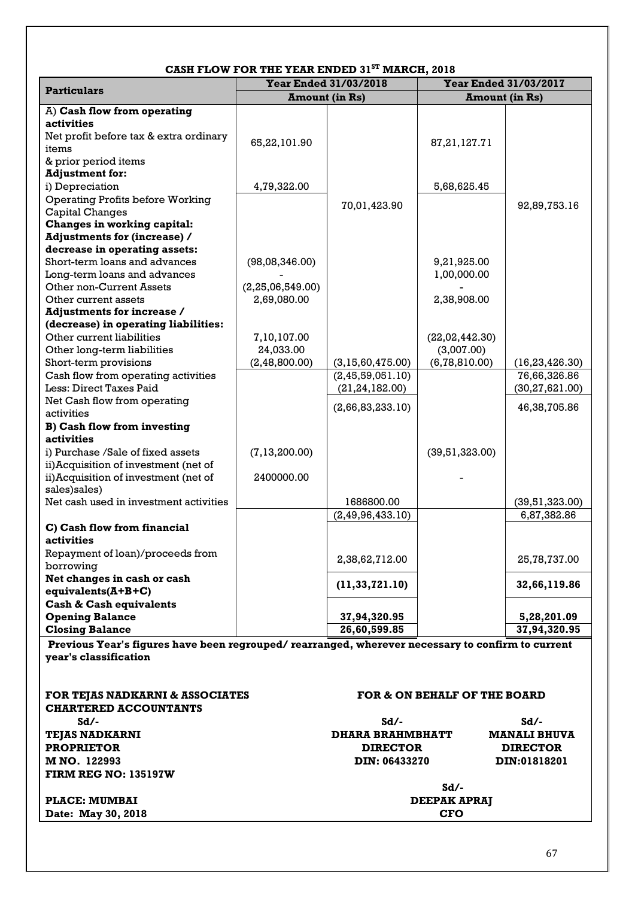|                                                                                                  | CASH FLOW FOR THE TEAR ENDED 31 | WARUA, 4010             |                              |                     |  |
|--------------------------------------------------------------------------------------------------|---------------------------------|-------------------------|------------------------------|---------------------|--|
| <b>Particulars</b>                                                                               | <b>Year Ended 31/03/2018</b>    |                         | <b>Year Ended 31/03/2017</b> |                     |  |
|                                                                                                  |                                 | <b>Amount (in Rs)</b>   | <b>Amount (in Rs)</b>        |                     |  |
| A) Cash flow from operating                                                                      |                                 |                         |                              |                     |  |
| activities                                                                                       |                                 |                         |                              |                     |  |
| Net profit before tax & extra ordinary                                                           | 65,22,101.90                    |                         | 87, 21, 127. 71              |                     |  |
| items                                                                                            |                                 |                         |                              |                     |  |
| & prior period items                                                                             |                                 |                         |                              |                     |  |
| <b>Adjustment for:</b>                                                                           |                                 |                         |                              |                     |  |
| i) Depreciation                                                                                  | 4,79,322.00                     |                         | 5,68,625.45                  |                     |  |
| <b>Operating Profits before Working</b>                                                          |                                 | 70,01,423.90            |                              | 92,89,753.16        |  |
| <b>Capital Changes</b>                                                                           |                                 |                         |                              |                     |  |
| Changes in working capital:                                                                      |                                 |                         |                              |                     |  |
| <b>Adjustments for (increase) /</b>                                                              |                                 |                         |                              |                     |  |
| decrease in operating assets:                                                                    |                                 |                         |                              |                     |  |
| Short-term loans and advances                                                                    | (98,08,346.00)                  |                         | 9,21,925.00                  |                     |  |
| Long-term loans and advances                                                                     |                                 |                         | 1,00,000.00                  |                     |  |
| Other non-Current Assets                                                                         | (2, 25, 06, 549.00)             |                         |                              |                     |  |
| Other current assets                                                                             | 2,69,080.00                     |                         | 2,38,908.00                  |                     |  |
| <b>Adjustments for increase /</b>                                                                |                                 |                         |                              |                     |  |
| (decrease) in operating liabilities:                                                             |                                 |                         |                              |                     |  |
| Other current liabilities                                                                        | 7,10,107.00                     |                         | (22,02,442.30)               |                     |  |
| Other long-term liabilities                                                                      | 24,033.00                       |                         | (3,007.00)                   |                     |  |
| Short-term provisions                                                                            | (2, 48, 800.00)                 | (3, 15, 60, 475.00)     | (6, 78, 810.00)              | (16, 23, 426.30)    |  |
| Cash flow from operating activities                                                              |                                 | (2, 45, 59, 051.10)     |                              | 76,66,326.86        |  |
| Less: Direct Taxes Paid                                                                          |                                 | (21, 24, 182.00)        |                              | (30, 27, 621.00)    |  |
| Net Cash flow from operating                                                                     |                                 | (2,66,83,233.10)        |                              | 46,38,705.86        |  |
| activities                                                                                       |                                 |                         |                              |                     |  |
| <b>B) Cash flow from investing</b>                                                               |                                 |                         |                              |                     |  |
| activities                                                                                       |                                 |                         |                              |                     |  |
| i) Purchase /Sale of fixed assets                                                                | (7, 13, 200.00)                 |                         | (39,51,323.00)               |                     |  |
| ii) Acquisition of investment (net of                                                            |                                 |                         |                              |                     |  |
| ii) Acquisition of investment (net of                                                            | 2400000.00                      |                         |                              |                     |  |
| sales)sales)                                                                                     |                                 |                         |                              |                     |  |
| Net cash used in investment activities                                                           |                                 | 1686800.00              |                              | (39,51,323.00)      |  |
|                                                                                                  |                                 | (2, 49, 96, 433.10)     |                              | 6,87,382.86         |  |
| C) Cash flow from financial                                                                      |                                 |                         |                              |                     |  |
| activities                                                                                       |                                 |                         |                              |                     |  |
| Repayment of loan)/proceeds from                                                                 |                                 |                         |                              |                     |  |
| borrowing                                                                                        |                                 | 2,38,62,712.00          |                              | 25,78,737.00        |  |
| Net changes in cash or cash                                                                      |                                 |                         |                              |                     |  |
| equivalents $(A+B+C)$                                                                            |                                 | (11, 33, 721.10)        |                              | 32,66,119.86        |  |
| <b>Cash &amp; Cash equivalents</b>                                                               |                                 |                         |                              |                     |  |
| <b>Opening Balance</b>                                                                           |                                 | 37,94,320.95            |                              | 5,28,201.09         |  |
| <b>Closing Balance</b>                                                                           |                                 | 26,60,599.85            |                              | 37,94,320.95        |  |
| Previous Year's figures have been regrouped/rearranged, wherever necessary to confirm to current |                                 |                         |                              |                     |  |
| year's classification                                                                            |                                 |                         |                              |                     |  |
|                                                                                                  |                                 |                         |                              |                     |  |
|                                                                                                  |                                 |                         |                              |                     |  |
| FOR TEJAS NADKARNI & ASSOCIATES                                                                  |                                 |                         | FOR & ON BEHALF OF THE BOARD |                     |  |
| <b>CHARTERED ACCOUNTANTS</b>                                                                     |                                 |                         |                              |                     |  |
|                                                                                                  |                                 |                         |                              |                     |  |
| $Sd/-$                                                                                           |                                 | $Sd/-$                  |                              | $Sd/-$              |  |
| <b>TEJAS NADKARNI</b>                                                                            |                                 | <b>DHARA BRAHMBHATT</b> |                              | <b>MANALI BHUVA</b> |  |
| <b>PROPRIETOR</b>                                                                                |                                 | <b>DIRECTOR</b>         |                              | <b>DIRECTOR</b>     |  |
| M NO. 122993                                                                                     |                                 | DIN: 06433270           |                              | DIN:01818201        |  |
| <b>FIRM REG NO: 135197W</b>                                                                      |                                 |                         |                              |                     |  |

# **CASH FLOW FOR THE YEAR ENDED 31ST MARCH, 2018**

Sd/-<br>**DEEPAK APRAJ PLACE: MUMBAI DEEPAK A**<br> **DEEPAK A**<br> **DEEPAK A**<br> **DEEPAK A Date: May 30, 2018**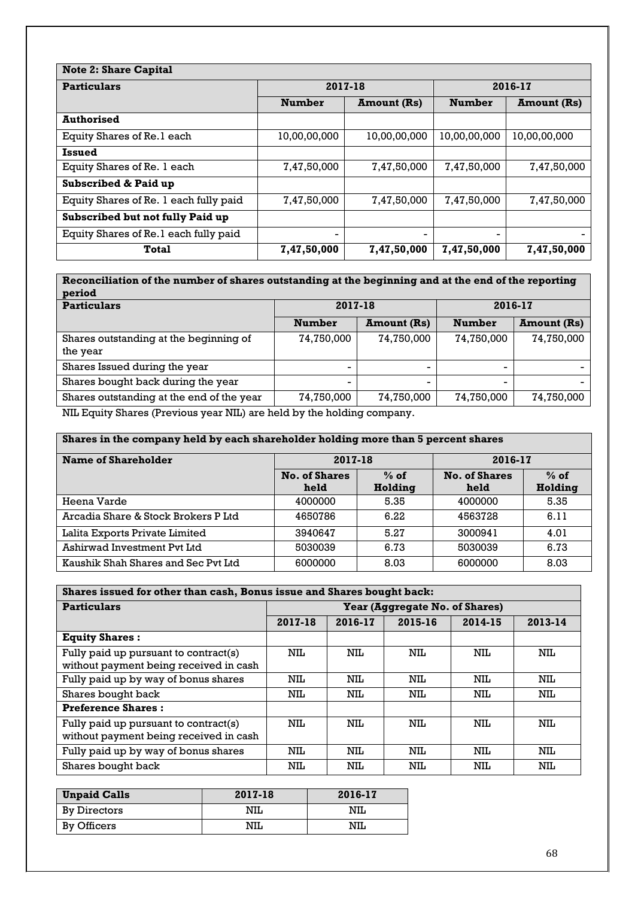| <b>Note 2: Share Capital</b>           |               |                    |               |                    |  |
|----------------------------------------|---------------|--------------------|---------------|--------------------|--|
| <b>Particulars</b>                     | 2017-18       |                    | 2016-17       |                    |  |
|                                        | <b>Number</b> | <b>Amount (Rs)</b> | <b>Number</b> | <b>Amount</b> (Rs) |  |
| <b>Authorised</b>                      |               |                    |               |                    |  |
| Equity Shares of Re.1 each             | 10,00,00,000  | 10,00,00,000       | 10,00,00,000  | 10,00,00,000       |  |
| Issued                                 |               |                    |               |                    |  |
| Equity Shares of Re. 1 each            | 7,47,50,000   | 7,47,50,000        | 7,47,50,000   | 7,47,50,000        |  |
| <b>Subscribed &amp; Paid up</b>        |               |                    |               |                    |  |
| Equity Shares of Re. 1 each fully paid | 7,47,50,000   | 7,47,50,000        | 7,47,50,000   | 7,47,50,000        |  |
| Subscribed but not fully Paid up       |               |                    |               |                    |  |
| Equity Shares of Re.1 each fully paid  | ۰             | -                  | -             |                    |  |
| Total                                  | 7,47,50,000   | 7,47,50,000        | 7,47,50,000   | 7,47,50,000        |  |

**Reconciliation of the number of shares outstanding at the beginning and at the end of the reporting period**

|               |                    | 2016-17       |                    |
|---------------|--------------------|---------------|--------------------|
| <b>Number</b> | <b>Amount (Rs)</b> | <b>Number</b> | <b>Amount (Rs)</b> |
| 74,750,000    | 74,750,000         | 74,750,000    | 74,750,000         |
|               |                    |               |                    |
|               |                    |               |                    |
| -             | -                  |               |                    |
| 74,750,000    | 74,750,000         | 74,750,000    | 74,750,000         |
|               | .                  |               |                    |

NIL Equity Shares (Previous year NIL) are held by the holding company.

| Shares in the company held by each shareholder holding more than 5 percent shares |                      |         |                      |         |  |  |  |
|-----------------------------------------------------------------------------------|----------------------|---------|----------------------|---------|--|--|--|
| Name of Shareholder                                                               | 2017-18              |         | 2016-17              |         |  |  |  |
|                                                                                   | <b>No. of Shares</b> | $%$ of  | <b>No. of Shares</b> | $%$ of  |  |  |  |
|                                                                                   | held                 | Holding | held                 | Holding |  |  |  |
| Heena Varde                                                                       | 4000000              | 5.35    | 4000000              | 5.35    |  |  |  |
| Arcadia Share & Stock Brokers P Ltd                                               | 4650786              | 6.22    | 4563728              | 6.11    |  |  |  |
| Lalita Exports Private Limited                                                    | 3940647              | 5.27    | 3000941              | 4.01    |  |  |  |
| Ashirwad Investment Pvt Ltd                                                       | 5030039              | 6.73    | 5030039              | 6.73    |  |  |  |
| Kaushik Shah Shares and Sec Pvt Ltd                                               | 6000000              | 8.03    | 6000000              | 8.03    |  |  |  |

| Shares issued for other than cash, Bonus issue and Shares bought back:          |                                |         |         |         |         |  |  |
|---------------------------------------------------------------------------------|--------------------------------|---------|---------|---------|---------|--|--|
| <b>Particulars</b>                                                              | Year (Aggregate No. of Shares) |         |         |         |         |  |  |
|                                                                                 | 2017-18                        | 2016-17 | 2015-16 | 2014-15 | 2013-14 |  |  |
| <b>Equity Shares:</b>                                                           |                                |         |         |         |         |  |  |
| Fully paid up pursuant to contract(s)<br>without payment being received in cash | NIL                            | NIL     | NIL     | NIL     | NIL     |  |  |
| Fully paid up by way of bonus shares                                            | NIL                            | NIL     | NIL     | NIL.    | NIL     |  |  |
| Shares bought back                                                              | NIL                            | NIL     | NIL     | NIL     | NIL     |  |  |
| <b>Preference Shares:</b>                                                       |                                |         |         |         |         |  |  |
| Fully paid up pursuant to contract(s)<br>without payment being received in cash | NIL.                           | NIL     | NIL     | NIL     | NIL     |  |  |
| Fully paid up by way of bonus shares                                            | NIL                            | NIL     | NIL     | NIL     | NIL     |  |  |
| Shares bought back                                                              | NIL                            | NIL     | NIL     | NIL     | NIL     |  |  |

| <b>Unpaid Calls</b> | 2017-18 | 2016-17 |  |  |
|---------------------|---------|---------|--|--|
| By Directors        | NIL     | NIL     |  |  |
| By Officers         | NIL     | NIL     |  |  |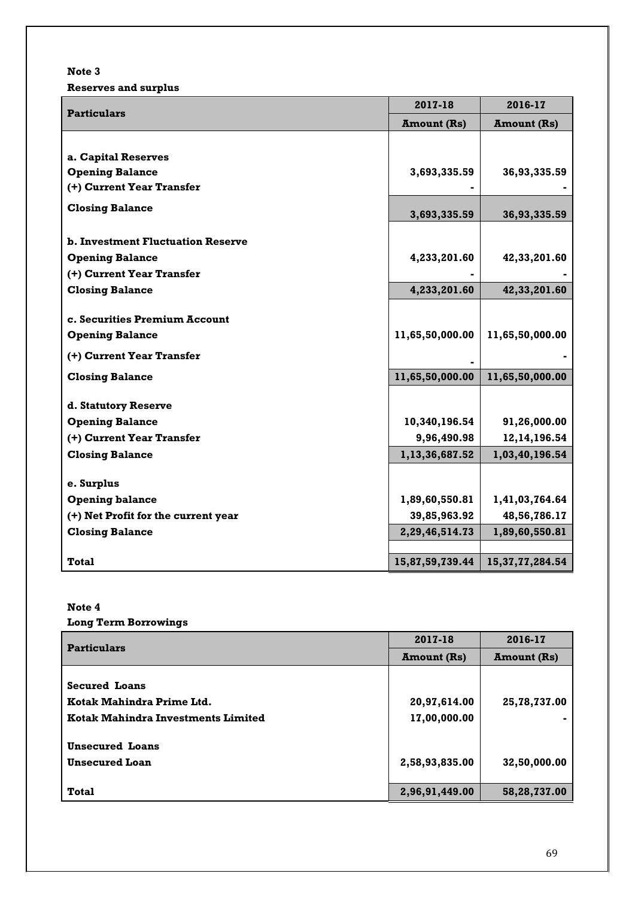# **Note 3**

**Reserves and surplus**

| <b>Particulars</b>                       | 2017-18            | 2016-17             |  |
|------------------------------------------|--------------------|---------------------|--|
|                                          | <b>Amount (Rs)</b> | <b>Amount (Rs)</b>  |  |
|                                          |                    |                     |  |
| a. Capital Reserves                      |                    |                     |  |
| <b>Opening Balance</b>                   | 3,693,335.59       | 36,93,335.59        |  |
| (+) Current Year Transfer                |                    |                     |  |
| <b>Closing Balance</b>                   | 3,693,335.59       | 36,93,335.59        |  |
| <b>b. Investment Fluctuation Reserve</b> |                    |                     |  |
| <b>Opening Balance</b>                   | 4,233,201.60       | 42,33,201.60        |  |
| (+) Current Year Transfer                |                    |                     |  |
| <b>Closing Balance</b>                   | 4,233,201.60       | 42,33,201.60        |  |
|                                          |                    |                     |  |
| c. Securities Premium Account            |                    |                     |  |
| <b>Opening Balance</b>                   | 11,65,50,000.00    | 11,65,50,000.00     |  |
| (+) Current Year Transfer                |                    |                     |  |
| <b>Closing Balance</b>                   | 11,65,50,000.00    | 11,65,50,000.00     |  |
| d. Statutory Reserve                     |                    |                     |  |
| <b>Opening Balance</b>                   | 10,340,196.54      | 91,26,000.00        |  |
| (+) Current Year Transfer                | 9,96,490.98        | 12, 14, 196. 54     |  |
| <b>Closing Balance</b>                   | 1,13,36,687.52     | 1,03,40,196.54      |  |
|                                          |                    |                     |  |
| e. Surplus                               |                    |                     |  |
| <b>Opening balance</b>                   | 1,89,60,550.81     | 1,41,03,764.64      |  |
| (+) Net Profit for the current year      | 39,85,963.92       | 48,56,786.17        |  |
| <b>Closing Balance</b>                   | 2,29,46,514.73     | 1,89,60,550.81      |  |
|                                          |                    |                     |  |
| <b>Total</b>                             | 15,87,59,739.44    | 15, 37, 77, 284. 54 |  |

# **Note 4**

# **Long Term Borrowings**

| <b>Particulars</b>                        | 2017-18            | 2016-17            |  |
|-------------------------------------------|--------------------|--------------------|--|
|                                           | <b>Amount</b> (Rs) | <b>Amount (Rs)</b> |  |
|                                           |                    |                    |  |
| <b>Secured Loans</b>                      |                    |                    |  |
| Kotak Mahindra Prime Ltd.                 | 20,97,614.00       | 25,78,737.00       |  |
| <b>Kotak Mahindra Investments Limited</b> | 17,00,000.00       |                    |  |
| <b>Unsecured Loans</b>                    |                    |                    |  |
| <b>Unsecured Loan</b>                     | 2,58,93,835.00     | 32,50,000.00       |  |
| <b>Total</b>                              | 2,96,91,449.00     | 58,28,737.00       |  |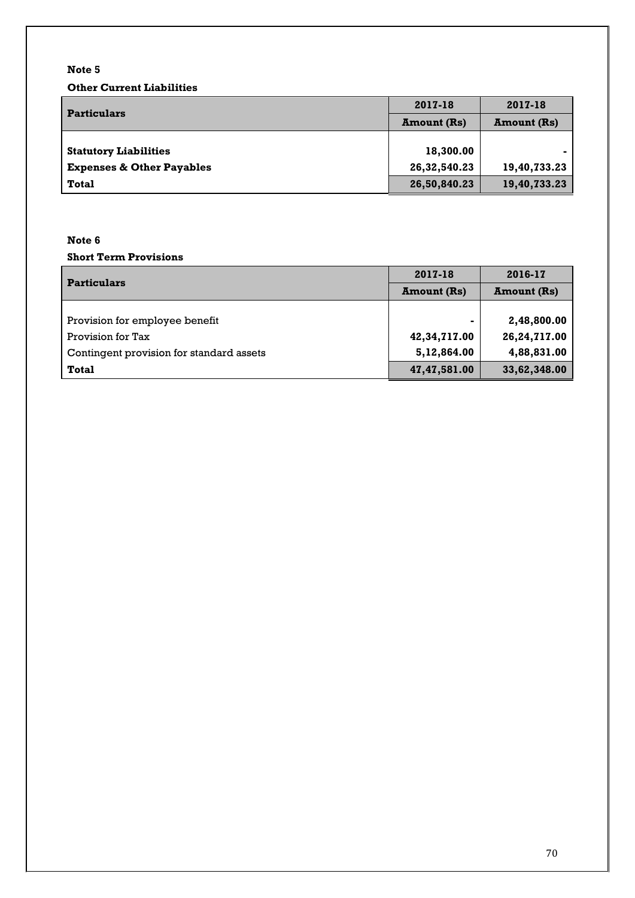# **Note 5**

**Other Current Liabilities**

| <b>Particulars</b>                   | 2017-18            | 2017-18            |  |
|--------------------------------------|--------------------|--------------------|--|
|                                      | <b>Amount (Rs)</b> | <b>Amount (Rs)</b> |  |
|                                      |                    |                    |  |
| <b>Statutory Liabilities</b>         | 18,300.00          |                    |  |
| <b>Expenses &amp; Other Payables</b> | 26,32,540.23       | 19,40,733.23       |  |
| Total                                | 26,50,840.23       | 19,40,733.23       |  |

# **Note 6**

# **Short Term Provisions**

| <b>Particulars</b>                       | 2017-18            | 2016-17            |  |
|------------------------------------------|--------------------|--------------------|--|
|                                          | <b>Amount</b> (Rs) | <b>Amount (Rs)</b> |  |
|                                          |                    |                    |  |
| Provision for employee benefit           |                    | 2,48,800.00        |  |
| Provision for Tax                        | 42,34,717.00       | 26,24,717.00       |  |
| Contingent provision for standard assets | 5,12,864.00        | 4,88,831.00        |  |
| <b>Total</b>                             | 47, 47, 581.00     | 33,62,348.00       |  |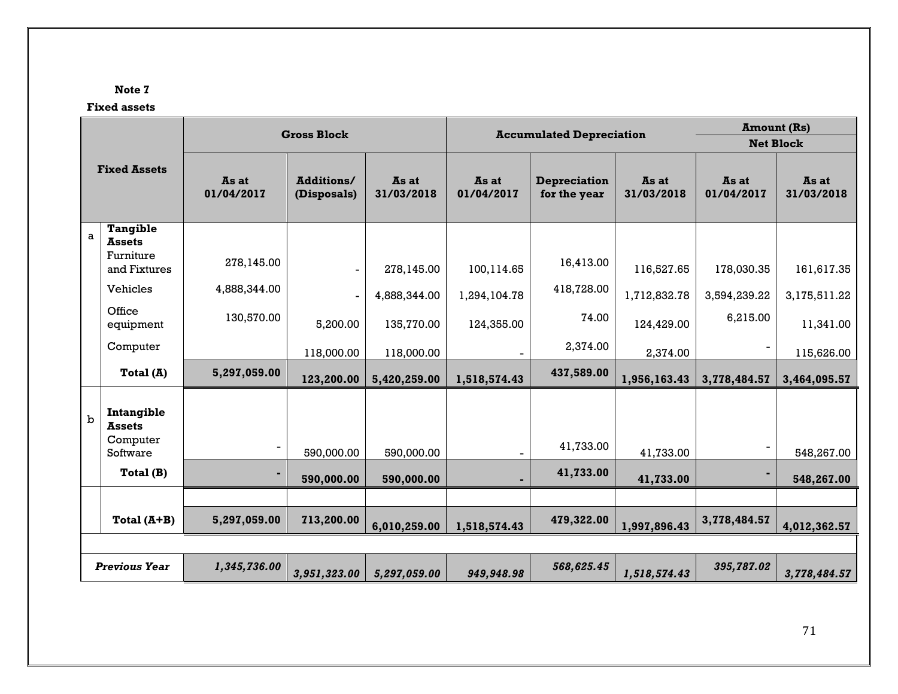# **Note 7**

# **Fixed assets**

|                     |                             |                     | <b>Gross Block</b>        |                     |                     | <b>Amount (Rs)</b><br><b>Accumulated Depreciation</b><br><b>Net Block</b> |                     |                     |                     |
|---------------------|-----------------------------|---------------------|---------------------------|---------------------|---------------------|---------------------------------------------------------------------------|---------------------|---------------------|---------------------|
|                     |                             |                     |                           |                     |                     |                                                                           |                     |                     |                     |
| <b>Fixed Assets</b> |                             | As at<br>01/04/2017 | Additions/<br>(Disposals) | As at<br>31/03/2018 | As at<br>01/04/2017 | <b>Depreciation</b><br>for the year                                       | As at<br>31/03/2018 | As at<br>01/04/2017 | As at<br>31/03/2018 |
| $\mathsf{a}$        | <b>Tangible</b>             |                     |                           |                     |                     |                                                                           |                     |                     |                     |
|                     | <b>Assets</b>               |                     |                           |                     |                     |                                                                           |                     |                     |                     |
|                     | Furniture<br>and Fixtures   | 278,145.00          | $\blacksquare$            | 278,145.00          | 100,114.65          | 16,413.00                                                                 | 116,527.65          | 178,030.35          | 161,617.35          |
|                     | Vehicles                    | 4,888,344.00        | $\overline{\phantom{a}}$  | 4,888,344.00        | 1,294,104.78        | 418,728.00                                                                | 1,712,832.78        | 3,594,239.22        | 3,175,511.22        |
|                     | Office<br>equipment         | 130,570.00          | 5,200.00                  | 135,770.00          | 124,355.00          | 74.00                                                                     | 124,429.00          | 6,215.00            | 11,341.00           |
|                     | Computer                    |                     | 118,000.00                | 118,000.00          |                     | 2,374.00                                                                  | 2,374.00            |                     | 115,626.00          |
|                     | Total $(A)$                 | 5,297,059.00        | 123,200.00                | 5,420,259.00        | 1,518,574.43        | 437,589.00                                                                | 1,956,163.43        | 3,778,484.57        | 3,464,095.57        |
| $\mathbf b$         | Intangible<br><b>Assets</b> |                     |                           |                     |                     |                                                                           |                     |                     |                     |
|                     | Computer<br>Software        |                     | 590,000.00                | 590,000.00          |                     | 41,733.00                                                                 | 41,733.00           |                     | 548,267.00          |
|                     | Total (B)                   |                     | 590,000.00                | 590,000.00          |                     | 41,733.00                                                                 | 41,733.00           |                     | 548,267.00          |
|                     |                             |                     |                           |                     |                     |                                                                           |                     |                     |                     |
|                     | Total $(A+B)$               | 5,297,059.00        | 713,200.00                | 6,010,259.00        | 1,518,574.43        | 479,322.00                                                                | 1,997,896.43        | 3,778,484.57        | 4,012,362.57        |
|                     |                             |                     |                           |                     |                     |                                                                           |                     |                     |                     |
|                     | <b>Previous Year</b>        | 1,345,736.00        | 3,951,323.00              | 5,297,059.00        | 949,948.98          | 568,625.45                                                                | 1,518,574.43        | 395,787.02          | 3,778,484.57        |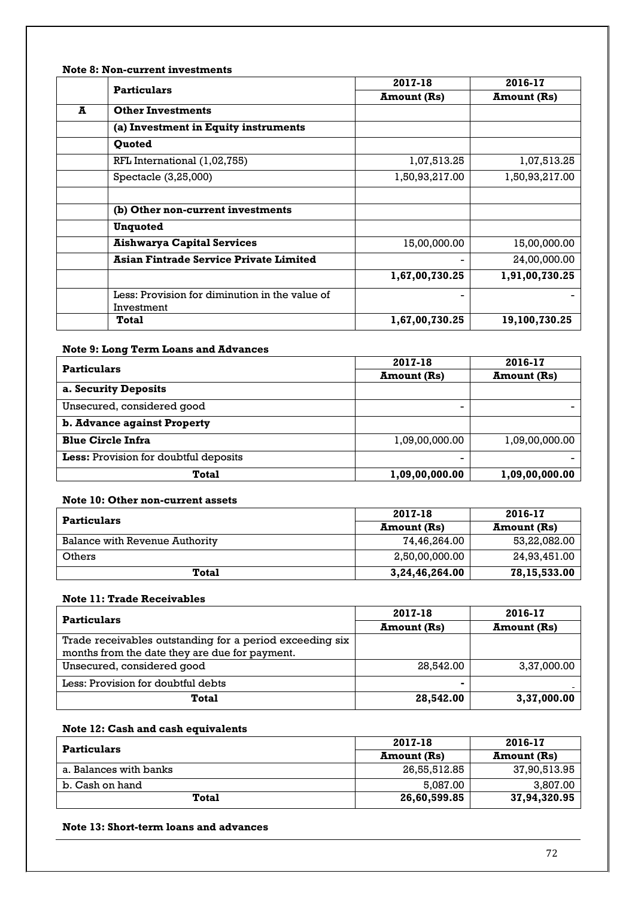# **Note 8: Non-current investments**

|   | <b>Particulars</b>                                           | 2017-18            | 2016-17            |
|---|--------------------------------------------------------------|--------------------|--------------------|
|   |                                                              | <b>Amount (Rs)</b> | <b>Amount (Rs)</b> |
| A | <b>Other Investments</b>                                     |                    |                    |
|   | (a) Investment in Equity instruments                         |                    |                    |
|   | <b>Ouoted</b>                                                |                    |                    |
|   | RFL International (1,02,755)                                 | 1,07,513.25        | 1,07,513.25        |
|   | Spectacle (3,25,000)                                         | 1,50,93,217.00     | 1,50,93,217.00     |
|   |                                                              |                    |                    |
|   | (b) Other non-current investments                            |                    |                    |
|   | <b>Unquoted</b>                                              |                    |                    |
|   | <b>Aishwarya Capital Services</b>                            | 15,00,000.00       | 15,00,000.00       |
|   | <b>Asian Fintrade Service Private Limited</b>                |                    | 24,00,000.00       |
|   |                                                              | 1,67,00,730.25     | 1,91,00,730.25     |
|   | Less: Provision for diminution in the value of<br>Investment |                    |                    |
|   | Total                                                        | 1,67,00,730.25     | 19,100,730.25      |

# **Note 9: Long Term Loans and Advances**

| <b>Particulars</b>                    | 2017-18            | 2016-17            |
|---------------------------------------|--------------------|--------------------|
|                                       | <b>Amount</b> (Rs) | <b>Amount</b> (Rs) |
| a. Security Deposits                  |                    |                    |
| Unsecured, considered good            |                    |                    |
| b. Advance against Property           |                    |                    |
| <b>Blue Circle Infra</b>              | 1,09,00,000.00     | 1,09,00,000.00     |
| Less: Provision for doubtful deposits | -                  |                    |
| <b>Total</b>                          | 1,09,00,000.00     | 1,09,00,000.00     |

### **Note 10: Other non-current assets**

| <b>Particulars</b>             | 2017-18            | 2016-17            |
|--------------------------------|--------------------|--------------------|
|                                | <b>Amount</b> (Rs) | <b>Amount</b> (Rs) |
| Balance with Revenue Authority | 74,46,264.00       | 53,22,082.00       |
| Others                         | 2,50,00,000.00     | 24,93,451.00       |
| Total                          | 3,24,46,264.00     | 78,15,533.00       |

#### **Note 11: Trade Receivables**

| <b>Particulars</b>                                       | 2017-18            | 2016-17            |
|----------------------------------------------------------|--------------------|--------------------|
|                                                          | <b>Amount</b> (Rs) | <b>Amount</b> (Rs) |
| Trade receivables outstanding for a period exceeding six |                    |                    |
| months from the date they are due for payment.           |                    |                    |
| Unsecured, considered good                               | 28,542.00          | 3,37,000.00        |
| Less: Provision for doubtful debts                       |                    |                    |
| Total                                                    | 28,542.00          | 3,37,000.00        |

### **Note 12: Cash and cash equivalents**

| <b>Particulars</b>     | 2017-18            | 2016-17            |
|------------------------|--------------------|--------------------|
|                        | <b>Amount</b> (Rs) | <b>Amount</b> (Rs) |
| a. Balances with banks | 26,55,512.85       | 37,90,513.95       |
| b. Cash on hand        | 5.087.00           | 3,807.00           |
| Total                  | 26,60,599.85       | 37,94,320.95       |

# **Note 13: Short-term loans and advances**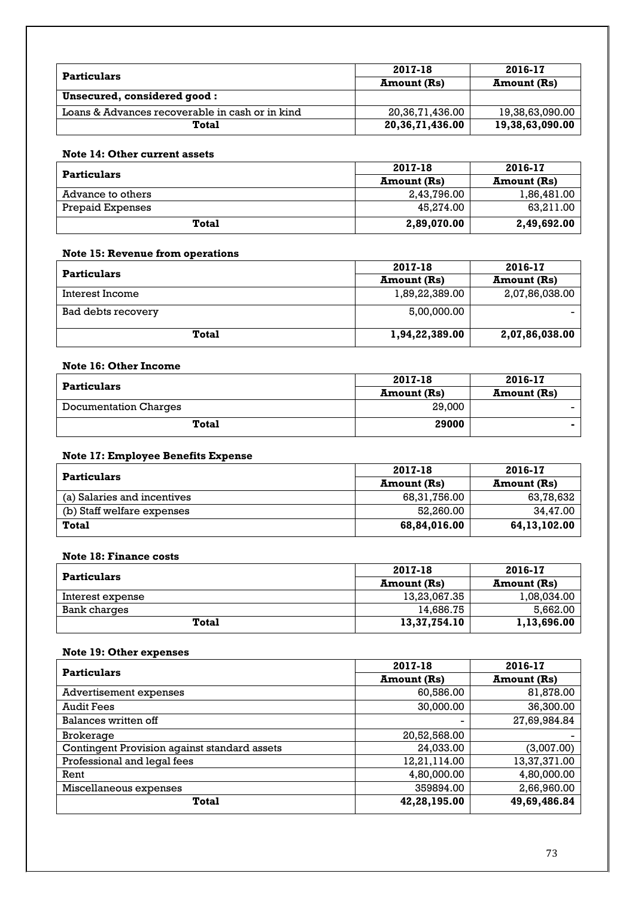| <b>Particulars</b>                              | 2017-18            | 2016-17            |
|-------------------------------------------------|--------------------|--------------------|
|                                                 | Amount (Rs)        | <b>Amount</b> (Rs) |
| Unsecured, considered good:                     |                    |                    |
| Loans & Advances recoverable in cash or in kind | 20,36,71,436.00    | 19.38.63.090.00    |
| Total                                           | 20, 36, 71, 436.00 | 19,38,63,090.00    |

### **Note 14: Other current assets**

| <b>Particulars</b> | 2017-18     | 2016-17            |
|--------------------|-------------|--------------------|
|                    | Amount (Rs) | <b>Amount</b> (Rs) |
| Advance to others  | 2,43,796.00 | 1,86,481.00        |
| Prepaid Expenses   | 45.274.00   | 63,211.00          |
| Total              | 2,89,070.00 | 2,49,692.00        |

# **Note 15: Revenue from operations**

| <b>Particulars</b> | 2017-18            | 2016-17        |
|--------------------|--------------------|----------------|
|                    | <b>Amount</b> (Rs) | Amount (Rs)    |
| Interest Income    | 1,89,22,389.00     | 2,07,86,038.00 |
| Bad debts recovery | 5,00,000.00        |                |
| Total              | 1,94,22,389.00     | 2,07,86,038.00 |

# **Note 16: Other Income**

| <b>Particulars</b>           | 2017-18     | 2016-17            |
|------------------------------|-------------|--------------------|
|                              | Amount (Rs) | <b>Amount</b> (Rs) |
| <b>Documentation Charges</b> | 29,000      |                    |
| Total                        | 29000       |                    |

# **Note 17: Employee Benefits Expense**

| <b>Particulars</b>          | 2017-18            | 2016-17            |
|-----------------------------|--------------------|--------------------|
|                             | <b>Amount</b> (Rs) | <b>Amount</b> (Rs) |
| (a) Salaries and incentives | 68,31,756.00       | 63,78,632          |
| (b) Staff welfare expenses  | 52.260.00          | 34.47.00           |
| <b>Total</b>                | 68,84,016.00       | 64,13,102.00       |

# **Note 18: Finance costs**

| Particulars      | 2017-18            | 2016-17            |
|------------------|--------------------|--------------------|
|                  | <b>Amount</b> (Rs) | <b>Amount</b> (Rs) |
| Interest expense | 13,23,067.35       | 1,08,034.00        |
| Bank charges     | 14.686.75          | 5.662.00           |
| Total            | 13,37,754.10       | 1,13,696.00        |

# **Note 19: Other expenses**

| <b>Particulars</b>                           | 2017-18            | 2016-17            |
|----------------------------------------------|--------------------|--------------------|
|                                              | <b>Amount</b> (Rs) | <b>Amount (Rs)</b> |
| Advertisement expenses                       | 60,586.00          | 81,878.00          |
| <b>Audit Fees</b>                            | 30,000.00          | 36,300.00          |
| Balances written off                         |                    | 27,69,984.84       |
| Brokerage                                    | 20,52,568.00       |                    |
| Contingent Provision against standard assets | 24,033.00          | (3,007.00)         |
| Professional and legal fees                  | 12,21,114.00       | 13,37,371.00       |
| Rent                                         | 4,80,000.00        | 4,80,000.00        |
| Miscellaneous expenses                       | 359894.00          | 2,66,960.00        |
| <b>Total</b>                                 | 42,28,195.00       | 49,69,486.84       |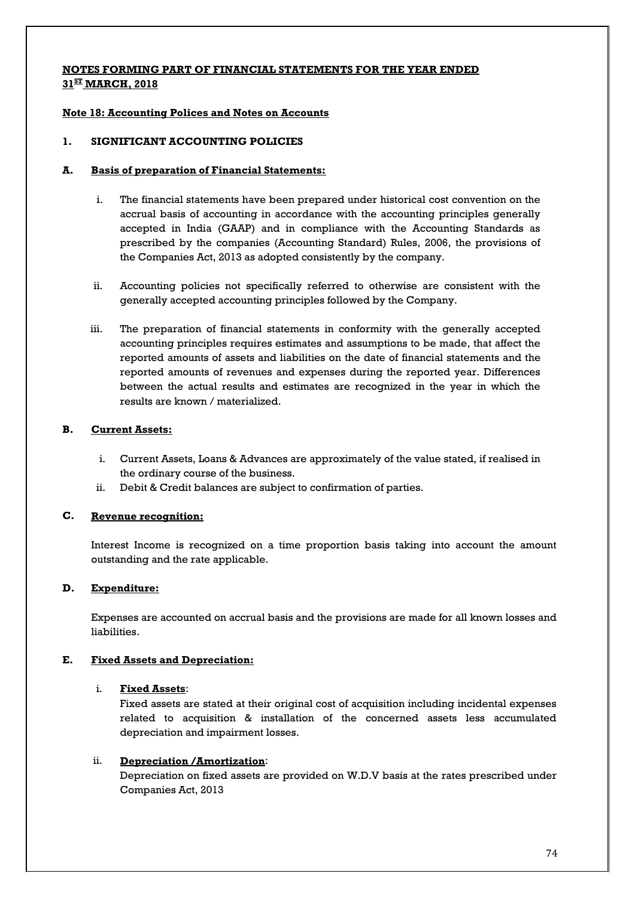# **NOTES FORMING PART OF FINANCIAL STATEMENTS FOR THE YEAR ENDED 31ST MARCH, 2018**

### **Note 18: Accounting Polices and Notes on Accounts**

#### **1. SIGNIFICANT ACCOUNTING POLICIES**

#### **A. Basis of preparation of Financial Statements:**

- i. The financial statements have been prepared under historical cost convention on the accrual basis of accounting in accordance with the accounting principles generally accepted in India (GAAP) and in compliance with the Accounting Standards as prescribed by the companies (Accounting Standard) Rules, 2006, the provisions of the Companies Act, 2013 as adopted consistently by the company.
- ii. Accounting policies not specifically referred to otherwise are consistent with the generally accepted accounting principles followed by the Company.
- iii. The preparation of financial statements in conformity with the generally accepted accounting principles requires estimates and assumptions to be made, that affect the reported amounts of assets and liabilities on the date of financial statements and the reported amounts of revenues and expenses during the reported year. Differences between the actual results and estimates are recognized in the year in which the results are known / materialized.

### **B. Current Assets:**

- i. Current Assets, Loans & Advances are approximately of the value stated, if realised in the ordinary course of the business.
- ii. Debit & Credit balances are subject to confirmation of parties.

#### **C. Revenue recognition:**

Interest Income is recognized on a time proportion basis taking into account the amount outstanding and the rate applicable.

#### **D. Expenditure:**

Expenses are accounted on accrual basis and the provisions are made for all known losses and liabilities.

#### **E. Fixed Assets and Depreciation:**

#### i. **Fixed Assets** :

Fixed assets are stated at their original cost of acquisition including incidental expenses related to acquisition & installation of the concerned assets less accumulated depreciation and impairment losses.

#### ii. **Depreciation /Amortization** :

Depreciation on fixed assets are provided on W.D.V basis at the rates prescribed under Companies Act, 2013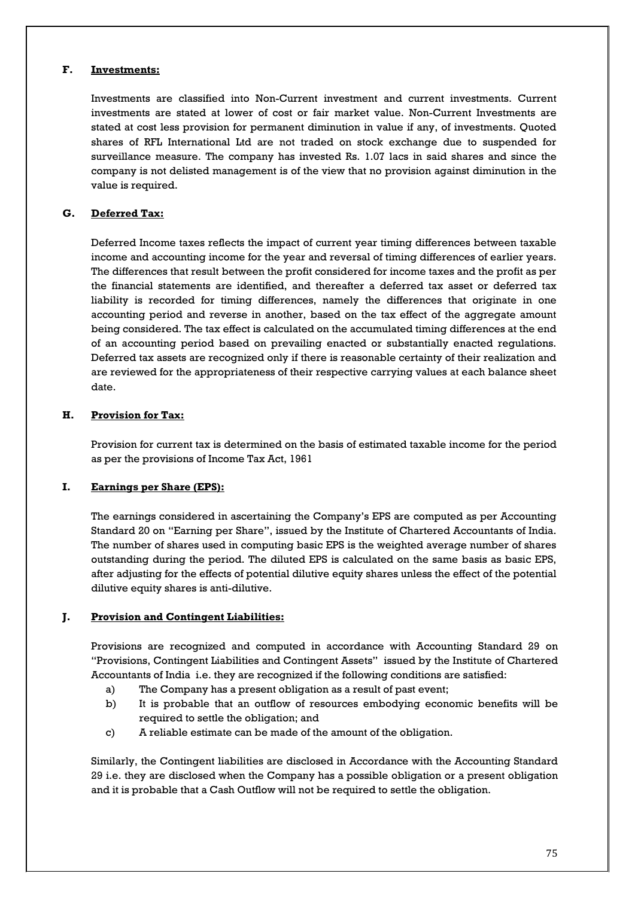#### **F. Investments:**

Investments are classified into Non-Current investment and current investments. Current investments are stated at lower of cost or fair market value. Non-Current Investments are stated at cost less provision for permanent diminution in value if any, of investments. Quoted shares of RFL International Ltd are not traded on stock exchange due to suspended for surveillance measure. The company has invested Rs. 1.07 lacs in said shares and since the company is not delisted management is of the view that no provision against diminution in the value is required.

#### **G. Deferred Tax:**

Deferred Income taxes reflects the impact of current year timing differences between taxable income and accounting income for the year and reversal of timing differences of earlier years. The differences that result between the profit considered for income taxes and the profit as per the financial statements are identified, and thereafter a deferred tax asset or deferred tax liability is recorded for timing differences, namely the differences that originate in one accounting period and reverse in another, based on the tax effect of the aggregate amount being considered. The tax effect is calculated on the accumulated timing differences at the end of an accounting period based on prevailing enacted or substantially enacted regulations. Deferred tax assets are recognized only if there is reasonable certainty of their realization and are reviewed for the appropriateness of their respective carrying values at each balance sheet date.

#### **H. Provision for Tax:**

Provision for current tax is determined on the basis of estimated taxable income for the period as per the provisions of Income Tax Act, 1961

#### **I. Earnings per Share (EPS):**

The earnings considered in ascertaining the Company's EPS are computed as per Accounting Standard 20 on "Earning per Share", issued by the Institute of Chartered Accountants of India. The number of shares used in computing basic EPS is the weighted average number of shares outstanding during the period. The diluted EPS is calculated on the same basis as basic EPS, after adjusting for the effects of potential dilutive equity shares unless the effect of the potential dilutive equity shares is anti-dilutive.

### **J. Provision and Contingent Liabilities:**

Provisions are recognized and computed in accordance with Accounting Standard 29 on "Provisions, Contingent Liabilities and Contingent Assets" issued by the Institute of Chartered Accountants of India i.e. they are recognized if the following conditions are satisfied:

- a) The Company has a present obligation as a result of past event;
- b) It is probable that an outflow of resources embodying economic benefits will be required to settle the obligation; and
- c) A reliable estimate can be made of the amount of the obligation.

Similarly, the Contingent liabilities are disclosed in Accordance with the Accounting Standard 29 i.e. they are disclosed when the Company has a possible obligation or a present obligation and it is probable that a Cash Outflow will not be required to settle the obligation.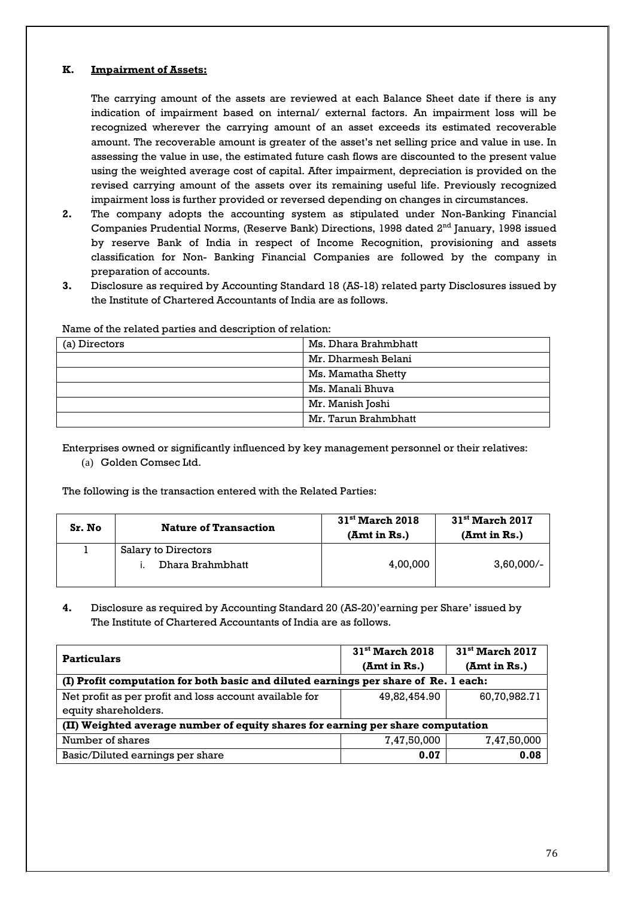#### **K. Impairment of Assets:**

The carrying amount of the assets are reviewed at each Balance Sheet date if there is any indication of impairment based on internal/ external factors. An impairment loss will be recognized wherever the carrying amount of an asset exceeds its estimated recoverable amount. The recoverable amount is greater of the asset's net selling price and value in use. In assessing the value in use, the estimated future cash flows are discounted to the present value using the weighted average cost of capital. After impairment, depreciation is provided on the revised carrying amount of the assets over its remaining useful life. Previously recognized impairment loss is further provided or reversed depending on changes in circumstances.

- **2.** The company adopts the accounting system as stipulated under Non-Banking Financial Companies Prudential Norms, (Reserve Bank) Directions, 1998 dated 2<sup>nd</sup> January, 1998 issued by reserve Bank of India in respect of Income Recognition, provisioning and assets classification for Non- Banking Financial Companies are followed by the company in preparation of accounts.
- **3.** Disclosure as required by Accounting Standard 18 (AS-18) related party Disclosures issued by the Institute of Chartered Accountants of India are as follows.

| (a) Directors | Ms. Dhara Brahmbhatt |
|---------------|----------------------|
|               | Mr. Dharmesh Belani  |
|               | Ms. Mamatha Shetty   |
|               | Ms. Manali Bhuva     |
|               | Mr. Manish Joshi     |
|               | Mr. Tarun Brahmbhatt |

Name of the related parties and description of relation:

Enterprises owned or significantly influenced by key management personnel or their relatives: (a) Golden Comsec Ltd.

The following is the transaction entered with the Related Parties:

| Sr. No | <b>Nature of Transaction</b> | $31^{\rm st}$ March 2018<br>(Amt in Rs.) | $31st$ March 2017<br>(Amt in Rs.) |
|--------|------------------------------|------------------------------------------|-----------------------------------|
|        | Salary to Directors          |                                          |                                   |
|        | Dhara Brahmbhatt             | 4,00,000                                 | $3,60,000/-$                      |

**4.** Disclosure as required by Accounting Standard 20 (AS-20)'earning per Share' issued by The Institute of Chartered Accountants of India are as follows.

| <b>Particulars</b>                                                                  | $31st$ March 2018<br>(Amt in Rs.) | $31st$ March 2017<br>(Amt in Rs.) |  |
|-------------------------------------------------------------------------------------|-----------------------------------|-----------------------------------|--|
| (I) Profit computation for both basic and diluted earnings per share of Re. 1 each: |                                   |                                   |  |
| Net profit as per profit and loss account available for                             | 49.82.454.90                      | 60,70,982.71                      |  |
| equity shareholders.                                                                |                                   |                                   |  |
| (II) Weighted average number of equity shares for earning per share computation     |                                   |                                   |  |
| Number of shares                                                                    | 7,47,50,000                       | 7,47,50,000                       |  |
| Basic/Diluted earnings per share                                                    | 0.07                              | 0.08                              |  |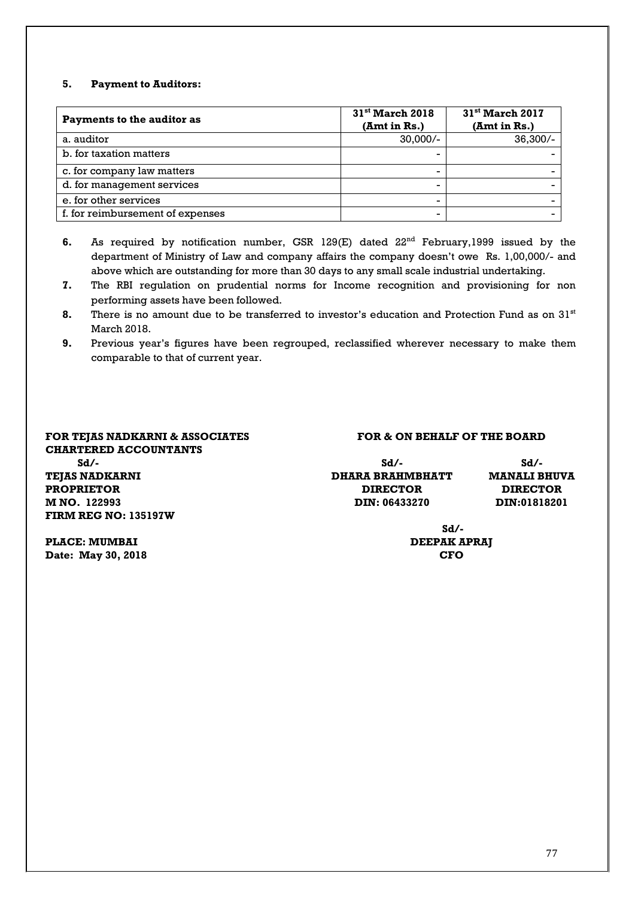### **5. Payment to Auditors:**

| <b>Payments to the auditor as</b> | $31st$ March 2018<br>(Amt in Rs.) | 31 <sup>st</sup> March 2017<br>(Amt in Rs.) |
|-----------------------------------|-----------------------------------|---------------------------------------------|
| a. auditor                        | $30,000/-$                        | $36,300/-$                                  |
| b. for taxation matters           |                                   |                                             |
| c. for company law matters        |                                   |                                             |
| d. for management services        |                                   |                                             |
| e, for other services             | -                                 |                                             |
| f. for reimbursement of expenses  | -                                 |                                             |

- **6.** As required by notification number, GSR 129(E) dated 22<sup>nd</sup> February, 1999 issued by the department of Ministry of Law and company affairs the company doesn't owe Rs. 1,00,000/- and above which are outstanding for more than 30 days to any small scale industrial undertaking.
- **7.** The RBI regulation on prudential norms for Income recognition and provisioning for non performing assets have been followed.
- **8.** There is no amount due to be transferred to investor's education and Protection Fund as on 31<sup>st</sup> March 2018.
- **9.** Previous year's figures have been regrouped, reclassified wherever necessary to make them comparable to that of current year.

# **CHARTERED ACCOUNTANTS TEJAS NADKARNI PROPRIETOR DIRECTOR DIRECTOR**

#### **FOR TEJAS NADKARNI & ASSOCIATES FOR & ON BEHALF OF THE BOARD**

| Sd/-           | Sd/-             | Sd/-            |
|----------------|------------------|-----------------|
| TEJAS NADKARNI | DHARA BRAHMBHATT | MANALI BHUVA    |
| PROPRIETOR     | <b>DIRECTOR</b>  | <b>DIRECTOR</b> |
| M NO. 122993   | DIN: 06433270    | DIN:01818201    |

**PLACE: MUMBAI DEEPAK APRAJ Date: May 30, 2018 CFO**

**FIRM REG NO: 135197W**

**Sd/-**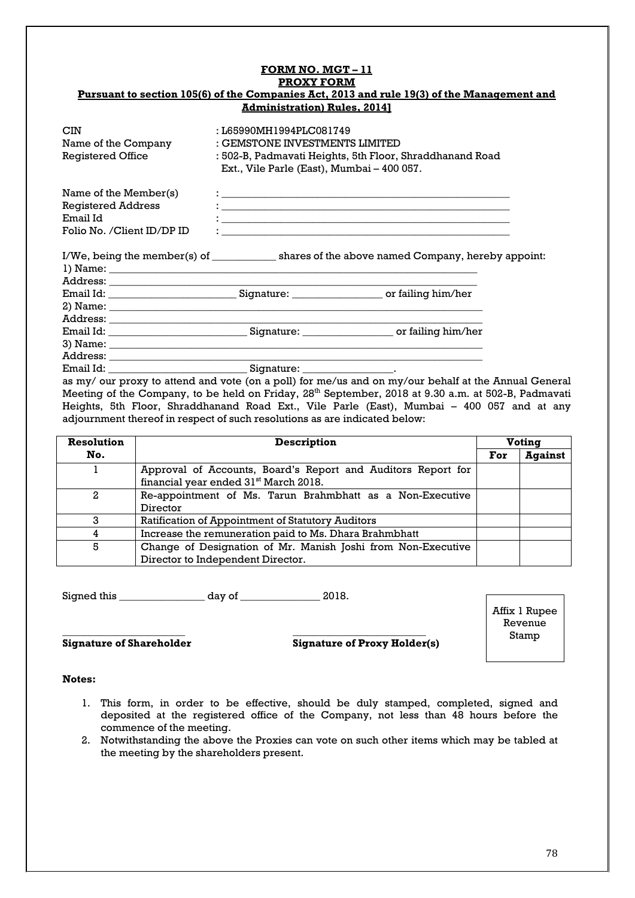#### **FORM NO. MGT – 11 PROXY FORM Pursuant to section 105(6) of the Companies Act, 2013 and rule 19(3) of the Management and Administration) Rules, 2014]**

| <b>CIN</b><br>Name of the Company<br><b>Registered Office</b> | : L65990MH1994PLC081749<br>: GEMSTONE INVESTMENTS LIMITED<br>: 502-B, Padmavati Heights, 5th Floor, Shraddhanand Road<br>Ext., Vile Parle (East), Mumbai - 400 057. |
|---------------------------------------------------------------|---------------------------------------------------------------------------------------------------------------------------------------------------------------------|
| Name of the Member $(s)$                                      | <u> 1989 - Johann John Stein, markin fan it ferstjer fan de ferstjer fan it ferstjer fan it ferstjer fan it fers</u>                                                |
| <b>Registered Address</b>                                     | <u> 1986 - Andrea Andrews, amerikansk politik (d. 1986)</u>                                                                                                         |
| Email Id                                                      |                                                                                                                                                                     |
| Folio No. /Client ID/DP ID                                    |                                                                                                                                                                     |
|                                                               | I/We, being the member(s) of shares of the above named Company, hereby appoint:                                                                                     |
| $\pi$ and $\pi$ and $\pi$ and $\pi$                           |                                                                                                                                                                     |

|           | Address: ______________                                                                                                                                                                                                                                     |                      |
|-----------|-------------------------------------------------------------------------------------------------------------------------------------------------------------------------------------------------------------------------------------------------------------|----------------------|
|           | Email Id: with the contract of the contract of the contract of the contract of the contract of the contract of the contract of the contract of the contract of the contract of the contract of the contract of the contract of<br>Signature: ______________ | _ or failing him/her |
|           |                                                                                                                                                                                                                                                             |                      |
| Address:  |                                                                                                                                                                                                                                                             |                      |
|           | Email Id: ________________<br>Signature: ______________                                                                                                                                                                                                     | or failing him/her   |
|           |                                                                                                                                                                                                                                                             |                      |
| Address:  |                                                                                                                                                                                                                                                             |                      |
| Email Id: | Signature:                                                                                                                                                                                                                                                  |                      |

as my/ our proxy to attend and vote (on a poll) for me/us and on my/our behalf at the Annual General Meeting of the Company, to be held on Friday, 28<sup>th</sup> September, 2018 at 9.30 a.m. at 502-B, Padmavati Heights, 5th Floor, Shraddhanand Road Ext., Vile Parle (East), Mumbai – 400 057 and at any adjournment thereof in respect of such resolutions as are indicated below:

| <b>Resolution</b> | <b>Description</b>                                                                                                |     | Voting         |  |
|-------------------|-------------------------------------------------------------------------------------------------------------------|-----|----------------|--|
| No.               |                                                                                                                   | For | <b>Against</b> |  |
|                   | Approval of Accounts, Board's Report and Auditors Report for<br>financial year ended 31 <sup>st</sup> March 2018. |     |                |  |
| 2                 | Re-appointment of Ms. Tarun Brahmbhatt as a Non-Executive<br>Director                                             |     |                |  |
|                   | Ratification of Appointment of Statutory Auditors                                                                 |     |                |  |
|                   | Increase the remuneration paid to Ms. Dhara Brahmbhatt                                                            |     |                |  |
| 5                 | Change of Designation of Mr. Manish Joshi from Non-Executive<br>Director to Independent Director.                 |     |                |  |

Signed this \_\_\_\_\_\_\_\_\_\_\_\_\_\_\_\_ day of \_\_\_\_\_\_\_\_\_\_\_\_\_\_\_ 2018.

\_\_\_\_\_\_\_\_\_\_\_\_\_\_\_\_\_\_\_\_\_\_\_ \_\_\_\_\_\_\_\_\_\_\_\_\_\_\_\_\_\_\_\_\_\_\_\_\_ **Signature of Shareholder Signature of Proxy Holder(s)** Affix 1 Rupee Revenue Stamp

#### **Notes:**

- 1. This form, in order to be effective, should be duly stamped, completed, signed and deposited at the registered office of the Company, not less than 48 hours before the commence of the meeting.
- 2. Notwithstanding the above the Proxies can vote on such other items which may be tabled at the meeting by the shareholders present.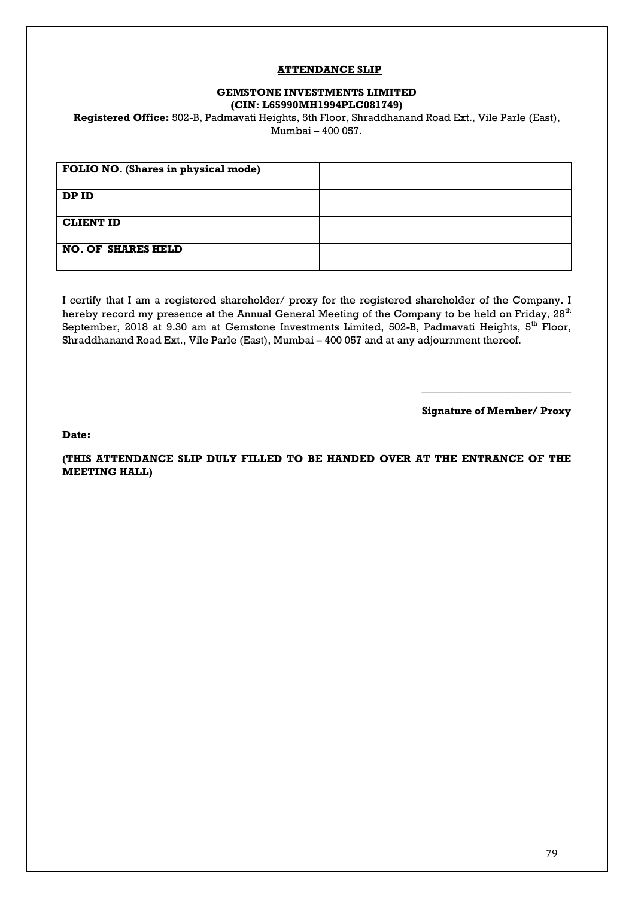#### **ATTENDANCE SLIP**

#### **GEMSTONE INVESTMENTS LIMITED (CIN: L65990MH1994PLC081749)**

**Registered Office:** 502-B, Padmavati Heights, 5th Floor, Shraddhanand Road Ext., Vile Parle (East), Mumbai – 400 057.

| FOLIO NO. (Shares in physical mode) |  |
|-------------------------------------|--|
| DP ID                               |  |
| <b>CLIENT ID</b>                    |  |
| <b>NO. OF SHARES HELD</b>           |  |

I certify that I am a registered shareholder/ proxy for the registered shareholder of the Company. I hereby record my presence at the Annual General Meeting of the Company to be held on Friday, 28<sup>th</sup> September, 2018 at 9.30 am at Gemstone Investments Limited, 502-B, Padmavati Heights, 5<sup>th</sup> Floor, Shraddhanand Road Ext., Vile Parle (East), Mumbai – 400 057 and at any adjournment thereof.

**Signature of Member/ Proxy**

\_\_\_\_\_\_\_\_\_\_\_\_\_\_\_\_\_\_\_\_\_\_\_\_\_\_\_\_

**Date:**

**(THIS ATTENDANCE SLIP DULY FILLED TO BE HANDED OVER AT THE ENTRANCE OF THE MEETING HALL)**